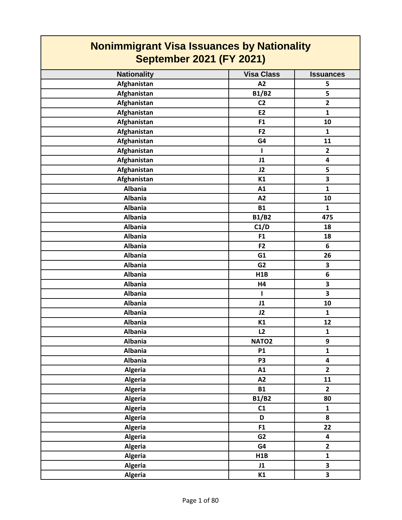| <b>Nonimmigrant Visa Issuances by Nationality</b><br><b>September 2021 (FY 2021)</b> |                   |                         |
|--------------------------------------------------------------------------------------|-------------------|-------------------------|
| <b>Nationality</b>                                                                   | <b>Visa Class</b> | <b>Issuances</b>        |
| Afghanistan                                                                          | A2                | 5                       |
| Afghanistan                                                                          | <b>B1/B2</b>      | 5                       |
| Afghanistan                                                                          | C <sub>2</sub>    | $\overline{2}$          |
| Afghanistan                                                                          | E2                | $\mathbf{1}$            |
| Afghanistan                                                                          | F1                | 10                      |
| Afghanistan                                                                          | F <sub>2</sub>    | $\mathbf{1}$            |
| Afghanistan                                                                          | G4                | 11                      |
| Afghanistan                                                                          | ш                 | $\mathbf{2}$            |
| Afghanistan                                                                          | J1                | $\overline{\mathbf{4}}$ |
| Afghanistan                                                                          | J2                | 5                       |
| Afghanistan                                                                          | K1                | 3                       |
| <b>Albania</b>                                                                       | A1                | $\mathbf{1}$            |
| <b>Albania</b>                                                                       | A2                | 10                      |
| <b>Albania</b>                                                                       | <b>B1</b>         | $\mathbf{1}$            |
| <b>Albania</b>                                                                       | <b>B1/B2</b>      | 475                     |
| <b>Albania</b>                                                                       | C1/D              | 18                      |
| <b>Albania</b>                                                                       | F <sub>1</sub>    | 18                      |
| <b>Albania</b>                                                                       | F <sub>2</sub>    | 6                       |
| <b>Albania</b>                                                                       | G1                | 26                      |
| <b>Albania</b>                                                                       | G <sub>2</sub>    | 3                       |
| <b>Albania</b>                                                                       | H1B               | 6                       |
| <b>Albania</b>                                                                       | H4                | $\overline{\mathbf{3}}$ |
| <b>Albania</b>                                                                       | T                 | $\overline{\mathbf{3}}$ |
| <b>Albania</b>                                                                       | J1                | 10                      |
| <b>Albania</b>                                                                       | J2                | $\mathbf{1}$            |
| <b>Albania</b>                                                                       | K1                | 12                      |
| <b>Albania</b>                                                                       | L2                | $\mathbf{1}$            |
| <b>Albania</b>                                                                       | NATO <sub>2</sub> | 9                       |
| <b>Albania</b>                                                                       | <b>P1</b>         | $\mathbf{1}$            |
| <b>Albania</b>                                                                       | P <sub>3</sub>    | 4                       |
| Algeria                                                                              | A1                | $\overline{2}$          |
| <b>Algeria</b>                                                                       | A2                | 11                      |
| <b>Algeria</b>                                                                       | <b>B1</b>         | $\overline{2}$          |
| <b>Algeria</b>                                                                       | <b>B1/B2</b>      | 80                      |
| <b>Algeria</b>                                                                       | C1                | $\mathbf{1}$            |
| <b>Algeria</b>                                                                       | D                 | 8                       |
| <b>Algeria</b>                                                                       | F1                | 22                      |
| <b>Algeria</b>                                                                       | G <sub>2</sub>    | $\overline{\mathbf{4}}$ |
| <b>Algeria</b>                                                                       | G4                | $\mathbf{2}$            |
| <b>Algeria</b>                                                                       | H1B               | $\mathbf{1}$            |
| Algeria                                                                              | J1                | $\overline{\mathbf{3}}$ |
| <b>Algeria</b>                                                                       | K1                | $\overline{\mathbf{3}}$ |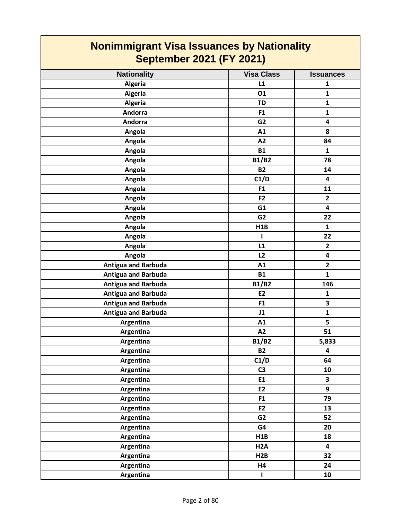| <b>Nonimmigrant Visa Issuances by Nationality</b><br><b>September 2021 (FY 2021)</b> |                   |                  |
|--------------------------------------------------------------------------------------|-------------------|------------------|
| <b>Nationality</b>                                                                   | <b>Visa Class</b> | <b>Issuances</b> |
| <b>Algeria</b>                                                                       | L1                | 1                |
| <b>Algeria</b>                                                                       | 01                | $\mathbf{1}$     |
| Algeria                                                                              | <b>TD</b>         | $\mathbf{1}$     |
| <b>Andorra</b>                                                                       | F <sub>1</sub>    | $\mathbf{1}$     |
| Andorra                                                                              | G <sub>2</sub>    | 4                |
| Angola                                                                               | A1                | 8                |
| Angola                                                                               | A <sub>2</sub>    | 84               |
| Angola                                                                               | <b>B1</b>         | $\mathbf{1}$     |
| Angola                                                                               | <b>B1/B2</b>      | 78               |
| Angola                                                                               | <b>B2</b>         | 14               |
| Angola                                                                               | C1/D              | 4                |
| Angola                                                                               | F <sub>1</sub>    | 11               |
| Angola                                                                               | F <sub>2</sub>    | $\overline{2}$   |
| Angola                                                                               | G1                | 4                |
| Angola                                                                               | G <sub>2</sub>    | 22               |
| Angola                                                                               | H1B               | $\mathbf{1}$     |
| Angola                                                                               | ı                 | 22               |
| Angola                                                                               | L1                | $\mathbf{2}$     |
| Angola                                                                               | L2                | 4                |
| <b>Antigua and Barbuda</b>                                                           | A1                | $\mathbf{2}$     |
| <b>Antigua and Barbuda</b>                                                           | <b>B1</b>         | $\mathbf{1}$     |
| <b>Antigua and Barbuda</b>                                                           | <b>B1/B2</b>      | 146              |
| <b>Antigua and Barbuda</b>                                                           | E <sub>2</sub>    | $\mathbf{1}$     |
| <b>Antigua and Barbuda</b>                                                           | F <sub>1</sub>    | 3                |
| <b>Antigua and Barbuda</b>                                                           | J1                | $\mathbf{1}$     |
| Argentina                                                                            | A1                | 5                |
| Argentina                                                                            | A2                | 51               |
| Argentina                                                                            | <b>B1/B2</b>      | 5,833            |
| Argentina                                                                            | <b>B2</b>         | 4                |
| Argentina                                                                            | C1/D              | 64               |
| Argentina                                                                            | C <sub>3</sub>    | 10               |
| Argentina                                                                            | E1                | 3                |
| Argentina                                                                            | E2                | 9                |
| Argentina                                                                            | F <sub>1</sub>    | 79               |
| Argentina                                                                            | F2                | 13               |
| Argentina                                                                            | G <sub>2</sub>    | 52               |
| Argentina                                                                            | G4                | 20               |
| Argentina                                                                            | H1B               | 18               |
| Argentina                                                                            | H <sub>2</sub> A  | 4                |
| Argentina                                                                            | H2B               | 32               |
| Argentina                                                                            | H4                | 24               |
| Argentina                                                                            | $\mathbf{I}$      | 10               |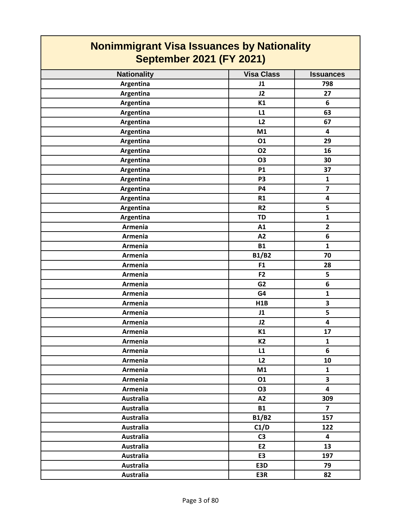| <b>Nationality</b> | <b>Visa Class</b> | <b>Issuances</b>        |
|--------------------|-------------------|-------------------------|
| Argentina          | J1                | 798                     |
| Argentina          | J2                | 27                      |
| Argentina          | K1                | 6                       |
| Argentina          | L1                | 63                      |
| Argentina          | L2                | 67                      |
| Argentina          | M1                | $\overline{\mathbf{4}}$ |
| Argentina          | 01                | 29                      |
| Argentina          | <b>O2</b>         | 16                      |
| Argentina          | <b>O3</b>         | 30                      |
| Argentina          | P1                | 37                      |
| Argentina          | P <sub>3</sub>    | $\mathbf{1}$            |
| Argentina          | <b>P4</b>         | $\overline{\mathbf{z}}$ |
| Argentina          | R1                | 4                       |
| Argentina          | R2                | 5                       |
| Argentina          | <b>TD</b>         | $\mathbf 1$             |
| Armenia            | A1                | $\overline{2}$          |
| <b>Armenia</b>     | A2                | 6                       |
| Armenia            | <b>B1</b>         | $\mathbf{1}$            |
| Armenia            | <b>B1/B2</b>      | 70                      |
| Armenia            | F1                | 28                      |
| Armenia            | F <sub>2</sub>    | 5                       |
| Armenia            | G <sub>2</sub>    | 6                       |
| Armenia            | G4                | $\mathbf{1}$            |
| <b>Armenia</b>     | H1B               | $\overline{\mathbf{3}}$ |
| Armenia            | J1                | 5                       |
| <b>Armenia</b>     | J2                | 4                       |
| Armenia            | K1                | 17                      |
| Armenia            | K <sub>2</sub>    | $\mathbf{1}$            |
| Armenia            | L1                | 6                       |
| Armenia            | L2                | 10                      |
| Armenia            | M1                | $\mathbf{1}$            |
| Armenia            | 01                | $\overline{\mathbf{3}}$ |
| Armenia            | 03                | $\overline{\mathbf{4}}$ |
| Australia          | A2                | 309                     |
| <b>Australia</b>   | <b>B1</b>         | $\overline{7}$          |
| <b>Australia</b>   | <b>B1/B2</b>      | 157                     |
| <b>Australia</b>   | C1/D              | 122                     |
| Australia          | C <sub>3</sub>    | 4                       |
| <b>Australia</b>   | <b>E2</b>         | 13                      |
| Australia          | E <sub>3</sub>    | 197                     |
| <b>Australia</b>   | E3D               | 79                      |
| <b>Australia</b>   | E3R               | 82                      |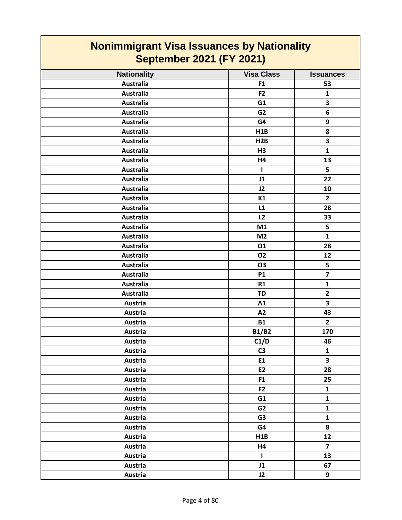| <b>Nationality</b> | <b>Visa Class</b> | <b>Issuances</b>        |
|--------------------|-------------------|-------------------------|
| <b>Australia</b>   | F <sub>1</sub>    | 53                      |
| <b>Australia</b>   | F <sub>2</sub>    | $\mathbf{1}$            |
| <b>Australia</b>   | G1                | 3                       |
| <b>Australia</b>   | G <sub>2</sub>    | $6\phantom{1}$          |
| <b>Australia</b>   | G4                | 9                       |
| <b>Australia</b>   | H1B               | 8                       |
| <b>Australia</b>   | H2B               | $\overline{\mathbf{3}}$ |
| <b>Australia</b>   | H3                | $\mathbf{1}$            |
| <b>Australia</b>   | H4                | 13                      |
| <b>Australia</b>   | $\mathbf{I}$      | 5                       |
| <b>Australia</b>   | J1                | 22                      |
| <b>Australia</b>   | J2                | 10                      |
| <b>Australia</b>   | K1                | $\overline{2}$          |
| <b>Australia</b>   | L1                | 28                      |
| <b>Australia</b>   | L2                | 33                      |
| <b>Australia</b>   | M1                | 5                       |
| <b>Australia</b>   | M <sub>2</sub>    | $\mathbf{1}$            |
| <b>Australia</b>   | 01                | 28                      |
| <b>Australia</b>   | <b>O2</b>         | 12                      |
| <b>Australia</b>   | <b>O3</b>         | 5                       |
| <b>Australia</b>   | <b>P1</b>         | $\overline{\mathbf{z}}$ |
| <b>Australia</b>   | R1                | $\mathbf{1}$            |
| <b>Australia</b>   | <b>TD</b>         | $\overline{\mathbf{2}}$ |
| Austria            | A1                | $\overline{\mathbf{3}}$ |
| Austria            | A2                | 43                      |
| Austria            | <b>B1</b>         | $\overline{2}$          |
| Austria            | <b>B1/B2</b>      | 170                     |
| Austria            | C1/D              | 46                      |
| Austria            | C <sub>3</sub>    | $\mathbf 1$             |
| Austria            | E1                | 3                       |
| Austria            | E2                | 28                      |
| Austria            | F <sub>1</sub>    | 25                      |
| Austria            | F <sub>2</sub>    | $\mathbf{1}$            |
| Austria            | G1                | $\mathbf{1}$            |
| Austria            | G2                | $\mathbf{1}$            |
| Austria            | G <sub>3</sub>    | $\mathbf{1}$            |
| Austria            | G4                | 8                       |
| Austria            | H1B               | 12                      |
| Austria            | H4                | $\overline{7}$          |
| Austria            | Т.                | 13                      |
| Austria            | J1                | 67                      |
| Austria            | J2                | 9                       |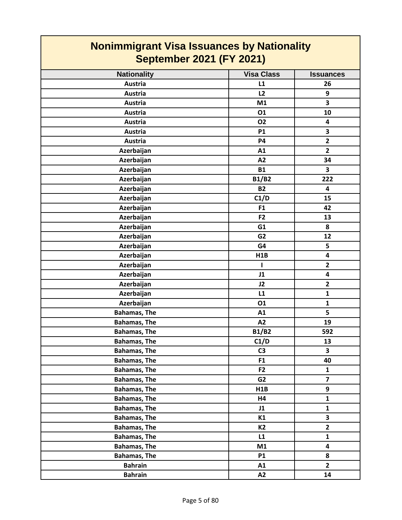| <b>Nationality</b>  | <b>Visa Class</b> | <b>Issuances</b>        |
|---------------------|-------------------|-------------------------|
| <b>Austria</b>      | L1                | 26                      |
| Austria             | L2                | 9                       |
| Austria             | M1                | 3                       |
| Austria             | 01                | 10                      |
| Austria             | <b>O2</b>         | $\overline{\mathbf{4}}$ |
| Austria             | <b>P1</b>         | 3                       |
| <b>Austria</b>      | <b>P4</b>         | $\overline{2}$          |
| Azerbaijan          | A1                | $\overline{2}$          |
| Azerbaijan          | A2                | 34                      |
| Azerbaijan          | <b>B1</b>         | $\overline{\mathbf{3}}$ |
| Azerbaijan          | <b>B1/B2</b>      | 222                     |
| Azerbaijan          | <b>B2</b>         | $\overline{\mathbf{4}}$ |
| Azerbaijan          | C1/D              | 15                      |
| Azerbaijan          | F <sub>1</sub>    | 42                      |
| Azerbaijan          | F <sub>2</sub>    | 13                      |
| Azerbaijan          | G1                | 8                       |
| Azerbaijan          | G <sub>2</sub>    | 12                      |
| Azerbaijan          | G4                | 5                       |
| Azerbaijan          | H1B               | $\overline{\mathbf{4}}$ |
| Azerbaijan          | L                 | $\overline{2}$          |
| Azerbaijan          | J1                | 4                       |
| Azerbaijan          | J2                | $\overline{2}$          |
| Azerbaijan          | L1                | $\mathbf{1}$            |
| Azerbaijan          | 01                | $\mathbf{1}$            |
| <b>Bahamas, The</b> | A1                | 5                       |
| <b>Bahamas, The</b> | A2                | 19                      |
| <b>Bahamas, The</b> | <b>B1/B2</b>      | 592                     |
| <b>Bahamas, The</b> | C1/D              | 13                      |
| <b>Bahamas, The</b> | C <sub>3</sub>    | 3                       |
| <b>Bahamas, The</b> | F1                | 40                      |
| <b>Bahamas, The</b> | F <sub>2</sub>    | $\mathbf{1}$            |
| <b>Bahamas, The</b> | G2                | $\overline{7}$          |
| <b>Bahamas, The</b> | H1B               | 9                       |
| <b>Bahamas, The</b> | H4                | $\mathbf{1}$            |
| <b>Bahamas, The</b> | J1                | $\mathbf{1}$            |
| <b>Bahamas, The</b> | K1                | $\overline{\mathbf{3}}$ |
| <b>Bahamas, The</b> | K <sub>2</sub>    | $\mathbf{2}$            |
| <b>Bahamas, The</b> | L1                | $\mathbf{1}$            |
| <b>Bahamas, The</b> | M1                | 4                       |
| <b>Bahamas, The</b> | <b>P1</b>         | 8                       |
| <b>Bahrain</b>      | A1                | $\overline{2}$          |
| <b>Bahrain</b>      | A2                | 14                      |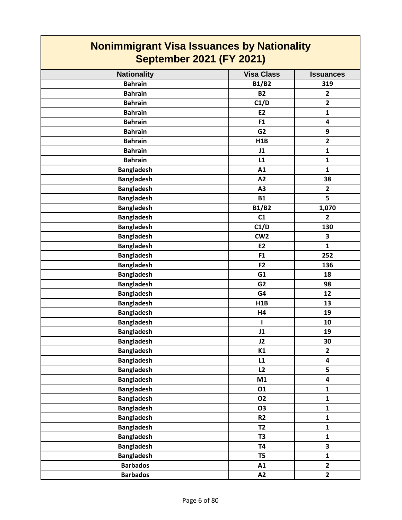| <b>Nonimmigrant Visa Issuances by Nationality</b><br><b>September 2021 (FY 2021)</b> |                   |                         |
|--------------------------------------------------------------------------------------|-------------------|-------------------------|
| <b>Nationality</b>                                                                   | <b>Visa Class</b> | <b>Issuances</b>        |
| <b>Bahrain</b>                                                                       | <b>B1/B2</b>      | 319                     |
| <b>Bahrain</b>                                                                       | <b>B2</b>         | $\mathbf{2}$            |
| <b>Bahrain</b>                                                                       | C1/D              | $\overline{2}$          |
| <b>Bahrain</b>                                                                       | E <sub>2</sub>    | $\mathbf{1}$            |
| <b>Bahrain</b>                                                                       | F <sub>1</sub>    | 4                       |
| <b>Bahrain</b>                                                                       | G <sub>2</sub>    | 9                       |
| <b>Bahrain</b>                                                                       | H <sub>1</sub> B  | $\overline{2}$          |
| <b>Bahrain</b>                                                                       | J1                | $\mathbf{1}$            |
| <b>Bahrain</b>                                                                       | L1                | $\mathbf{1}$            |
| <b>Bangladesh</b>                                                                    | A1                | $\mathbf{1}$            |
| <b>Bangladesh</b>                                                                    | A2                | 38                      |
| <b>Bangladesh</b>                                                                    | A3                | $\overline{2}$          |
| <b>Bangladesh</b>                                                                    | <b>B1</b>         | 5                       |
| <b>Bangladesh</b>                                                                    | <b>B1/B2</b>      | 1,070                   |
| <b>Bangladesh</b>                                                                    | C1                | $\overline{2}$          |
| <b>Bangladesh</b>                                                                    | C1/D              | 130                     |
| <b>Bangladesh</b>                                                                    | CW <sub>2</sub>   | 3                       |
| <b>Bangladesh</b>                                                                    | E <sub>2</sub>    | $\mathbf{1}$            |
| <b>Bangladesh</b>                                                                    | F <sub>1</sub>    | 252                     |
| <b>Bangladesh</b>                                                                    | F <sub>2</sub>    | 136                     |
| <b>Bangladesh</b>                                                                    | G1                | 18                      |
| <b>Bangladesh</b>                                                                    | G <sub>2</sub>    | 98                      |
| <b>Bangladesh</b>                                                                    | G4                | 12                      |
| <b>Bangladesh</b>                                                                    | H1B               | 13                      |
| <b>Bangladesh</b>                                                                    | H4                | 19                      |
| <b>Bangladesh</b>                                                                    |                   | 10                      |
| <b>Bangladesh</b>                                                                    | J1                | 19                      |
| <b>Bangladesh</b>                                                                    | J2                | 30                      |
| <b>Bangladesh</b>                                                                    | K1                | $\overline{2}$          |
| <b>Bangladesh</b>                                                                    | L1                | $\overline{\mathbf{4}}$ |
| <b>Bangladesh</b>                                                                    | L2                | 5                       |
| <b>Bangladesh</b>                                                                    | M1                | $\overline{\mathbf{4}}$ |
| <b>Bangladesh</b>                                                                    | 01                | $\mathbf{1}$            |
| <b>Bangladesh</b>                                                                    | <b>O2</b>         | $\mathbf{1}$            |
| <b>Bangladesh</b>                                                                    | <b>O3</b>         | $\mathbf{1}$            |
| <b>Bangladesh</b>                                                                    | R <sub>2</sub>    | $\mathbf{1}$            |
| <b>Bangladesh</b>                                                                    | <b>T2</b>         | $\mathbf{1}$            |
| <b>Bangladesh</b>                                                                    | T <sub>3</sub>    | $\mathbf{1}$            |
| <b>Bangladesh</b>                                                                    | <b>T4</b>         | 3                       |
| <b>Bangladesh</b>                                                                    | T5                | $\mathbf{1}$            |
| <b>Barbados</b>                                                                      | A1                | $\overline{2}$          |
| <b>Barbados</b>                                                                      | A2                | $\overline{2}$          |

┓

 $\Gamma$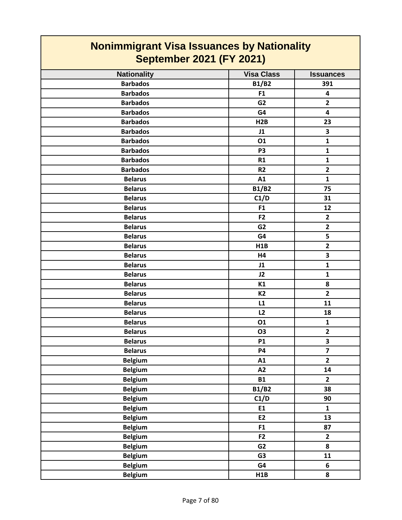| <b>Nationality</b> | <b>Visa Class</b> | <b>Issuances</b>        |
|--------------------|-------------------|-------------------------|
| <b>Barbados</b>    | <b>B1/B2</b>      | 391                     |
| <b>Barbados</b>    | F1                | $\overline{\mathbf{4}}$ |
| <b>Barbados</b>    | G <sub>2</sub>    | $\overline{2}$          |
| <b>Barbados</b>    | G4                | 4                       |
| <b>Barbados</b>    | H2B               | 23                      |
| <b>Barbados</b>    | J1                | $\overline{\mathbf{3}}$ |
| <b>Barbados</b>    | 01                | $\mathbf{1}$            |
| <b>Barbados</b>    | P <sub>3</sub>    | $\mathbf{1}$            |
| <b>Barbados</b>    | R1                | $\mathbf{1}$            |
| <b>Barbados</b>    | R <sub>2</sub>    | $\overline{2}$          |
| <b>Belarus</b>     | A1                | $\mathbf{1}$            |
| <b>Belarus</b>     | <b>B1/B2</b>      | 75                      |
| <b>Belarus</b>     | C1/D              | 31                      |
| <b>Belarus</b>     | F1                | 12                      |
| <b>Belarus</b>     | F <sub>2</sub>    | $\overline{2}$          |
| <b>Belarus</b>     | G <sub>2</sub>    | $\overline{2}$          |
| <b>Belarus</b>     | G4                | 5                       |
| <b>Belarus</b>     | H1B               | $\overline{2}$          |
| <b>Belarus</b>     | H4                | 3                       |
| <b>Belarus</b>     | J1                | $\mathbf{1}$            |
| <b>Belarus</b>     | J2                | $\mathbf{1}$            |
| <b>Belarus</b>     | K1                | 8                       |
| <b>Belarus</b>     | <b>K2</b>         | $\overline{2}$          |
| <b>Belarus</b>     | L1                | 11                      |
| <b>Belarus</b>     | L2                | 18                      |
| <b>Belarus</b>     | 01                | $\mathbf{1}$            |
| <b>Belarus</b>     | O3                | $\overline{2}$          |
| <b>Belarus</b>     | <b>P1</b>         | $\overline{\mathbf{3}}$ |
| <b>Belarus</b>     | <b>P4</b>         | $\overline{\mathbf{z}}$ |
| <b>Belgium</b>     | A1                | $\overline{\mathbf{c}}$ |
| <b>Belgium</b>     | A2                | 14                      |
| <b>Belgium</b>     | <b>B1</b>         | $\overline{2}$          |
| <b>Belgium</b>     | <b>B1/B2</b>      | 38                      |
| <b>Belgium</b>     | C1/D              | 90                      |
| <b>Belgium</b>     | E1                | $\mathbf{1}$            |
| <b>Belgium</b>     | E2                | 13                      |
| <b>Belgium</b>     | F1                | 87                      |
| <b>Belgium</b>     | F <sub>2</sub>    | $\mathbf{2}$            |
| <b>Belgium</b>     | G <sub>2</sub>    | 8                       |
| <b>Belgium</b>     | G <sub>3</sub>    | 11                      |
| <b>Belgium</b>     | G4                | 6                       |
| <b>Belgium</b>     | H1B               | 8                       |
|                    |                   |                         |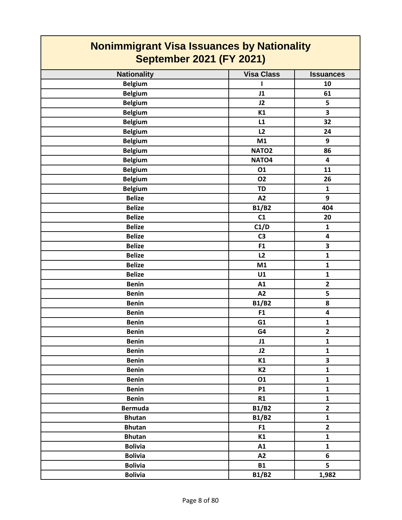| <b>Nationality</b> | <b>Visa Class</b> | <b>Issuances</b>        |
|--------------------|-------------------|-------------------------|
| <b>Belgium</b>     | L                 | 10                      |
| <b>Belgium</b>     | J1                | 61                      |
| <b>Belgium</b>     | J2                | 5                       |
| <b>Belgium</b>     | K1                | 3                       |
| <b>Belgium</b>     | L1                | 32                      |
| <b>Belgium</b>     | L2                | 24                      |
| <b>Belgium</b>     | M1                | 9                       |
| <b>Belgium</b>     | NATO <sub>2</sub> | 86                      |
| <b>Belgium</b>     | NATO4             | $\overline{\mathbf{4}}$ |
| <b>Belgium</b>     | 01                | 11                      |
| <b>Belgium</b>     | <b>O2</b>         | 26                      |
| <b>Belgium</b>     | <b>TD</b>         | $\mathbf{1}$            |
| <b>Belize</b>      | A2                | 9                       |
| <b>Belize</b>      | <b>B1/B2</b>      | 404                     |
| <b>Belize</b>      | C1                | 20                      |
| <b>Belize</b>      | C1/D              | $\mathbf{1}$            |
| <b>Belize</b>      | C <sub>3</sub>    | $\overline{\mathbf{4}}$ |
| <b>Belize</b>      | F1                | 3                       |
| <b>Belize</b>      | L2                | $\mathbf{1}$            |
| <b>Belize</b>      | M1                | $\mathbf{1}$            |
| <b>Belize</b>      | U1                | $\mathbf 1$             |
| <b>Benin</b>       | A1                | $\overline{2}$          |
| <b>Benin</b>       | A2                | 5                       |
| <b>Benin</b>       | <b>B1/B2</b>      | 8                       |
| <b>Benin</b>       | F1                | 4                       |
| <b>Benin</b>       | G1                | $\mathbf 1$             |
| <b>Benin</b>       | G4                | $\overline{\mathbf{2}}$ |
| <b>Benin</b>       | J1                | $\mathbf 1$             |
| <b>Benin</b>       | J2                | $\mathbf 1$             |
| <b>Benin</b>       | K1                | 3                       |
| <b>Benin</b>       | K <sub>2</sub>    | $\mathbf{1}$            |
| <b>Benin</b>       | 01                | $\mathbf{1}$            |
| <b>Benin</b>       | <b>P1</b>         | $\mathbf{1}$            |
| <b>Benin</b>       | R1                | $\mathbf{1}$            |
| <b>Bermuda</b>     | <b>B1/B2</b>      | $\overline{\mathbf{2}}$ |
| <b>Bhutan</b>      | <b>B1/B2</b>      | $\mathbf{1}$            |
| <b>Bhutan</b>      | F <sub>1</sub>    | $\overline{\mathbf{2}}$ |
| <b>Bhutan</b>      | K1                | $\mathbf{1}$            |
| <b>Bolivia</b>     | A1                | $\mathbf{1}$            |
| <b>Bolivia</b>     | A2                | 6                       |
| <b>Bolivia</b>     | <b>B1</b>         | 5                       |
| <b>Bolivia</b>     | <b>B1/B2</b>      | 1,982                   |
|                    |                   |                         |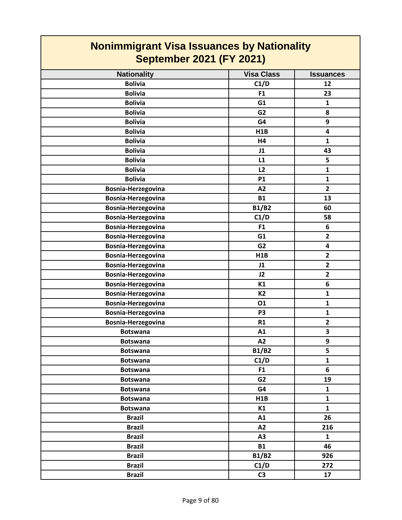| <b>Nationality</b> | <b>Visa Class</b> | <b>Issuances</b>        |
|--------------------|-------------------|-------------------------|
| <b>Bolivia</b>     | C1/D              | 12                      |
| <b>Bolivia</b>     | F1                | 23                      |
| <b>Bolivia</b>     | G1                | $\mathbf{1}$            |
| <b>Bolivia</b>     | G <sub>2</sub>    | 8                       |
| <b>Bolivia</b>     | G4                | 9                       |
| <b>Bolivia</b>     | H1B               | 4                       |
| <b>Bolivia</b>     | H4                | $\mathbf{1}$            |
| <b>Bolivia</b>     | J1                | 43                      |
| <b>Bolivia</b>     | L1                | 5                       |
| <b>Bolivia</b>     | L2                | $\mathbf{1}$            |
| <b>Bolivia</b>     | <b>P1</b>         | $\mathbf{1}$            |
| Bosnia-Herzegovina | A2                | $\overline{2}$          |
| Bosnia-Herzegovina | <b>B1</b>         | 13                      |
| Bosnia-Herzegovina | <b>B1/B2</b>      | 60                      |
| Bosnia-Herzegovina | C1/D              | 58                      |
| Bosnia-Herzegovina | F1                | 6                       |
| Bosnia-Herzegovina | G1                | $\overline{2}$          |
| Bosnia-Herzegovina | G <sub>2</sub>    | 4                       |
| Bosnia-Herzegovina | H1B               | $\overline{\mathbf{2}}$ |
| Bosnia-Herzegovina | J1                | $\overline{\mathbf{2}}$ |
| Bosnia-Herzegovina | J2                | $\overline{\mathbf{2}}$ |
| Bosnia-Herzegovina | K1                | 6                       |
| Bosnia-Herzegovina | <b>K2</b>         | $\mathbf{1}$            |
| Bosnia-Herzegovina | 01                | $\mathbf{1}$            |
| Bosnia-Herzegovina | P <sub>3</sub>    | $\mathbf{1}$            |
| Bosnia-Herzegovina | R1                | $\overline{\mathbf{2}}$ |
| <b>Botswana</b>    | A1                | $\overline{\mathbf{3}}$ |
| <b>Botswana</b>    | A2                | 9                       |
| <b>Botswana</b>    | <b>B1/B2</b>      | 5                       |
| <b>Botswana</b>    | C1/D              | $\mathbf{1}$            |
| <b>Botswana</b>    | F <sub>1</sub>    | 6                       |
| <b>Botswana</b>    | G2                | 19                      |
| <b>Botswana</b>    | G4                | $\mathbf{1}$            |
| <b>Botswana</b>    | H1B               | $\mathbf{1}$            |
| <b>Botswana</b>    | K1                | $\mathbf{1}$            |
| <b>Brazil</b>      | A1                | 26                      |
| <b>Brazil</b>      | A2                | 216                     |
| <b>Brazil</b>      | A3                | $\mathbf{1}$            |
| <b>Brazil</b>      | <b>B1</b>         | 46                      |
| <b>Brazil</b>      | <b>B1/B2</b>      | 926                     |
| <b>Brazil</b>      | C1/D              | 272                     |
| <b>Brazil</b>      | C3                | 17                      |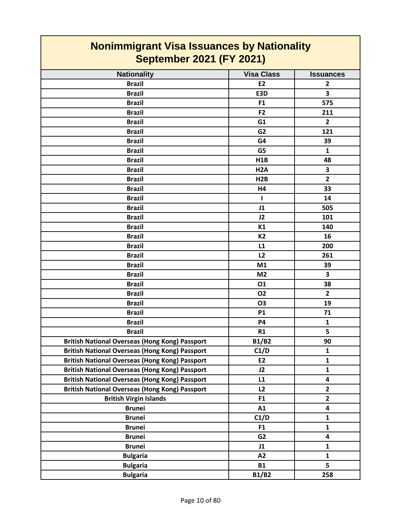| <b>Nationality</b>                                                                                                                                                                                                                                                                                                                                                                                                                                                                                                                | <b>Visa Class</b>                                                                                                                                         | <b>Issuances</b>                                                                                                                                                                                                                 |
|-----------------------------------------------------------------------------------------------------------------------------------------------------------------------------------------------------------------------------------------------------------------------------------------------------------------------------------------------------------------------------------------------------------------------------------------------------------------------------------------------------------------------------------|-----------------------------------------------------------------------------------------------------------------------------------------------------------|----------------------------------------------------------------------------------------------------------------------------------------------------------------------------------------------------------------------------------|
| <b>Brazil</b>                                                                                                                                                                                                                                                                                                                                                                                                                                                                                                                     | <b>E2</b>                                                                                                                                                 | $\overline{2}$                                                                                                                                                                                                                   |
| <b>Brazil</b>                                                                                                                                                                                                                                                                                                                                                                                                                                                                                                                     | E3D                                                                                                                                                       | 3                                                                                                                                                                                                                                |
| <b>Brazil</b>                                                                                                                                                                                                                                                                                                                                                                                                                                                                                                                     | F1                                                                                                                                                        | 575                                                                                                                                                                                                                              |
| <b>Brazil</b>                                                                                                                                                                                                                                                                                                                                                                                                                                                                                                                     | F <sub>2</sub>                                                                                                                                            | 211                                                                                                                                                                                                                              |
| <b>Brazil</b>                                                                                                                                                                                                                                                                                                                                                                                                                                                                                                                     | G <sub>1</sub>                                                                                                                                            | $\overline{2}$                                                                                                                                                                                                                   |
| <b>Brazil</b>                                                                                                                                                                                                                                                                                                                                                                                                                                                                                                                     | G <sub>2</sub>                                                                                                                                            | 121                                                                                                                                                                                                                              |
| <b>Brazil</b>                                                                                                                                                                                                                                                                                                                                                                                                                                                                                                                     | G4                                                                                                                                                        | 39                                                                                                                                                                                                                               |
| <b>Brazil</b>                                                                                                                                                                                                                                                                                                                                                                                                                                                                                                                     | G5                                                                                                                                                        | $\mathbf{1}$                                                                                                                                                                                                                     |
| <b>Brazil</b>                                                                                                                                                                                                                                                                                                                                                                                                                                                                                                                     | H1B                                                                                                                                                       | 48                                                                                                                                                                                                                               |
| <b>Brazil</b>                                                                                                                                                                                                                                                                                                                                                                                                                                                                                                                     | H <sub>2</sub> A                                                                                                                                          | $\overline{\mathbf{3}}$                                                                                                                                                                                                          |
| <b>Brazil</b>                                                                                                                                                                                                                                                                                                                                                                                                                                                                                                                     | H2B                                                                                                                                                       | $\overline{2}$                                                                                                                                                                                                                   |
| <b>Brazil</b>                                                                                                                                                                                                                                                                                                                                                                                                                                                                                                                     | H4                                                                                                                                                        | 33                                                                                                                                                                                                                               |
| <b>Brazil</b>                                                                                                                                                                                                                                                                                                                                                                                                                                                                                                                     | $\mathbf{I}$                                                                                                                                              | 14                                                                                                                                                                                                                               |
| <b>Brazil</b>                                                                                                                                                                                                                                                                                                                                                                                                                                                                                                                     | J1                                                                                                                                                        | 505                                                                                                                                                                                                                              |
| <b>Brazil</b>                                                                                                                                                                                                                                                                                                                                                                                                                                                                                                                     | J2                                                                                                                                                        | 101                                                                                                                                                                                                                              |
| <b>Brazil</b>                                                                                                                                                                                                                                                                                                                                                                                                                                                                                                                     | K1                                                                                                                                                        | 140                                                                                                                                                                                                                              |
| <b>Brazil</b>                                                                                                                                                                                                                                                                                                                                                                                                                                                                                                                     | K2                                                                                                                                                        | 16                                                                                                                                                                                                                               |
| <b>Brazil</b>                                                                                                                                                                                                                                                                                                                                                                                                                                                                                                                     | L1                                                                                                                                                        | 200                                                                                                                                                                                                                              |
| <b>Brazil</b>                                                                                                                                                                                                                                                                                                                                                                                                                                                                                                                     | L2                                                                                                                                                        | 261                                                                                                                                                                                                                              |
| <b>Brazil</b>                                                                                                                                                                                                                                                                                                                                                                                                                                                                                                                     | M1                                                                                                                                                        | 39                                                                                                                                                                                                                               |
| <b>Brazil</b>                                                                                                                                                                                                                                                                                                                                                                                                                                                                                                                     | M <sub>2</sub>                                                                                                                                            | 3                                                                                                                                                                                                                                |
| <b>Brazil</b>                                                                                                                                                                                                                                                                                                                                                                                                                                                                                                                     | 01                                                                                                                                                        | 38                                                                                                                                                                                                                               |
| <b>Brazil</b>                                                                                                                                                                                                                                                                                                                                                                                                                                                                                                                     | <b>O2</b>                                                                                                                                                 | $\overline{2}$                                                                                                                                                                                                                   |
| <b>Brazil</b>                                                                                                                                                                                                                                                                                                                                                                                                                                                                                                                     | <b>O3</b>                                                                                                                                                 | 19                                                                                                                                                                                                                               |
| <b>Brazil</b>                                                                                                                                                                                                                                                                                                                                                                                                                                                                                                                     | <b>P1</b>                                                                                                                                                 | 71                                                                                                                                                                                                                               |
| <b>Brazil</b>                                                                                                                                                                                                                                                                                                                                                                                                                                                                                                                     | <b>P4</b>                                                                                                                                                 | $\mathbf{1}$                                                                                                                                                                                                                     |
| <b>Brazil</b>                                                                                                                                                                                                                                                                                                                                                                                                                                                                                                                     | R1                                                                                                                                                        | 5                                                                                                                                                                                                                                |
|                                                                                                                                                                                                                                                                                                                                                                                                                                                                                                                                   |                                                                                                                                                           | 90                                                                                                                                                                                                                               |
|                                                                                                                                                                                                                                                                                                                                                                                                                                                                                                                                   |                                                                                                                                                           |                                                                                                                                                                                                                                  |
|                                                                                                                                                                                                                                                                                                                                                                                                                                                                                                                                   |                                                                                                                                                           |                                                                                                                                                                                                                                  |
|                                                                                                                                                                                                                                                                                                                                                                                                                                                                                                                                   |                                                                                                                                                           |                                                                                                                                                                                                                                  |
|                                                                                                                                                                                                                                                                                                                                                                                                                                                                                                                                   |                                                                                                                                                           |                                                                                                                                                                                                                                  |
|                                                                                                                                                                                                                                                                                                                                                                                                                                                                                                                                   |                                                                                                                                                           |                                                                                                                                                                                                                                  |
|                                                                                                                                                                                                                                                                                                                                                                                                                                                                                                                                   |                                                                                                                                                           |                                                                                                                                                                                                                                  |
|                                                                                                                                                                                                                                                                                                                                                                                                                                                                                                                                   |                                                                                                                                                           |                                                                                                                                                                                                                                  |
|                                                                                                                                                                                                                                                                                                                                                                                                                                                                                                                                   |                                                                                                                                                           |                                                                                                                                                                                                                                  |
|                                                                                                                                                                                                                                                                                                                                                                                                                                                                                                                                   |                                                                                                                                                           |                                                                                                                                                                                                                                  |
|                                                                                                                                                                                                                                                                                                                                                                                                                                                                                                                                   |                                                                                                                                                           |                                                                                                                                                                                                                                  |
|                                                                                                                                                                                                                                                                                                                                                                                                                                                                                                                                   |                                                                                                                                                           |                                                                                                                                                                                                                                  |
|                                                                                                                                                                                                                                                                                                                                                                                                                                                                                                                                   |                                                                                                                                                           |                                                                                                                                                                                                                                  |
|                                                                                                                                                                                                                                                                                                                                                                                                                                                                                                                                   |                                                                                                                                                           |                                                                                                                                                                                                                                  |
|                                                                                                                                                                                                                                                                                                                                                                                                                                                                                                                                   |                                                                                                                                                           |                                                                                                                                                                                                                                  |
| <b>British National Overseas (Hong Kong) Passport</b><br><b>British National Overseas (Hong Kong) Passport</b><br><b>British National Overseas (Hong Kong) Passport</b><br><b>British National Overseas (Hong Kong) Passport</b><br><b>British National Overseas (Hong Kong) Passport</b><br><b>British National Overseas (Hong Kong) Passport</b><br><b>British Virgin Islands</b><br><b>Brunei</b><br><b>Brunei</b><br><b>Brunei</b><br><b>Brunei</b><br><b>Brunei</b><br><b>Bulgaria</b><br><b>Bulgaria</b><br><b>Bulgaria</b> | <b>B1/B2</b><br>C1/D<br>E <sub>2</sub><br>J2<br>L1<br>L2<br>F <sub>1</sub><br>A1<br>C1/D<br>F1<br>G <sub>2</sub><br>J1<br>A2<br><b>B1</b><br><b>B1/B2</b> | $\mathbf{1}$<br>1<br>$\mathbf{1}$<br>$\overline{\mathbf{4}}$<br>$\mathbf{2}$<br>$\overline{2}$<br>$\overline{\mathbf{4}}$<br>$\mathbf{1}$<br>$\mathbf{1}$<br>$\overline{\mathbf{4}}$<br>$\mathbf{1}$<br>$\mathbf{1}$<br>5<br>258 |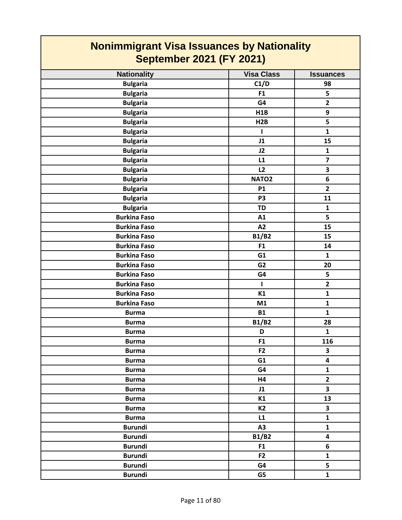#### **Nationality Visa Class I Issuances Nonimmigrant Visa Issuances by Nationality September 2021 (FY 2021) Bulgaria C1/D 98 Bulgaria F1 5 Bulgaria G4 2 Bulgaria H1B 9 Bulgaria H2B 5 Bulgaria 1 1 1 1 Bulgaria J1 15 Bulgaria J2 1 Bulgaria L1 7 Bulgaria L2 3 Bulgaria NATO2 6 Bulgaria P1 2 Bulgaria P3 11 Bulgaria TD 1 Burkina Faso A1 5 Burkina Faso A2 15 Burkina Faso B1/B2 15 Burkina Faso F1 14 Burkina Faso G1 1 Burkina Faso G2 20 Burkina Faso G4 5 Burkina Faso I 2 Burkina Faso K1 1 Burkina Faso 1 M1 1 1 Burma B1 1 Burma B1/B2 28 Burma D 1 Burma F1 116 Burma F2 3 Burma G1 4 Burma G4 1 Burma H4 2 Burma J1 3 Burma K1 13 Burma K2 3 Burma L1 1 Burundi A3 1 Burundi B1/B2 4 Burundi F1 6 Burundi F2 1 Burundi G4 5**

**Burundi G5 1**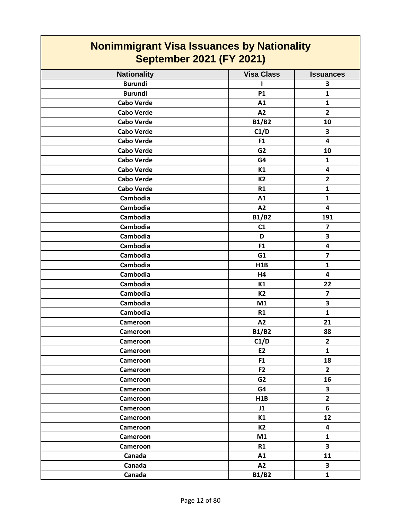| <b>Nonimmigrant Visa Issuances by Nationality</b><br><b>September 2021 (FY 2021)</b> |                   |                         |
|--------------------------------------------------------------------------------------|-------------------|-------------------------|
| <b>Nationality</b>                                                                   | <b>Visa Class</b> | <b>Issuances</b>        |
| <b>Burundi</b>                                                                       |                   | 3                       |
| <b>Burundi</b>                                                                       | <b>P1</b>         | 1                       |
| <b>Cabo Verde</b>                                                                    | A1                | $\mathbf{1}$            |
| <b>Cabo Verde</b>                                                                    | A2                | $\overline{\mathbf{2}}$ |
| <b>Cabo Verde</b>                                                                    | <b>B1/B2</b>      | 10                      |
| <b>Cabo Verde</b>                                                                    | C1/D              | 3                       |
| <b>Cabo Verde</b>                                                                    | F <sub>1</sub>    | 4                       |
| <b>Cabo Verde</b>                                                                    | G <sub>2</sub>    | 10                      |
| <b>Cabo Verde</b>                                                                    | G4                | $\mathbf{1}$            |
| <b>Cabo Verde</b>                                                                    | K1                | $\overline{\mathbf{4}}$ |
| <b>Cabo Verde</b>                                                                    | K2                | $\overline{2}$          |
| <b>Cabo Verde</b>                                                                    | R1                | $\mathbf{1}$            |
| Cambodia                                                                             | A1                | $\mathbf{1}$            |
| Cambodia                                                                             | A2                | 4                       |
| Cambodia                                                                             | <b>B1/B2</b>      | 191                     |
| Cambodia                                                                             | C <sub>1</sub>    | $\overline{\mathbf{z}}$ |
| Cambodia                                                                             | D                 | 3                       |
| Cambodia                                                                             | F <sub>1</sub>    | $\overline{\mathbf{4}}$ |
| Cambodia                                                                             | G1                | $\overline{\mathbf{z}}$ |
| Cambodia                                                                             | H <sub>1</sub> B  | $\mathbf{1}$            |
| Cambodia                                                                             | H4                | 4                       |
| Cambodia                                                                             | K1                | 22                      |
| Cambodia                                                                             | <b>K2</b>         | $\overline{\mathbf{z}}$ |
| Cambodia                                                                             | M1                | 3                       |
| Cambodia                                                                             | R1                | $\mathbf{1}$            |
| Cameroon                                                                             | A2                | 21                      |
| Cameroon                                                                             | <b>B1/B2</b>      | 88                      |
| Cameroon                                                                             | C1/D              | $\mathbf{2}$            |
| Cameroon                                                                             | E2                | $\mathbf{1}$            |
| Cameroon                                                                             | F <sub>1</sub>    | 18                      |
| Cameroon                                                                             | F <sub>2</sub>    | $\overline{2}$          |
| Cameroon                                                                             | G <sub>2</sub>    | 16                      |
| Cameroon                                                                             | G4                | 3                       |
| Cameroon                                                                             | H1B               | $\overline{2}$          |
| Cameroon                                                                             | J1                | 6                       |
| Cameroon                                                                             | K1                | 12                      |
| Cameroon                                                                             | <b>K2</b>         | $\overline{\mathbf{4}}$ |
| Cameroon                                                                             | M1                | 1                       |
| Cameroon                                                                             | R1                | $\overline{\mathbf{3}}$ |
| Canada                                                                               | A1                | 11                      |
| Canada                                                                               | A2                | $\overline{\mathbf{3}}$ |
| Canada                                                                               | <b>B1/B2</b>      | $\mathbf{1}$            |

┑

 $\Gamma$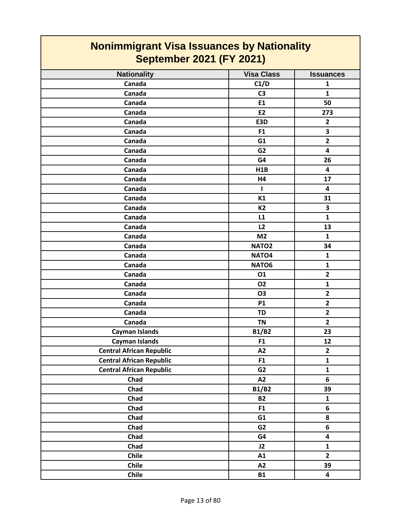| <b>Nonimmigrant Visa Issuances by Nationality</b><br><b>September 2021 (FY 2021)</b> |                   |                         |
|--------------------------------------------------------------------------------------|-------------------|-------------------------|
| <b>Nationality</b>                                                                   | <b>Visa Class</b> | <b>Issuances</b>        |
| Canada                                                                               | C1/D              | 1                       |
| Canada                                                                               | C <sub>3</sub>    | 1                       |
| Canada                                                                               | E1                | 50                      |
| Canada                                                                               | E2                | 273                     |
| Canada                                                                               | E3D               | $\mathbf{2}$            |
| Canada                                                                               | F <sub>1</sub>    | 3                       |
| Canada                                                                               | G <sub>1</sub>    | $\mathbf{2}$            |
| Canada                                                                               | G <sub>2</sub>    | $\overline{\mathbf{4}}$ |
| Canada                                                                               | G4                | 26                      |
| Canada                                                                               | H1B               | 4                       |
| Canada                                                                               | H4                | 17                      |
| Canada                                                                               |                   | 4                       |
| Canada                                                                               | K1                | 31                      |
| Canada                                                                               | K <sub>2</sub>    | 3                       |
| Canada                                                                               | L1                | $\mathbf{1}$            |
| Canada                                                                               | L2                | 13                      |
| Canada                                                                               | M <sub>2</sub>    | $\mathbf{1}$            |
| Canada                                                                               | NATO <sub>2</sub> | 34                      |
| Canada                                                                               | NATO <sub>4</sub> | 1                       |
| Canada                                                                               | NATO6             | $\mathbf{1}$            |
| Canada                                                                               | 01                | $\mathbf{2}$            |
| Canada                                                                               | <b>O2</b>         | 1                       |
| Canada                                                                               | O3                | $\overline{\mathbf{2}}$ |
| Canada                                                                               | <b>P1</b>         | $\overline{2}$          |
| Canada                                                                               | TD                | $\overline{2}$          |
| Canada                                                                               | <b>TN</b>         | $\overline{\mathbf{2}}$ |
| <b>Cayman Islands</b>                                                                | <b>B1/B2</b>      | 23                      |
| <b>Cayman Islands</b>                                                                | F <sub>1</sub>    | 12                      |
| <b>Central African Republic</b>                                                      | A2                | $\mathbf{2}$            |
| <b>Central African Republic</b>                                                      | F1                | $\mathbf{1}$            |
| <b>Central African Republic</b>                                                      | G <sub>2</sub>    | $\mathbf 1$             |
| Chad                                                                                 | A2                | 6                       |
| Chad                                                                                 | <b>B1/B2</b>      | 39                      |
| Chad                                                                                 | <b>B2</b>         | $\mathbf{1}$            |
| Chad                                                                                 | F1                | $\bf 6$                 |
| Chad                                                                                 | G1                | 8                       |
| Chad                                                                                 | G <sub>2</sub>    | 6                       |
| Chad                                                                                 | G4                | 4                       |
| Chad                                                                                 | J2                | $\mathbf{1}$            |
| Chile                                                                                | A1                | $\mathbf{2}$            |
| <b>Chile</b>                                                                         | A2                | 39                      |
| Chile                                                                                | <b>B1</b>         | $\overline{\mathbf{4}}$ |

┓

 $\overline{\phantom{0}}$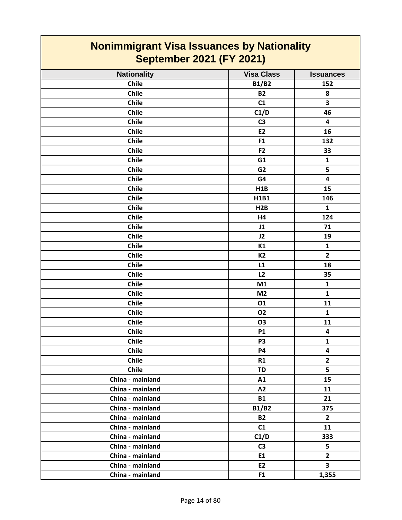| <b>Nationality</b> | <b>Visa Class</b> | <b>Issuances</b>        |
|--------------------|-------------------|-------------------------|
| <b>Chile</b>       | <b>B1/B2</b>      | 152                     |
| Chile              | <b>B2</b>         | 8                       |
| Chile              | C1                | $\overline{\mathbf{3}}$ |
| Chile              | C1/D              | 46                      |
| <b>Chile</b>       | C <sub>3</sub>    | $\overline{\mathbf{4}}$ |
| Chile              | E2                | 16                      |
| <b>Chile</b>       | F1                | 132                     |
| Chile              | F <sub>2</sub>    | 33                      |
| Chile              | G1                | $\mathbf{1}$            |
| <b>Chile</b>       | G <sub>2</sub>    | 5                       |
| Chile              | G4                | $\overline{\mathbf{4}}$ |
| <b>Chile</b>       | H1B               | 15                      |
| Chile              | H1B1              | 146                     |
| Chile              | H2B               | $\mathbf{1}$            |
| Chile              | H4                | 124                     |
| Chile              | J1                | 71                      |
| Chile              | J2                | 19                      |
| Chile              | K1                | $\mathbf{1}$            |
| Chile              | K2                | $\overline{2}$          |
| Chile              | L1                | 18                      |
| <b>Chile</b>       | L2                | 35                      |
| Chile              | M1                | $\mathbf{1}$            |
| Chile              | M <sub>2</sub>    | $\mathbf{1}$            |
| <b>Chile</b>       | 01                | 11                      |
| Chile              | <b>O2</b>         | $\mathbf{1}$            |
| <b>Chile</b>       | O <sub>3</sub>    | 11                      |
| Chile              | <b>P1</b>         | $\overline{\mathbf{4}}$ |
| Chile              | P <sub>3</sub>    | $\mathbf{1}$            |
| <b>Chile</b>       | <b>P4</b>         | $\overline{\mathbf{4}}$ |
| Chile              | R1                | $\mathbf{2}$            |
| Chile              | <b>TD</b>         | 5                       |
| China - mainland   | A1                | 15                      |
| China - mainland   | A2                | 11                      |
| China - mainland   | <b>B1</b>         | 21                      |
| China - mainland   | <b>B1/B2</b>      | 375                     |
| China - mainland   | <b>B2</b>         | $\mathbf{2}$            |
| China - mainland   | C1                | 11                      |
| China - mainland   | C1/D              | 333                     |
| China - mainland   | C3                | 5                       |
| China - mainland   | E1                | $\overline{\mathbf{2}}$ |
| China - mainland   | E2                | $\overline{\mathbf{3}}$ |
| China - mainland   | F <sub>1</sub>    | 1,355                   |
|                    |                   |                         |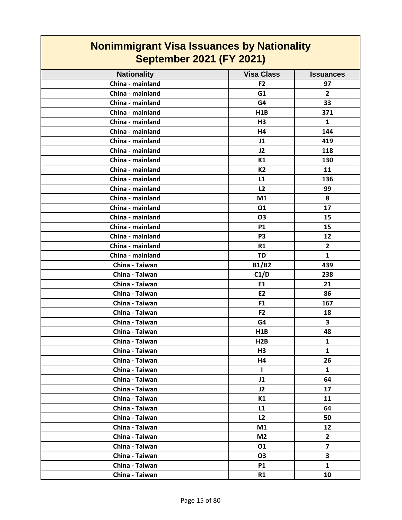| <b>Nonimmigrant Visa Issuances by Nationality</b><br><b>September 2021 (FY 2021)</b> |                   |                         |
|--------------------------------------------------------------------------------------|-------------------|-------------------------|
| <b>Nationality</b>                                                                   | <b>Visa Class</b> | <b>Issuances</b>        |
| China - mainland                                                                     | F <sub>2</sub>    | 97                      |
| China - mainland                                                                     | G1                | $\overline{2}$          |
| China - mainland                                                                     | G4                |                         |
| China - mainland                                                                     |                   | 33                      |
| China - mainland                                                                     | H <sub>1</sub> B  | 371<br>$\mathbf{1}$     |
| China - mainland                                                                     | H <sub>3</sub>    |                         |
|                                                                                      | H4                | 144                     |
| China - mainland                                                                     | J1                | 419                     |
| China - mainland                                                                     | J2                | 118                     |
| China - mainland                                                                     | K1                | 130                     |
| China - mainland                                                                     | <b>K2</b>         | 11                      |
| China - mainland                                                                     | L1                | 136                     |
| China - mainland                                                                     | L2                | 99                      |
| China - mainland                                                                     | M1                | 8                       |
| China - mainland                                                                     | 01                | 17                      |
| China - mainland                                                                     | <b>O3</b>         | 15                      |
| China - mainland                                                                     | <b>P1</b>         | 15                      |
| China - mainland                                                                     | P <sub>3</sub>    | 12                      |
| China - mainland                                                                     | R1                | $\overline{2}$          |
| China - mainland                                                                     | <b>TD</b>         | $\mathbf{1}$            |
| China - Taiwan                                                                       | <b>B1/B2</b>      | 439                     |
| China - Taiwan                                                                       | C1/D              | 238                     |
| China - Taiwan                                                                       | E1                | 21                      |
| China - Taiwan                                                                       | <b>E2</b>         | 86                      |
| China - Taiwan                                                                       | F <sub>1</sub>    | 167                     |
| China - Taiwan                                                                       | F <sub>2</sub>    | 18                      |
| China - Taiwan                                                                       | G4                | 3                       |
| China - Taiwan                                                                       | H <sub>1</sub> B  | 48                      |
| China - Taiwan                                                                       | H2B               | 1                       |
| China - Taiwan                                                                       | H3                | $\mathbf{1}$            |
| China - Taiwan                                                                       | Η4                | 26                      |
| China - Taiwan                                                                       | $\mathbf{I}$      | $\mathbf{1}$            |
| China - Taiwan                                                                       | J1                | 64                      |
| China - Taiwan                                                                       | J2                | 17                      |
| China - Taiwan                                                                       | K1                | 11                      |
| China - Taiwan                                                                       | L1                | 64                      |
| China - Taiwan                                                                       | L2                | 50                      |
| China - Taiwan                                                                       | M1                | 12                      |
| China - Taiwan                                                                       | M <sub>2</sub>    | $\mathbf{2}$            |
| China - Taiwan                                                                       | 01                | $\overline{\mathbf{z}}$ |
| China - Taiwan                                                                       | <b>O3</b>         | 3                       |
| China - Taiwan                                                                       | <b>P1</b>         | $\mathbf{1}$            |
| China - Taiwan                                                                       | R1                | 10                      |

L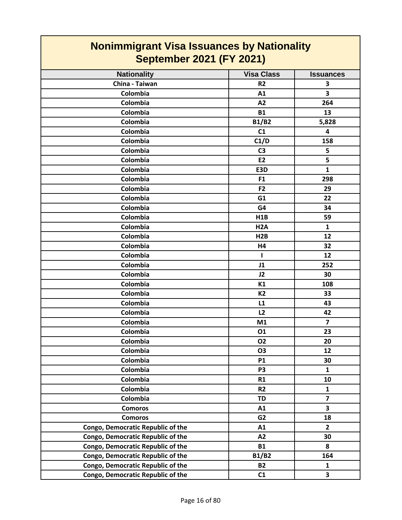| <b>Nonimmigrant Visa Issuances by Nationality</b><br><b>September 2021 (FY 2021)</b> |                   |                         |
|--------------------------------------------------------------------------------------|-------------------|-------------------------|
| <b>Nationality</b>                                                                   | <b>Visa Class</b> | <b>Issuances</b>        |
| China - Taiwan                                                                       | R <sub>2</sub>    | 3                       |
| Colombia                                                                             | A1                | 3                       |
| Colombia                                                                             | A2                | 264                     |
| Colombia                                                                             | <b>B1</b>         | 13                      |
| Colombia                                                                             | <b>B1/B2</b>      | 5,828                   |
| Colombia                                                                             | C1                | 4                       |
| Colombia                                                                             | C1/D              | 158                     |
| Colombia                                                                             | C <sub>3</sub>    | 5                       |
| Colombia                                                                             | <b>E2</b>         | 5                       |
| Colombia                                                                             | E3D               | $\mathbf{1}$            |
| Colombia                                                                             | F <sub>1</sub>    | 298                     |
| Colombia                                                                             | F <sub>2</sub>    | 29                      |
| Colombia                                                                             | G1                | 22                      |
| Colombia                                                                             | G4                | 34                      |
| Colombia                                                                             | H1B               | 59                      |
| Colombia                                                                             | H <sub>2</sub> A  | $\mathbf{1}$            |
| Colombia                                                                             | H2B               | 12                      |
| Colombia                                                                             | H4                | 32                      |
| Colombia                                                                             | ı                 | 12                      |
| Colombia                                                                             | J1                | 252                     |
| Colombia                                                                             | J2                | 30                      |
| Colombia                                                                             | K1                | 108                     |
| Colombia                                                                             | <b>K2</b>         | 33                      |
| Colombia                                                                             | L1                | 43                      |
| Colombia                                                                             | L2                | 42                      |
| Colombia                                                                             | M1                | $\overline{7}$          |
| Colombia                                                                             | 01                | 23                      |
| Colombia                                                                             | <b>O2</b>         | 20                      |
| Colombia                                                                             | <b>O3</b>         | 12                      |
| Colombia                                                                             | <b>P1</b>         | 30                      |
| Colombia                                                                             | P <sub>3</sub>    | $\mathbf{1}$            |
| Colombia                                                                             | R1                | 10                      |
| Colombia                                                                             | R <sub>2</sub>    | $\mathbf{1}$            |
| Colombia                                                                             | <b>TD</b>         | $\overline{7}$          |
| <b>Comoros</b>                                                                       | A1                | 3                       |
| <b>Comoros</b>                                                                       | G <sub>2</sub>    | 18                      |
| Congo, Democratic Republic of the                                                    | A1                | $\overline{2}$          |
| Congo, Democratic Republic of the                                                    | A2                | 30                      |
| Congo, Democratic Republic of the                                                    | <b>B1</b>         | 8                       |
| Congo, Democratic Republic of the                                                    | <b>B1/B2</b>      | 164                     |
| Congo, Democratic Republic of the                                                    | <b>B2</b>         | $\mathbf{1}$            |
| Congo, Democratic Republic of the                                                    | C1                | $\overline{\mathbf{3}}$ |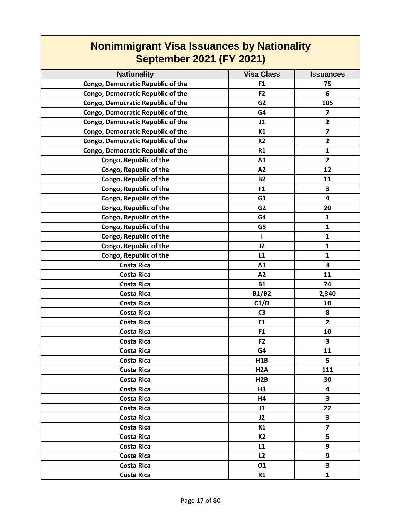| <b>Nationality</b>                | <b>Visa Class</b> | <b>Issuances</b>        |
|-----------------------------------|-------------------|-------------------------|
| Congo, Democratic Republic of the | F1                | 75                      |
| Congo, Democratic Republic of the | F <sub>2</sub>    | 6                       |
| Congo, Democratic Republic of the | G <sub>2</sub>    | 105                     |
| Congo, Democratic Republic of the | G4                | $\overline{\mathbf{z}}$ |
| Congo, Democratic Republic of the | J1                | $\overline{2}$          |
| Congo, Democratic Republic of the | K1                | $\overline{7}$          |
| Congo, Democratic Republic of the | <b>K2</b>         | $\mathbf{2}$            |
| Congo, Democratic Republic of the | R1                | $\mathbf{1}$            |
| Congo, Republic of the            | A1                | $\overline{\mathbf{2}}$ |
| Congo, Republic of the            | A2                | 12                      |
| Congo, Republic of the            | <b>B2</b>         | 11                      |
| Congo, Republic of the            | F <sub>1</sub>    | 3                       |
| Congo, Republic of the            | G1                | $\overline{\mathbf{4}}$ |
| Congo, Republic of the            | G <sub>2</sub>    | 20                      |
| Congo, Republic of the            | G4                | $\mathbf{1}$            |
| Congo, Republic of the            | G5                | $\mathbf{1}$            |
| Congo, Republic of the            | ш                 | 1                       |
| Congo, Republic of the            | J2                | $\mathbf{1}$            |
| Congo, Republic of the            | L1                | $\mathbf{1}$            |
| <b>Costa Rica</b>                 | A1                | 3                       |
| <b>Costa Rica</b>                 | A2                | 11                      |
| <b>Costa Rica</b>                 | <b>B1</b>         | 74                      |
| <b>Costa Rica</b>                 | <b>B1/B2</b>      | 2,340                   |
| <b>Costa Rica</b>                 | C1/D              | 10                      |
| <b>Costa Rica</b>                 | C <sub>3</sub>    | 8                       |
| <b>Costa Rica</b>                 | E1                | $\overline{2}$          |
| <b>Costa Rica</b>                 | F1                | 10                      |
| <b>Costa Rica</b>                 | F <sub>2</sub>    | 3                       |
| <b>Costa Rica</b>                 | G4                | 11                      |
| <b>Costa Rica</b>                 | H1B               | 5                       |
| <b>Costa Rica</b>                 | H <sub>2</sub> A  | 111                     |
| <b>Costa Rica</b>                 | H2B               | 30                      |
| <b>Costa Rica</b>                 | H3                | 4                       |
| <b>Costa Rica</b>                 | H4                | 3                       |
| <b>Costa Rica</b>                 | J1                | 22                      |
| <b>Costa Rica</b>                 | J2                | 3                       |
| <b>Costa Rica</b>                 | K1                | $\overline{7}$          |
| Costa Rica                        | K2                | 5                       |
| <b>Costa Rica</b>                 | L1                | 9                       |
| Costa Rica                        | L2                | 9                       |
| <b>Costa Rica</b>                 | 01                | 3                       |
| <b>Costa Rica</b>                 | R1                | $\mathbf{1}$            |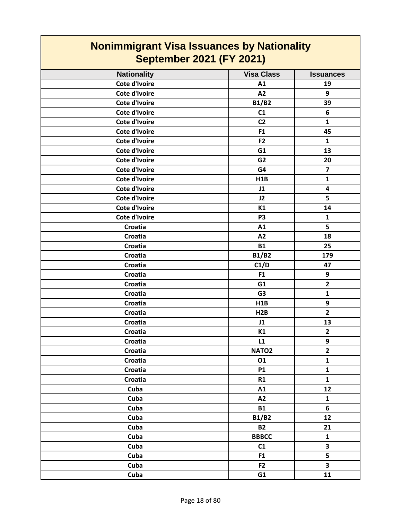| <b>Nonimmigrant Visa Issuances by Nationality</b><br><b>September 2021 (FY 2021)</b> |                   |                         |
|--------------------------------------------------------------------------------------|-------------------|-------------------------|
| <b>Nationality</b>                                                                   | <b>Visa Class</b> | <b>Issuances</b>        |
| Cote d'Ivoire                                                                        | A1                | 19                      |
| Cote d'Ivoire                                                                        | A2                | 9                       |
| Cote d'Ivoire                                                                        | <b>B1/B2</b>      | 39                      |
| Cote d'Ivoire                                                                        | C1                | 6                       |
| Cote d'Ivoire                                                                        | C <sub>2</sub>    | 1                       |
| Cote d'Ivoire                                                                        | F1                | 45                      |
| Cote d'Ivoire                                                                        | F <sub>2</sub>    | $\mathbf{1}$            |
| Cote d'Ivoire                                                                        | G1                | 13                      |
| Cote d'Ivoire                                                                        | G <sub>2</sub>    | 20                      |
| Cote d'Ivoire                                                                        | G4                | 7                       |
| Cote d'Ivoire                                                                        | H1B               | 1                       |
| Cote d'Ivoire                                                                        | J1                | $\overline{\mathbf{4}}$ |
| Cote d'Ivoire                                                                        | J2                | 5                       |
| Cote d'Ivoire                                                                        | K1                | 14                      |
| Cote d'Ivoire                                                                        | P <sub>3</sub>    | $\mathbf{1}$            |
| Croatia                                                                              | A1                | 5                       |
| Croatia                                                                              | A2                | 18                      |
| Croatia                                                                              | <b>B1</b>         | 25                      |
| Croatia                                                                              | <b>B1/B2</b>      | 179                     |
| Croatia                                                                              | C1/D              | 47                      |
| Croatia                                                                              | F <sub>1</sub>    | 9                       |
| Croatia                                                                              | G1                | $\mathbf{2}$            |
| Croatia                                                                              | G <sub>3</sub>    | $\mathbf{1}$            |
| <b>Croatia</b>                                                                       | H1B               | 9                       |
| Croatia                                                                              | H2B               | $\overline{2}$          |
| <b>Croatia</b>                                                                       | J1                | 13                      |
| Croatia                                                                              | K1                | $\overline{2}$          |
| Croatia                                                                              | L1                | 9                       |
| Croatia                                                                              | NATO <sub>2</sub> | $\overline{2}$          |
| Croatia                                                                              | 01                | $\mathbf{1}$            |
| Croatia                                                                              | <b>P1</b>         | $\mathbf{1}$            |
| Croatia                                                                              | R1                | $\mathbf{1}$            |
| Cuba                                                                                 | A1                | 12                      |
| Cuba                                                                                 | A2                | ${\bf 1}$               |
| Cuba                                                                                 | <b>B1</b>         | 6                       |
| Cuba                                                                                 | <b>B1/B2</b>      | 12                      |
| Cuba                                                                                 | <b>B2</b>         | 21                      |
| Cuba                                                                                 | <b>BBBCC</b>      | $\mathbf{1}$            |
| Cuba                                                                                 | C1                | $\overline{\mathbf{3}}$ |
| Cuba                                                                                 | F <sub>1</sub>    | 5                       |
| Cuba                                                                                 | F <sub>2</sub>    | 3                       |
| Cuba                                                                                 | G1                | 11                      |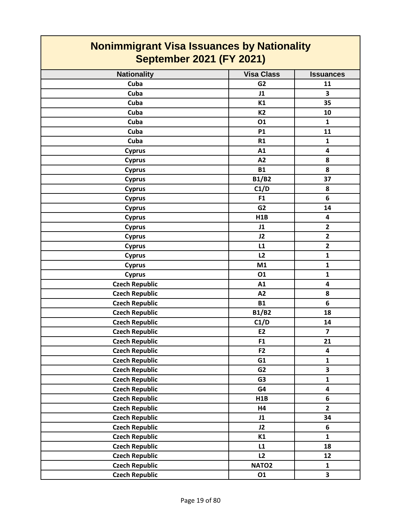| <b>Nationality</b>    | <b>Visa Class</b> | <b>Issuances</b>        |
|-----------------------|-------------------|-------------------------|
| Cuba                  | G <sub>2</sub>    | 11                      |
| Cuba                  | J1                | 3                       |
| Cuba                  | K1                | 35                      |
| Cuba                  | <b>K2</b>         | 10                      |
| Cuba                  | 01                | $\mathbf{1}$            |
| Cuba                  | <b>P1</b>         | 11                      |
| Cuba                  | R1                | 1                       |
| <b>Cyprus</b>         | A1                | 4                       |
| <b>Cyprus</b>         | A2                | 8                       |
| <b>Cyprus</b>         | <b>B1</b>         | 8                       |
| <b>Cyprus</b>         | <b>B1/B2</b>      | 37                      |
| <b>Cyprus</b>         | C1/D              | 8                       |
| <b>Cyprus</b>         | F1                | 6                       |
| <b>Cyprus</b>         | G <sub>2</sub>    | 14                      |
| <b>Cyprus</b>         | H1B               | $\overline{\mathbf{4}}$ |
| <b>Cyprus</b>         | J1                | $\mathbf{2}$            |
| <b>Cyprus</b>         | J2                | $\overline{2}$          |
| <b>Cyprus</b>         | L1                | $\overline{2}$          |
| <b>Cyprus</b>         | L2                | $\mathbf{1}$            |
| <b>Cyprus</b>         | M1                | 1                       |
| <b>Cyprus</b>         | 01                | $\mathbf{1}$            |
| <b>Czech Republic</b> | A1                | $\overline{\mathbf{4}}$ |
| <b>Czech Republic</b> | A2                | 8                       |
| <b>Czech Republic</b> | <b>B1</b>         | 6                       |
| <b>Czech Republic</b> | <b>B1/B2</b>      | 18                      |
| <b>Czech Republic</b> | C1/D              | 14                      |
| <b>Czech Republic</b> | E <sub>2</sub>    | $\overline{7}$          |
| <b>Czech Republic</b> | F1                | 21                      |
| <b>Czech Republic</b> | F <sub>2</sub>    | $\overline{\mathbf{4}}$ |
| <b>Czech Republic</b> | G1                | $\mathbf 1$             |
| <b>Czech Republic</b> | G <sub>2</sub>    | $\overline{\mathbf{3}}$ |
| <b>Czech Republic</b> | G <sub>3</sub>    | $\mathbf{1}$            |
| <b>Czech Republic</b> | G4                | $\overline{\mathbf{4}}$ |
| <b>Czech Republic</b> | H1B               | 6                       |
| <b>Czech Republic</b> | <b>H4</b>         | $\overline{2}$          |
| <b>Czech Republic</b> | J1                | 34                      |
| <b>Czech Republic</b> | J2                | 6                       |
| <b>Czech Republic</b> | K1                | $\mathbf{1}$            |
| <b>Czech Republic</b> | L1                | 18                      |
| <b>Czech Republic</b> | L2                | 12                      |
| <b>Czech Republic</b> | NATO <sub>2</sub> | $\mathbf{1}$            |
| <b>Czech Republic</b> | 01                | $\overline{\mathbf{3}}$ |
|                       |                   |                         |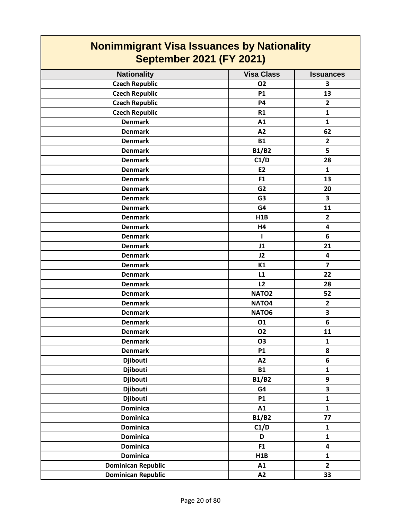| <b>Nonimmigrant Visa Issuances by Nationality</b><br><b>September 2021 (FY 2021)</b> |                   |                         |
|--------------------------------------------------------------------------------------|-------------------|-------------------------|
| <b>Nationality</b>                                                                   | <b>Visa Class</b> | <b>Issuances</b>        |
| <b>Czech Republic</b>                                                                | <b>O2</b>         | 3                       |
| <b>Czech Republic</b>                                                                | <b>P1</b>         | 13                      |
| <b>Czech Republic</b>                                                                | <b>P4</b>         | $\overline{2}$          |
| <b>Czech Republic</b>                                                                | R1                | $\mathbf{1}$            |
| <b>Denmark</b>                                                                       | A1                | $\mathbf{1}$            |
| <b>Denmark</b>                                                                       | A2                | 62                      |
| <b>Denmark</b>                                                                       | <b>B1</b>         | $\overline{2}$          |
| <b>Denmark</b>                                                                       | <b>B1/B2</b>      | 5                       |
| <b>Denmark</b>                                                                       | C1/D              | 28                      |
| <b>Denmark</b>                                                                       | <b>E2</b>         | $\mathbf{1}$            |
| <b>Denmark</b>                                                                       | F <sub>1</sub>    | 13                      |
| <b>Denmark</b>                                                                       | G <sub>2</sub>    | 20                      |
| <b>Denmark</b>                                                                       | G <sub>3</sub>    | 3                       |
| <b>Denmark</b>                                                                       | G4                | 11                      |
| <b>Denmark</b>                                                                       | H1B               | $\overline{2}$          |
| <b>Denmark</b>                                                                       | H4                | $\overline{\mathbf{4}}$ |
| <b>Denmark</b>                                                                       | -1                | 6                       |
| <b>Denmark</b>                                                                       | J1                | 21                      |
| <b>Denmark</b>                                                                       | J2                | 4                       |
| <b>Denmark</b>                                                                       | K1                | $\overline{7}$          |
| <b>Denmark</b>                                                                       | L1                | 22                      |
| <b>Denmark</b>                                                                       | L <sub>2</sub>    | 28                      |
| <b>Denmark</b>                                                                       | NATO <sub>2</sub> | 52                      |
| <b>Denmark</b>                                                                       | NATO <sub>4</sub> | $\mathbf{2}$            |
| <b>Denmark</b>                                                                       | NATO6             | 3                       |
| <b>Denmark</b>                                                                       | 01                | 6                       |
| <b>Denmark</b>                                                                       | <b>O2</b>         | 11                      |
| <b>Denmark</b>                                                                       | O <sub>3</sub>    | $\mathbf 1$             |
| <b>Denmark</b>                                                                       | <b>P1</b>         | 8                       |
| <b>Djibouti</b>                                                                      | A2                | 6                       |
| <b>Djibouti</b>                                                                      | <b>B1</b>         | $\mathbf{1}$            |
| <b>Djibouti</b>                                                                      | <b>B1/B2</b>      | 9                       |
| <b>Djibouti</b>                                                                      | G4                | $\overline{\mathbf{3}}$ |
| <b>Djibouti</b>                                                                      | <b>P1</b>         | $\mathbf{1}$            |
| <b>Dominica</b>                                                                      | A1                | $\mathbf{1}$            |
| <b>Dominica</b>                                                                      | <b>B1/B2</b>      | 77                      |
| <b>Dominica</b>                                                                      | C1/D              | $\mathbf{1}$            |
| <b>Dominica</b>                                                                      | D                 | $\mathbf{1}$            |
| <b>Dominica</b>                                                                      | F1                | $\overline{\mathbf{4}}$ |
| <b>Dominica</b>                                                                      | H1B               | $\mathbf{1}$            |
| <b>Dominican Republic</b>                                                            | A1                | $\overline{2}$          |
| <b>Dominican Republic</b>                                                            | A2                | 33                      |

┑

 $\Gamma$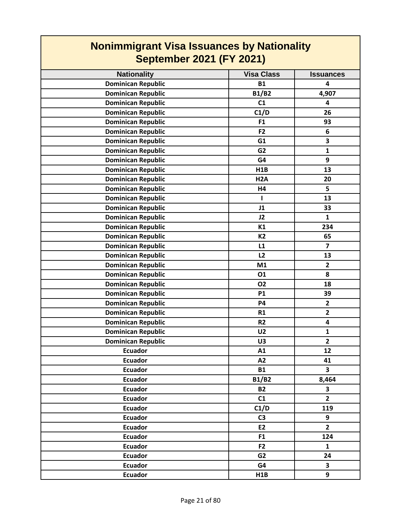| <b>Nonimmigrant Visa Issuances by Nationality</b><br><b>September 2021 (FY 2021)</b> |                   |                         |
|--------------------------------------------------------------------------------------|-------------------|-------------------------|
| <b>Nationality</b>                                                                   | <b>Visa Class</b> | <b>Issuances</b>        |
| <b>Dominican Republic</b>                                                            | <b>B1</b>         | $\overline{\mathbf{4}}$ |
| <b>Dominican Republic</b>                                                            | <b>B1/B2</b>      | 4,907                   |
| <b>Dominican Republic</b>                                                            | C1                | 4                       |
| <b>Dominican Republic</b>                                                            | C1/D              | 26                      |
| <b>Dominican Republic</b>                                                            | F <sub>1</sub>    | 93                      |
| <b>Dominican Republic</b>                                                            | F <sub>2</sub>    | 6                       |
| <b>Dominican Republic</b>                                                            | G1                | 3                       |
| <b>Dominican Republic</b>                                                            | G <sub>2</sub>    | $\mathbf{1}$            |
| <b>Dominican Republic</b>                                                            | G4                | 9                       |
| <b>Dominican Republic</b>                                                            | H1B               | 13                      |
| <b>Dominican Republic</b>                                                            | H <sub>2</sub> A  | 20                      |
| <b>Dominican Republic</b>                                                            | H4                | 5                       |
| <b>Dominican Republic</b>                                                            | т                 | 13                      |
| <b>Dominican Republic</b>                                                            | J1                | 33                      |
| <b>Dominican Republic</b>                                                            | J2                | $\mathbf{1}$            |
| <b>Dominican Republic</b>                                                            | K1                | 234                     |
| <b>Dominican Republic</b>                                                            | <b>K2</b>         | 65                      |
| <b>Dominican Republic</b>                                                            | L1                | $\overline{7}$          |
| <b>Dominican Republic</b>                                                            | L2                | 13                      |
| <b>Dominican Republic</b>                                                            | M1                | $\overline{2}$          |
| <b>Dominican Republic</b>                                                            | 01                | 8                       |
| <b>Dominican Republic</b>                                                            | <b>O2</b>         | 18                      |
| <b>Dominican Republic</b>                                                            | <b>P1</b>         | 39                      |
| <b>Dominican Republic</b>                                                            | P4                | $\overline{2}$          |
| <b>Dominican Republic</b>                                                            | R1                | $\overline{2}$          |
| <b>Dominican Republic</b>                                                            | <b>R2</b>         | $\overline{\mathbf{4}}$ |
| <b>Dominican Republic</b>                                                            | U <sub>2</sub>    | $\mathbf{1}$            |
| <b>Dominican Republic</b>                                                            | U3                | $\overline{2}$          |
| <b>Ecuador</b>                                                                       | A1                | 12                      |
| <b>Ecuador</b>                                                                       | A2                | 41                      |
| <b>Ecuador</b>                                                                       | <b>B1</b>         | $\overline{\mathbf{3}}$ |
| <b>Ecuador</b>                                                                       | <b>B1/B2</b>      | 8,464                   |
| <b>Ecuador</b>                                                                       | <b>B2</b>         | 3                       |
| <b>Ecuador</b>                                                                       | C1                | $\overline{2}$          |
| <b>Ecuador</b>                                                                       | C1/D              | 119                     |
| <b>Ecuador</b>                                                                       | C <sub>3</sub>    | 9                       |
| <b>Ecuador</b>                                                                       | <b>E2</b>         | $\overline{2}$          |
| <b>Ecuador</b>                                                                       | F <sub>1</sub>    | 124                     |
| <b>Ecuador</b>                                                                       | F2                | $\mathbf{1}$            |
| <b>Ecuador</b>                                                                       | G <sub>2</sub>    | 24                      |
| <b>Ecuador</b>                                                                       | G4                | $\overline{\mathbf{3}}$ |
| <b>Ecuador</b>                                                                       | H1B               | 9                       |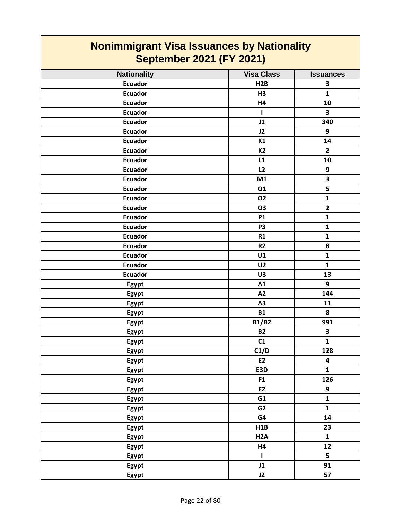| <b>Nationality</b> | <b>Visa Class</b> | <b>Issuances</b>        |
|--------------------|-------------------|-------------------------|
| <b>Ecuador</b>     | H2B               | $\overline{\mathbf{3}}$ |
| <b>Ecuador</b>     | H3                | $\mathbf{1}$            |
| <b>Ecuador</b>     | H4                | 10                      |
| <b>Ecuador</b>     | $\mathbf{I}$      | 3                       |
| <b>Ecuador</b>     | J1                | 340                     |
| <b>Ecuador</b>     | J2                | 9                       |
| <b>Ecuador</b>     | K1                | 14                      |
| <b>Ecuador</b>     | <b>K2</b>         | $\overline{2}$          |
| <b>Ecuador</b>     | L1                | 10                      |
| <b>Ecuador</b>     | L2                | 9                       |
|                    |                   | 3                       |
| <b>Ecuador</b>     | M1                | 5                       |
| <b>Ecuador</b>     | 01                |                         |
| <b>Ecuador</b>     | <b>O2</b>         | $\mathbf{1}$            |
| <b>Ecuador</b>     | <b>O3</b>         | $\mathbf{2}$            |
| <b>Ecuador</b>     | <b>P1</b>         | $\mathbf{1}$            |
| <b>Ecuador</b>     | P <sub>3</sub>    | $\mathbf{1}$            |
| <b>Ecuador</b>     | R1                | $\mathbf{1}$            |
| <b>Ecuador</b>     | R <sub>2</sub>    | 8                       |
| <b>Ecuador</b>     | U1                | $\mathbf 1$             |
| <b>Ecuador</b>     | U <sub>2</sub>    | $\mathbf{1}$            |
| <b>Ecuador</b>     | U3                | 13                      |
| Egypt              | A1                | 9                       |
| Egypt              | A2                | 144                     |
| Egypt              | A <sub>3</sub>    | 11                      |
| <b>Egypt</b>       | <b>B1</b>         | 8                       |
| Egypt              | <b>B1/B2</b>      | 991                     |
| Egypt              | <b>B2</b>         | 3                       |
| Egypt              | C1                | $\mathbf{1}$            |
| <b>Egypt</b>       | C1/D              | 128                     |
| Egypt              | E2                | 4                       |
| <b>Egypt</b>       | E3D               | $\mathbf{1}$            |
| Egypt              | F1                | 126                     |
| <b>Egypt</b>       | F <sub>2</sub>    | 9                       |
| <b>Egypt</b>       | G1                | $\mathbf{1}$            |
| Egypt              | G <sub>2</sub>    | $\mathbf{1}$            |
| Egypt              | G4                | 14                      |
| Egypt              | H1B               | 23                      |
| Egypt              | H <sub>2</sub> A  | $\mathbf{1}$            |
| Egypt              | <b>H4</b>         | 12                      |
| Egypt              | $\mathbf{I}$      | 5                       |
| <b>Egypt</b>       | J1                | 91                      |
| Egypt              | J2                | 57                      |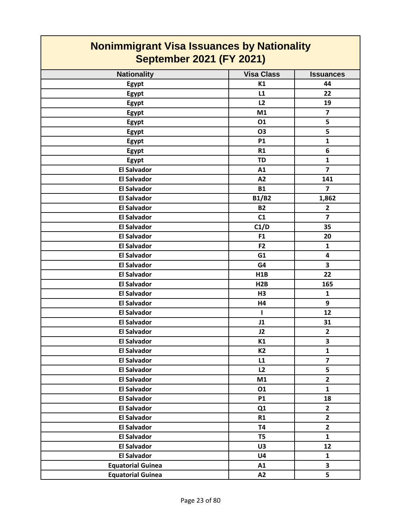| <b>Nationality</b>       | <b>Visa Class</b> | <b>Issuances</b>        |
|--------------------------|-------------------|-------------------------|
| Egypt                    | K1                | 44                      |
| Egypt                    | L1                | 22                      |
| Egypt                    | L2                | 19                      |
| Egypt                    | M1                | $\overline{\mathbf{z}}$ |
| Egypt                    | 01                | 5                       |
| Egypt                    | <b>O3</b>         | 5                       |
| Egypt                    | <b>P1</b>         | 1                       |
| Egypt                    | R1                | 6                       |
| Egypt                    | <b>TD</b>         | $\mathbf 1$             |
| <b>El Salvador</b>       | A1                | $\overline{\mathbf{z}}$ |
| <b>El Salvador</b>       | A2                | 141                     |
| <b>El Salvador</b>       | <b>B1</b>         | $\overline{7}$          |
| <b>El Salvador</b>       | <b>B1/B2</b>      | 1,862                   |
| <b>El Salvador</b>       | <b>B2</b>         | $\mathbf{2}$            |
| <b>El Salvador</b>       | C1                | $\overline{7}$          |
| <b>El Salvador</b>       | C1/D              | 35                      |
| <b>El Salvador</b>       | F1                | 20                      |
| <b>El Salvador</b>       | F <sub>2</sub>    | $\mathbf{1}$            |
| <b>El Salvador</b>       | G1                | 4                       |
| <b>El Salvador</b>       | G4                | 3                       |
| <b>El Salvador</b>       | H1B               | 22                      |
| <b>El Salvador</b>       | H2B               | 165                     |
| <b>El Salvador</b>       | H3                | $\mathbf{1}$            |
| <b>El Salvador</b>       | H4                | 9                       |
| <b>El Salvador</b>       | L                 | 12                      |
| <b>El Salvador</b>       | J1                | 31                      |
| <b>El Salvador</b>       | J2                | $\overline{\mathbf{2}}$ |
| <b>El Salvador</b>       | K1                | 3                       |
| <b>El Salvador</b>       | K <sub>2</sub>    | $\mathbf{1}$            |
| <b>El Salvador</b>       | L1                | $\overline{\mathbf{z}}$ |
| <b>El Salvador</b>       | L2                | 5                       |
| <b>El Salvador</b>       | M1                | $\overline{2}$          |
| <b>El Salvador</b>       | 01                | $\mathbf{1}$            |
| <b>El Salvador</b>       | <b>P1</b>         | 18                      |
| <b>El Salvador</b>       | Q1                | $\overline{2}$          |
| <b>El Salvador</b>       | R1                | $\overline{2}$          |
| <b>El Salvador</b>       | <b>T4</b>         | $\overline{2}$          |
| <b>El Salvador</b>       | T <sub>5</sub>    | $\mathbf{1}$            |
| <b>El Salvador</b>       | U3                | 12                      |
| <b>El Salvador</b>       | U <sub>4</sub>    | $\mathbf{1}$            |
| <b>Equatorial Guinea</b> | A1                | $\overline{\mathbf{3}}$ |
| <b>Equatorial Guinea</b> | A2                | 5                       |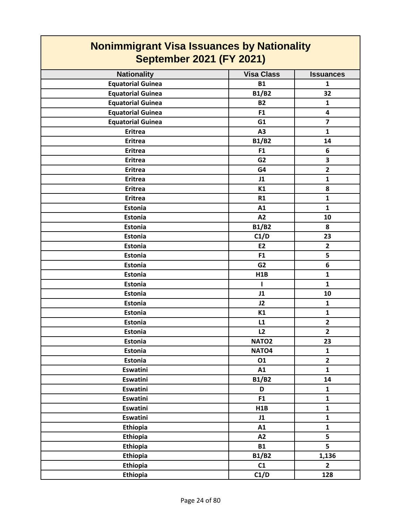| <b>Nonimmigrant Visa Issuances by Nationality</b><br><b>September 2021 (FY 2021)</b> |                   |                         |
|--------------------------------------------------------------------------------------|-------------------|-------------------------|
| <b>Nationality</b>                                                                   | <b>Visa Class</b> | <b>Issuances</b>        |
| <b>Equatorial Guinea</b>                                                             | <b>B1</b>         | 1                       |
| <b>Equatorial Guinea</b>                                                             | <b>B1/B2</b>      | 32                      |
| <b>Equatorial Guinea</b>                                                             | <b>B2</b>         | $\mathbf{1}$            |
| <b>Equatorial Guinea</b>                                                             | F <sub>1</sub>    | $\overline{\mathbf{4}}$ |
| <b>Equatorial Guinea</b>                                                             | G1                | $\overline{\mathbf{z}}$ |
| <b>Eritrea</b>                                                                       | A <sub>3</sub>    | $\mathbf{1}$            |
| <b>Eritrea</b>                                                                       | <b>B1/B2</b>      | 14                      |
| <b>Eritrea</b>                                                                       | F1                | 6                       |
| <b>Eritrea</b>                                                                       | G <sub>2</sub>    | 3                       |
| <b>Eritrea</b>                                                                       | G4                | $\overline{2}$          |
| <b>Eritrea</b>                                                                       | J1                | $\mathbf{1}$            |
| <b>Eritrea</b>                                                                       | K1                | 8                       |
| <b>Eritrea</b>                                                                       | R1                | $\mathbf{1}$            |
| <b>Estonia</b>                                                                       | A1                | $\mathbf{1}$            |
| <b>Estonia</b>                                                                       | A2                | 10                      |
| Estonia                                                                              | <b>B1/B2</b>      | 8                       |
| <b>Estonia</b>                                                                       | C1/D              | 23                      |
| Estonia                                                                              | E2                | $\overline{2}$          |
| Estonia                                                                              | F <sub>1</sub>    | 5                       |
| Estonia                                                                              | G <sub>2</sub>    | 6                       |
| Estonia                                                                              | H1B               | $\mathbf{1}$            |
| Estonia                                                                              | ı                 | $\mathbf{1}$            |
| Estonia                                                                              | J1                | 10                      |
| <b>Estonia</b>                                                                       | J2                | $\mathbf{1}$            |
| Estonia                                                                              | K1                | $\mathbf{1}$            |
| Estonia                                                                              | L1                | $\mathbf{2}$            |
| Estonia                                                                              | L2                | $\overline{2}$          |
| Estonia                                                                              | NATO <sub>2</sub> | 23                      |
| Estonia                                                                              | NATO <sub>4</sub> | $\mathbf{1}$            |
| Estonia                                                                              | 01                | $\overline{2}$          |
| <b>Eswatini</b>                                                                      | A1                | $\mathbf{1}$            |
| <b>Eswatini</b>                                                                      | <b>B1/B2</b>      | 14                      |
| <b>Eswatini</b>                                                                      | D                 | $\mathbf{1}$            |
| <b>Eswatini</b>                                                                      | F1                | $\mathbf{1}$            |
| Eswatini                                                                             | H1B               | $\mathbf{1}$            |
| <b>Eswatini</b>                                                                      | J1                | $\mathbf{1}$            |
| <b>Ethiopia</b>                                                                      | A1                | $\mathbf{1}$            |
| Ethiopia                                                                             | A2                | 5                       |
| <b>Ethiopia</b>                                                                      | <b>B1</b>         | 5                       |
| <b>Ethiopia</b>                                                                      | <b>B1/B2</b>      | 1,136                   |
| <b>Ethiopia</b>                                                                      | C1                | $\overline{2}$          |
| Ethiopia                                                                             | C1/D              | 128                     |

**The Co**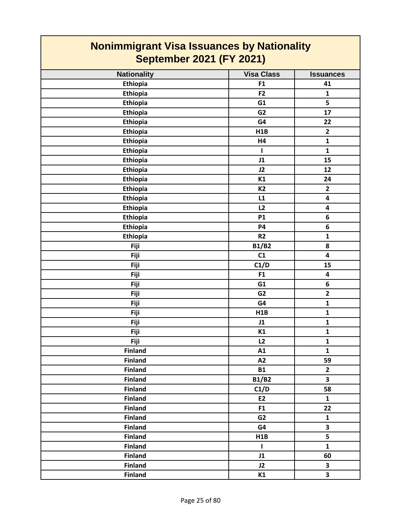#### **Nationality Visa Class ISSUANCES Nonimmigrant Visa Issuances by Nationality September 2021 (FY 2021) Ethiopia F1 41 Ethiopia F2 1 Ethiopia G1 5 Ethiopia G2 17 Ethiopia G4 22 Ethiopia H1B 2 Ethiopia H4 1**

| Ethiopia        | F <sub>2</sub> | $\mathbf{1}$            |
|-----------------|----------------|-------------------------|
| Ethiopia        | G1             | 5                       |
| Ethiopia        | G <sub>2</sub> | 17                      |
| Ethiopia        | G4             | 22                      |
| Ethiopia        | H1B            | $\mathbf{2}$            |
| Ethiopia        | H <sub>4</sub> | $\mathbf{1}$            |
| Ethiopia        | ı              | $\mathbf{1}$            |
| <b>Ethiopia</b> | J1             | 15                      |
| Ethiopia        | J2             | 12                      |
| Ethiopia        | K1             | 24                      |
| Ethiopia        | K <sub>2</sub> | $\overline{2}$          |
| Ethiopia        | L1             | 4                       |
| Ethiopia        | L2             | 4                       |
| Ethiopia        | <b>P1</b>      | 6                       |
| Ethiopia        | <b>P4</b>      | 6                       |
| Ethiopia        | R <sub>2</sub> | $\mathbf{1}$            |
| Fiji            | <b>B1/B2</b>   | 8                       |
| Fiji            | C1             | 4                       |
| Fiji            | C1/D           | 15                      |
| Fiji            | F1             | 4                       |
| Fiji            | G1             | 6                       |
| Fiji            | G <sub>2</sub> | $\overline{\mathbf{2}}$ |
| Fiji            | G4             | $\mathbf{1}$            |
| Fiji            | H1B            | $\mathbf{1}$            |
| Fiji            | J1             | $\mathbf{1}$            |
| Fiji            | K1             | $\mathbf{1}$            |
| <b>Fiji</b>     | L2             | $\mathbf{1}$            |
| <b>Finland</b>  | A1             | $\mathbf{1}$            |
| <b>Finland</b>  | A2             | 59                      |
| Finland         | <b>B1</b>      | $\overline{\mathbf{2}}$ |
| <b>Finland</b>  | <b>B1/B2</b>   | 3                       |
| <b>Finland</b>  | C1/D           | 58                      |
| <b>Finland</b>  | E2             | $\mathbf{1}$            |
| <b>Finland</b>  | F1             | 22                      |
| <b>Finland</b>  | G <sub>2</sub> | $\mathbf{1}$            |
| <b>Finland</b>  | G4             | 3                       |
| <b>Finland</b>  | H1B            | 5                       |
| <b>Finland</b>  | I              | $\mathbf{1}$            |
| <b>Finland</b>  | J1             | 60                      |
| <b>Finland</b>  | J2             | 3                       |
| <b>Finland</b>  | K1             | $\overline{\mathbf{3}}$ |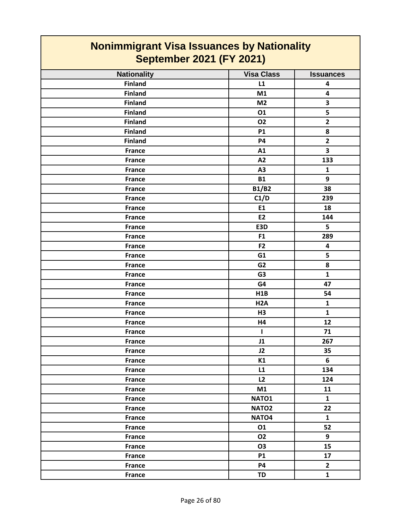| <b>Nationality</b> | <b>Visa Class</b> | <b>Issuances</b>        |
|--------------------|-------------------|-------------------------|
| <b>Finland</b>     | L1                | $\overline{\mathbf{4}}$ |
| <b>Finland</b>     | M1                | $\overline{\mathbf{4}}$ |
| <b>Finland</b>     | M <sub>2</sub>    | $\overline{\mathbf{3}}$ |
| <b>Finland</b>     | 01                | 5                       |
| <b>Finland</b>     | <b>O2</b>         | $\overline{2}$          |
| <b>Finland</b>     | <b>P1</b>         | 8                       |
| <b>Finland</b>     | <b>P4</b>         | $\mathbf{2}$            |
| <b>France</b>      | A1                | $\overline{\mathbf{3}}$ |
| <b>France</b>      | A2                | 133                     |
| <b>France</b>      | A3                | $\mathbf{1}$            |
| <b>France</b>      | <b>B1</b>         | 9                       |
| <b>France</b>      | <b>B1/B2</b>      | 38                      |
| <b>France</b>      | C1/D              | 239                     |
| <b>France</b>      | E1                | 18                      |
| <b>France</b>      | E2                | 144                     |
| <b>France</b>      | E3D               | 5                       |
| <b>France</b>      | F1                | 289                     |
| <b>France</b>      | F <sub>2</sub>    | 4                       |
| <b>France</b>      | G1                | $\overline{\mathbf{5}}$ |
| <b>France</b>      | G <sub>2</sub>    | 8                       |
| <b>France</b>      | G <sub>3</sub>    | $\mathbf{1}$            |
| <b>France</b>      | G4                | 47                      |
| <b>France</b>      | H1B               | 54                      |
| <b>France</b>      | H <sub>2</sub> A  | $\mathbf{1}$            |
| <b>France</b>      | H3                | $\mathbf{1}$            |
| <b>France</b>      | H4                | 12                      |
| <b>France</b>      | $\mathbf{I}$      | 71                      |
| <b>France</b>      | J1                | 267                     |
| <b>France</b>      | J2                | 35                      |
| France             | K1                | $\bf 6$                 |
| <b>France</b>      | L1                | 134                     |
| France             | L2                | 124                     |
| France             | M1                | 11                      |
| <b>France</b>      | NATO1             | $\mathbf{1}$            |
| France             | NATO <sub>2</sub> | 22                      |
| <b>France</b>      | NATO <sub>4</sub> | $\mathbf{1}$            |
| France             | 01                | 52                      |
| <b>France</b>      | <b>O2</b>         | 9                       |
| <b>France</b>      | 03                | 15                      |
| <b>France</b>      | <b>P1</b>         | 17                      |
| <b>France</b>      | <b>P4</b>         | $\overline{2}$          |
| <b>France</b>      | TD                | $\mathbf{1}$            |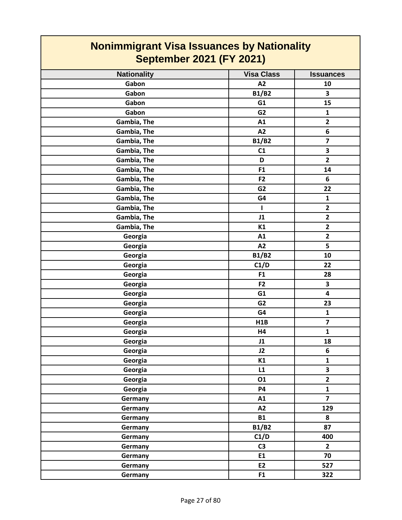| <b>Nonimmigrant Visa Issuances by Nationality</b><br><b>September 2021 (FY 2021)</b> |                   |                         |
|--------------------------------------------------------------------------------------|-------------------|-------------------------|
| <b>Nationality</b>                                                                   | <b>Visa Class</b> | <b>Issuances</b>        |
| Gabon                                                                                | A2                | 10                      |
| Gabon                                                                                | <b>B1/B2</b>      | 3                       |
| Gabon                                                                                | G1                | 15                      |
| Gabon                                                                                | G <sub>2</sub>    | $\mathbf{1}$            |
| Gambia, The                                                                          | A1                | $\mathbf{2}$            |
| Gambia, The                                                                          | A2                | 6                       |
| Gambia, The                                                                          | <b>B1/B2</b>      | $\overline{\mathbf{z}}$ |
| Gambia, The                                                                          | C1                | 3                       |
| Gambia, The                                                                          | D                 | $\overline{\mathbf{2}}$ |
| Gambia, The                                                                          | F <sub>1</sub>    | 14                      |
| Gambia, The                                                                          | F <sub>2</sub>    | 6                       |
| Gambia, The                                                                          | G <sub>2</sub>    | 22                      |
| Gambia, The                                                                          | G4                | $\mathbf{1}$            |
| Gambia, The                                                                          | L                 | $\mathbf{2}$            |
| Gambia, The                                                                          | J1                | $\mathbf{2}$            |
| Gambia, The                                                                          | K1                | $\overline{2}$          |
| Georgia                                                                              | A1                | $\overline{2}$          |
| Georgia                                                                              | A2                | 5                       |
| Georgia                                                                              | <b>B1/B2</b>      | 10                      |
| Georgia                                                                              | C1/D              | 22                      |
| Georgia                                                                              | F <sub>1</sub>    | 28                      |
| Georgia                                                                              | F <sub>2</sub>    | 3                       |
| Georgia                                                                              | G1                | 4                       |
| Georgia                                                                              | G <sub>2</sub>    | 23                      |
| Georgia                                                                              | G4                | $\mathbf{1}$            |
| Georgia                                                                              | H1B               | 7                       |
| Georgia                                                                              | H4                | $\mathbf{1}$            |
| Georgia                                                                              | J1                | 18                      |
| Georgia                                                                              | J2                | 6                       |
| Georgia                                                                              | K1                | $\mathbf{1}$            |
| Georgia                                                                              | L1                | 3                       |
| Georgia                                                                              | 01                | $\overline{2}$          |
| Georgia                                                                              | <b>P4</b>         | $\mathbf{1}$            |
| Germany                                                                              | A1                | $\overline{7}$          |
| Germany                                                                              | A2                | 129                     |
| Germany                                                                              | <b>B1</b>         | 8                       |
| Germany                                                                              | <b>B1/B2</b>      | 87                      |
| Germany                                                                              | C1/D              | 400                     |
| Germany                                                                              | C <sub>3</sub>    | $\overline{2}$          |
| Germany                                                                              | E1                | 70                      |
| Germany                                                                              | E2                | 527                     |
| Germany                                                                              | F1                | 322                     |

Ţ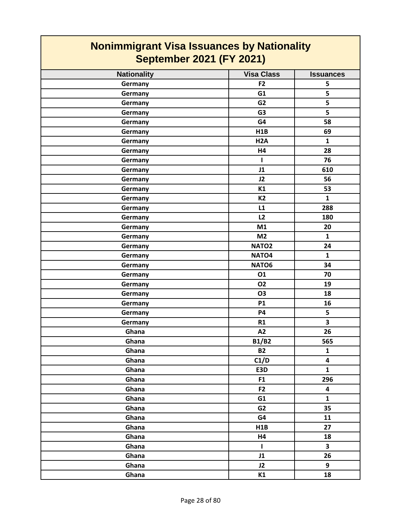| <b>Nationality</b> | <b>Visa Class</b> | <b>Issuances</b>        |
|--------------------|-------------------|-------------------------|
| Germany            | F <sub>2</sub>    | 5                       |
| Germany            | G1                | 5                       |
| Germany            | G <sub>2</sub>    | 5                       |
| Germany            | G <sub>3</sub>    | 5                       |
| Germany            | G4                | 58                      |
| Germany            | H1B               | 69                      |
| Germany            | H <sub>2</sub> A  | $\mathbf{1}$            |
| Germany            | H4                | 28                      |
| Germany            | T                 | 76                      |
| Germany            | J1                | 610                     |
| Germany            | J2                | 56                      |
| Germany            | K1                | 53                      |
| Germany            | <b>K2</b>         | $\mathbf{1}$            |
| Germany            | L1                | 288                     |
| Germany            | L2                | 180                     |
| Germany            | M1                | 20                      |
| Germany            | M <sub>2</sub>    | $\mathbf{1}$            |
| Germany            | NATO <sub>2</sub> | 24                      |
| Germany            | NATO <sub>4</sub> | $\mathbf{1}$            |
| Germany            | NATO6             | 34                      |
| Germany            | 01                | 70                      |
| Germany            | <b>O2</b>         | 19                      |
| Germany            | <b>O3</b>         | 18                      |
| Germany            | <b>P1</b>         | 16                      |
| Germany            | <b>P4</b>         | 5                       |
| Germany            | R1                | $\overline{\mathbf{3}}$ |
| Ghana              | A2                | 26                      |
| Ghana              | <b>B1/B2</b>      | 565                     |
| Ghana              | <b>B2</b>         | $\mathbf{1}$            |
| Ghana              | C1/D              | 4                       |
| Ghana              | E3D               | $\mathbf{1}$            |
| Ghana              | F <sub>1</sub>    | 296                     |
| Ghana              | F <sub>2</sub>    | 4                       |
| Ghana              | G1                | $\mathbf{1}$            |
| Ghana              | G <sub>2</sub>    | 35                      |
| Ghana              | G4                | 11                      |
| Ghana              | H1B               | 27                      |
| Ghana              | H4                | 18                      |
| Ghana              | $\mathbf{I}$      | $\overline{\mathbf{3}}$ |
| Ghana              | J1                | 26                      |
| Ghana              | J2                | 9                       |
| Ghana              | K1                | 18                      |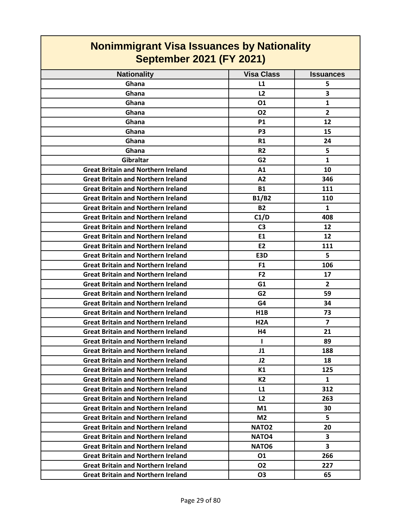| <b>Nationality</b>                        | <b>Visa Class</b> | <b>Issuances</b> |
|-------------------------------------------|-------------------|------------------|
| Ghana                                     | L1                | 5                |
| Ghana                                     | L2                | 3                |
| Ghana                                     | 01                | $\mathbf{1}$     |
| Ghana                                     | <b>O2</b>         | $\overline{2}$   |
| Ghana                                     | <b>P1</b>         | 12               |
| Ghana                                     | P <sub>3</sub>    | 15               |
| Ghana                                     | R1                | 24               |
| Ghana                                     | <b>R2</b>         | 5                |
| Gibraltar                                 | G <sub>2</sub>    | $\mathbf{1}$     |
| <b>Great Britain and Northern Ireland</b> | A1                | 10               |
| <b>Great Britain and Northern Ireland</b> | A2                | 346              |
| <b>Great Britain and Northern Ireland</b> | <b>B1</b>         | 111              |
| <b>Great Britain and Northern Ireland</b> | <b>B1/B2</b>      | 110              |
| <b>Great Britain and Northern Ireland</b> | <b>B2</b>         | $\mathbf{1}$     |
| <b>Great Britain and Northern Ireland</b> | C1/D              | 408              |
| <b>Great Britain and Northern Ireland</b> | C <sub>3</sub>    | 12               |
| <b>Great Britain and Northern Ireland</b> | E1                | 12               |
| <b>Great Britain and Northern Ireland</b> | E <sub>2</sub>    | 111              |
| <b>Great Britain and Northern Ireland</b> | E3D               | 5                |
| <b>Great Britain and Northern Ireland</b> | F <sub>1</sub>    | 106              |
| <b>Great Britain and Northern Ireland</b> | F <sub>2</sub>    | 17               |
| <b>Great Britain and Northern Ireland</b> | G <sub>1</sub>    | $\overline{2}$   |
| <b>Great Britain and Northern Ireland</b> | G <sub>2</sub>    | 59               |
| <b>Great Britain and Northern Ireland</b> | G4                | 34               |
| <b>Great Britain and Northern Ireland</b> | H1B               | 73               |
| <b>Great Britain and Northern Ireland</b> | H <sub>2</sub> A  | $\overline{7}$   |
| <b>Great Britain and Northern Ireland</b> | H4                | 21               |
| <b>Great Britain and Northern Ireland</b> | 1                 | 89               |
| <b>Great Britain and Northern Ireland</b> | J1                | 188              |
| <b>Great Britain and Northern Ireland</b> | J2                | 18               |
| <b>Great Britain and Northern Ireland</b> | K1                | 125              |
| <b>Great Britain and Northern Ireland</b> | <b>K2</b>         | $\mathbf{1}$     |
| <b>Great Britain and Northern Ireland</b> | L1                | 312              |
| <b>Great Britain and Northern Ireland</b> | L2                | 263              |
| <b>Great Britain and Northern Ireland</b> | M1                | 30               |
| <b>Great Britain and Northern Ireland</b> | M <sub>2</sub>    | 5                |
| <b>Great Britain and Northern Ireland</b> | <b>NATO2</b>      | 20               |
| <b>Great Britain and Northern Ireland</b> | NATO <sub>4</sub> | 3                |
| <b>Great Britain and Northern Ireland</b> | NATO <sub>6</sub> | 3                |
| <b>Great Britain and Northern Ireland</b> | 01                | 266              |
| <b>Great Britain and Northern Ireland</b> | <b>O2</b>         | 227              |
| <b>Great Britain and Northern Ireland</b> | <b>O3</b>         | 65               |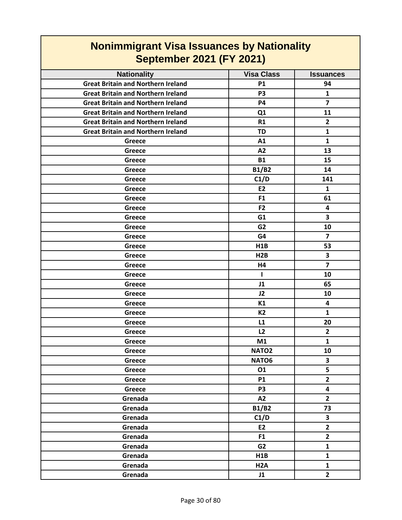| <b>Nonimmigrant Visa Issuances by Nationality</b> |                   |                         |
|---------------------------------------------------|-------------------|-------------------------|
| <b>September 2021 (FY 2021)</b>                   |                   |                         |
| <b>Nationality</b>                                | <b>Visa Class</b> | <b>Issuances</b>        |
| <b>Great Britain and Northern Ireland</b>         | <b>P1</b>         | 94                      |
| <b>Great Britain and Northern Ireland</b>         | P <sub>3</sub>    | $\mathbf{1}$            |
| <b>Great Britain and Northern Ireland</b>         | <b>P4</b>         | $\overline{7}$          |
| <b>Great Britain and Northern Ireland</b>         | Q <sub>1</sub>    | 11                      |
| <b>Great Britain and Northern Ireland</b>         | R1                | $\mathbf{2}$            |
| <b>Great Britain and Northern Ireland</b>         | TD                | 1                       |
| Greece                                            | A1                | $\mathbf{1}$            |
| Greece                                            | A2                | 13                      |
| Greece                                            | <b>B1</b>         | 15                      |
| Greece                                            | <b>B1/B2</b>      | 14                      |
| Greece                                            | C1/D              | 141                     |
| Greece                                            | <b>E2</b>         | $\mathbf{1}$            |
| Greece                                            | F <sub>1</sub>    | 61                      |
| Greece                                            | F <sub>2</sub>    | 4                       |
| Greece                                            | G1                | 3                       |
| Greece                                            | G <sub>2</sub>    | 10                      |
| Greece                                            | G4                | $\overline{7}$          |
| Greece                                            | H <sub>1</sub> B  | 53                      |
| Greece                                            | H2B               | 3                       |
| Greece                                            | H4                | $\overline{\mathbf{z}}$ |
| Greece                                            | L                 | 10                      |
| Greece                                            | J1                | 65                      |
| Greece                                            | J2                | 10                      |
| Greece                                            | K1                | 4                       |
| Greece                                            | K2                | 1                       |
| Greece                                            | L1                | 20                      |
| Greece                                            | L2                | $\mathbf{2}$            |
| Greece                                            | M1                | $\mathbf{1}$            |
| Greece                                            | NATO <sub>2</sub> | 10                      |
| Greece                                            | NATO6             | $\overline{\mathbf{3}}$ |
| <b>Greece</b>                                     | 01                | 5                       |
| Greece                                            | <b>P1</b>         | $\mathbf{2}$            |
| Greece                                            | <b>P3</b>         | 4                       |
| Grenada                                           | A2                | $\overline{2}$          |
| Grenada                                           | <b>B1/B2</b>      | 73                      |
| Grenada                                           | C1/D              | $\overline{\mathbf{3}}$ |
| Grenada                                           | E2                | $\overline{2}$          |
| Grenada                                           | F <sub>1</sub>    | $\overline{2}$          |
| Grenada                                           | G2                | $\mathbf{1}$            |
| Grenada                                           | H1B               | $\mathbf{1}$            |
| Grenada                                           | H <sub>2</sub> A  | $\mathbf{1}$            |
| Grenada                                           | J1                | $\overline{2}$          |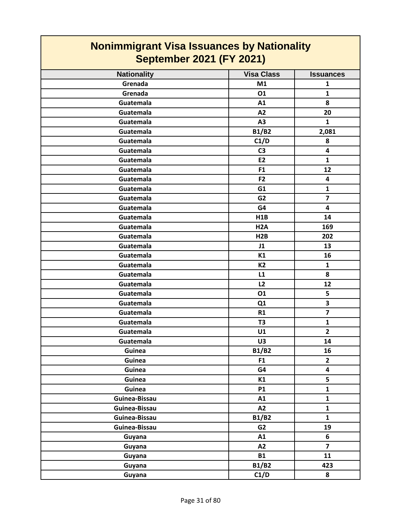| <b>Nonimmigrant Visa Issuances by Nationality</b><br><b>September 2021 (FY 2021)</b> |                   |                  |
|--------------------------------------------------------------------------------------|-------------------|------------------|
| <b>Nationality</b>                                                                   | <b>Visa Class</b> | <b>Issuances</b> |
| Grenada                                                                              | M1                | $\mathbf{1}$     |
| Grenada                                                                              | 01                | $\mathbf{1}$     |
| Guatemala                                                                            | A1                | 8                |
| Guatemala                                                                            | A2                | 20               |
| Guatemala                                                                            | A3                | $\mathbf{1}$     |
| Guatemala                                                                            | <b>B1/B2</b>      | 2,081            |
| Guatemala                                                                            | C1/D              | 8                |
| Guatemala                                                                            | C <sub>3</sub>    | 4                |
| Guatemala                                                                            | E <sub>2</sub>    | $\mathbf{1}$     |
| Guatemala                                                                            | F <sub>1</sub>    | 12               |
| Guatemala                                                                            | F <sub>2</sub>    | 4                |
| Guatemala                                                                            | G1                | $\mathbf{1}$     |
| Guatemala                                                                            | G <sub>2</sub>    | $\overline{7}$   |
| Guatemala                                                                            | G4                | 4                |
| Guatemala                                                                            | <b>H1B</b>        | 14               |
| Guatemala                                                                            | H <sub>2</sub> A  | 169              |
| Guatemala                                                                            | H2B               | 202              |
| Guatemala                                                                            | J1                | 13               |
| Guatemala                                                                            | K1                | 16               |
| Guatemala                                                                            | <b>K2</b>         | 1                |
| Guatemala                                                                            | L1                | 8                |
| Guatemala                                                                            | L2                | 12               |
| Guatemala                                                                            | 01                | 5                |
| Guatemala                                                                            | Q1                | 3                |
| Guatemala                                                                            | R1                | $\overline{7}$   |
| Guatemala                                                                            | T <sub>3</sub>    | $\mathbf{1}$     |
| Guatemala                                                                            | U1                | $\overline{2}$   |
| Guatemala                                                                            | U3                | 14               |
| Guinea                                                                               | <b>B1/B2</b>      | 16               |
| Guinea                                                                               | F <sub>1</sub>    | $\overline{2}$   |
| Guinea                                                                               | G4                | 4                |
| Guinea                                                                               | K1                | 5                |
| Guinea                                                                               | <b>P1</b>         | $\mathbf{1}$     |
| Guinea-Bissau                                                                        | A1                | $\mathbf{1}$     |
| Guinea-Bissau                                                                        | A2                | $\mathbf{1}$     |
| Guinea-Bissau                                                                        | <b>B1/B2</b>      | $\mathbf{1}$     |
| Guinea-Bissau                                                                        | G <sub>2</sub>    | 19               |
| Guyana                                                                               | A1                | 6                |
| Guyana                                                                               | A2                | $\overline{7}$   |
| Guyana                                                                               | <b>B1</b>         | 11               |
| Guyana                                                                               | <b>B1/B2</b>      | 423              |
| Guyana                                                                               | C1/D              | 8                |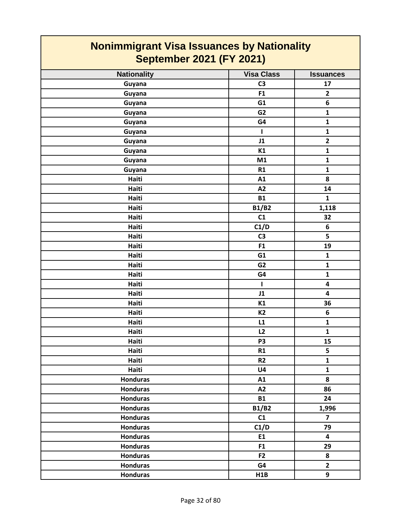| <b>Nationality</b> | <b>Visa Class</b> | <b>Issuances</b>        |
|--------------------|-------------------|-------------------------|
| Guyana             | C <sub>3</sub>    | 17                      |
| Guyana             | F1                | $\mathbf{2}$            |
| Guyana             | G1                | $\boldsymbol{6}$        |
| Guyana             | G <sub>2</sub>    | $\mathbf{1}$            |
| Guyana             | G4                | $\mathbf{1}$            |
| Guyana             | $\mathbf{I}$      | $\mathbf{1}$            |
| Guyana             | J1                | $\mathbf{2}$            |
| Guyana             | <b>K1</b>         | $\mathbf{1}$            |
| Guyana             | M1                | $\mathbf{1}$            |
| Guyana             | R1                | $\mathbf{1}$            |
| Haiti              | A1                | 8                       |
| Haiti              | A2                | 14                      |
| Haiti              | <b>B1</b>         | $\mathbf{1}$            |
| Haiti              | <b>B1/B2</b>      | 1,118                   |
| Haiti              | C1                | 32                      |
| Haiti              | C1/D              | 6                       |
| Haiti              | C <sub>3</sub>    | 5                       |
| Haiti              | F1                | 19                      |
| Haiti              | G1                | $\mathbf 1$             |
| Haiti              | G <sub>2</sub>    | $\mathbf{1}$            |
| Haiti              | G4                | $\mathbf{1}$            |
| Haiti              | $\mathbf{I}$      | $\overline{\mathbf{4}}$ |
| Haiti              | J1                | $\overline{\mathbf{4}}$ |
| Haiti              | K1                | 36                      |
| Haiti              | <b>K2</b>         | $\boldsymbol{6}$        |
| Haiti              | L1                | $\mathbf 1$             |
| Haiti              | L2                | $\mathbf{1}$            |
| Haiti              | P <sub>3</sub>    | 15                      |
| Haiti              | R1                | 5                       |
| Haiti              | R2                | $\mathbf{1}$            |
| Haiti              | U <sub>4</sub>    | $\mathbf{1}$            |
| <b>Honduras</b>    | A1                | 8                       |
| <b>Honduras</b>    | A2                | 86                      |
| <b>Honduras</b>    | <b>B1</b>         | 24                      |
| <b>Honduras</b>    | <b>B1/B2</b>      | 1,996                   |
| <b>Honduras</b>    | C1                | $\overline{\mathbf{z}}$ |
| <b>Honduras</b>    | C1/D              | 79                      |
| <b>Honduras</b>    | E1                | $\overline{\mathbf{4}}$ |
| <b>Honduras</b>    | F1                | 29                      |
| <b>Honduras</b>    | F <sub>2</sub>    | 8                       |
| <b>Honduras</b>    | G4                | $\overline{2}$          |
| <b>Honduras</b>    | H1B               | 9                       |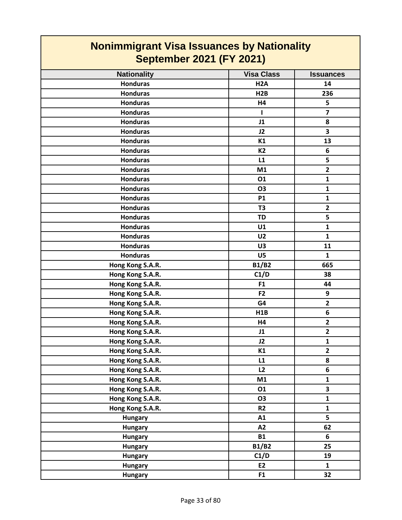| <b>Nationality</b> | <b>Visa Class</b> | <b>Issuances</b>        |
|--------------------|-------------------|-------------------------|
| <b>Honduras</b>    | H <sub>2</sub> A  | 14                      |
| <b>Honduras</b>    | H2B               | 236                     |
| <b>Honduras</b>    | H4                | 5                       |
| <b>Honduras</b>    | ı                 | $\overline{\mathbf{z}}$ |
| <b>Honduras</b>    | J1                | 8                       |
| <b>Honduras</b>    | J2                | $\overline{\mathbf{3}}$ |
| <b>Honduras</b>    | K1                | 13                      |
| <b>Honduras</b>    | <b>K2</b>         | 6                       |
| <b>Honduras</b>    | L1                | 5                       |
| <b>Honduras</b>    | M1                | $\overline{2}$          |
| <b>Honduras</b>    | 01                | $\mathbf{1}$            |
| <b>Honduras</b>    | <b>O3</b>         | $\mathbf{1}$            |
| <b>Honduras</b>    | <b>P1</b>         | $\mathbf{1}$            |
| <b>Honduras</b>    | T <sub>3</sub>    | $\overline{\mathbf{2}}$ |
| <b>Honduras</b>    | <b>TD</b>         | 5                       |
| <b>Honduras</b>    | U1                | $\mathbf{1}$            |
| <b>Honduras</b>    | U <sub>2</sub>    | $\mathbf{1}$            |
| <b>Honduras</b>    | U3                | 11                      |
| <b>Honduras</b>    | U5                | $\mathbf{1}$            |
| Hong Kong S.A.R.   | <b>B1/B2</b>      | 665                     |
| Hong Kong S.A.R.   | C1/D              | 38                      |
| Hong Kong S.A.R.   | F1                | 44                      |
| Hong Kong S.A.R.   | F <sub>2</sub>    | 9                       |
| Hong Kong S.A.R.   | G4                | $\overline{\mathbf{2}}$ |
| Hong Kong S.A.R.   | H1B               | 6                       |
| Hong Kong S.A.R.   | H4                | $\mathbf{2}$            |
| Hong Kong S.A.R.   | J1                | $\overline{2}$          |
| Hong Kong S.A.R.   | J2                | $\mathbf{1}$            |
| Hong Kong S.A.R.   | K1                | $\overline{2}$          |
| Hong Kong S.A.R.   | L1                | 8                       |
| Hong Kong S.A.R.   | L2                | 6                       |
| Hong Kong S.A.R.   | M1                | $\mathbf{1}$            |
| Hong Kong S.A.R.   | 01                | 3                       |
| Hong Kong S.A.R.   | <b>O3</b>         | $\mathbf 1$             |
| Hong Kong S.A.R.   | R <sub>2</sub>    | $\mathbf{1}$            |
| <b>Hungary</b>     | A1                | 5                       |
| <b>Hungary</b>     | A2                | 62                      |
| <b>Hungary</b>     | <b>B1</b>         | 6                       |
| <b>Hungary</b>     | <b>B1/B2</b>      | 25                      |
| <b>Hungary</b>     | C1/D              | 19                      |
| <b>Hungary</b>     | E2                | $\mathbf{1}$            |
| <b>Hungary</b>     | F <sub>1</sub>    | 32                      |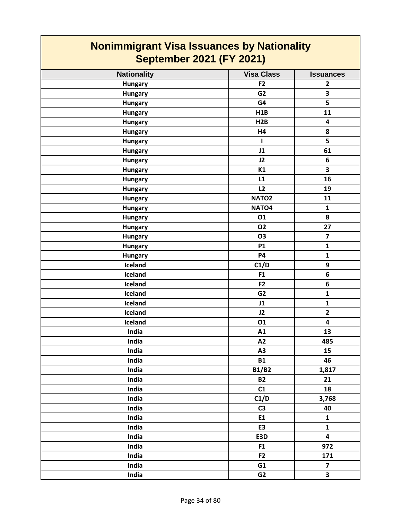| <b>Nationality</b> | <b>Visa Class</b> | <b>Issuances</b>        |
|--------------------|-------------------|-------------------------|
| <b>Hungary</b>     | F <sub>2</sub>    | $\overline{2}$          |
| <b>Hungary</b>     | G <sub>2</sub>    | 3                       |
| <b>Hungary</b>     | G4                | 5                       |
| <b>Hungary</b>     | H1B               | 11                      |
| <b>Hungary</b>     | H2B               | 4                       |
| <b>Hungary</b>     | H4                | 8                       |
| <b>Hungary</b>     | $\mathbf{I}$      | 5                       |
| <b>Hungary</b>     | J1                | 61                      |
| <b>Hungary</b>     | J2                | 6                       |
| <b>Hungary</b>     | K1                | $\overline{\mathbf{3}}$ |
| <b>Hungary</b>     | L1                | 16                      |
| <b>Hungary</b>     | L2                | 19                      |
| <b>Hungary</b>     | NATO <sub>2</sub> | 11                      |
| <b>Hungary</b>     | NATO <sub>4</sub> | $\mathbf{1}$            |
| <b>Hungary</b>     | 01                | 8                       |
| <b>Hungary</b>     | <b>O2</b>         | 27                      |
| <b>Hungary</b>     | <b>O3</b>         | $\overline{\mathbf{z}}$ |
| <b>Hungary</b>     | <b>P1</b>         | $\mathbf{1}$            |
| <b>Hungary</b>     | <b>P4</b>         | $\mathbf{1}$            |
| Iceland            | C1/D              | 9                       |
| Iceland            | F1                | 6                       |
| Iceland            | F <sub>2</sub>    | 6                       |
| Iceland            | G <sub>2</sub>    | $\mathbf{1}$            |
| Iceland            | J1                | $\mathbf{1}$            |
| Iceland            | J2                | $\overline{2}$          |
| Iceland            | 01                | $\overline{\mathbf{4}}$ |
| India              | A1                | 13                      |
| India              | A2                | 485                     |
| India              | A <sub>3</sub>    | 15                      |
| India              | <b>B1</b>         | 46                      |
| India              | <b>B1/B2</b>      | 1,817                   |
| India              | <b>B2</b>         | 21                      |
| India              | C1                | 18                      |
| India              | C1/D              | 3,768                   |
| India              | C <sub>3</sub>    | 40                      |
| India              | E1                | $\mathbf{1}$            |
| India              | E3                | $\mathbf{1}$            |
| India              | E3D               | 4                       |
| India              | F1                | 972                     |
| India              | F <sub>2</sub>    | 171                     |
| India              | G1                | $\overline{7}$          |
| India              | G <sub>2</sub>    | $\overline{\mathbf{3}}$ |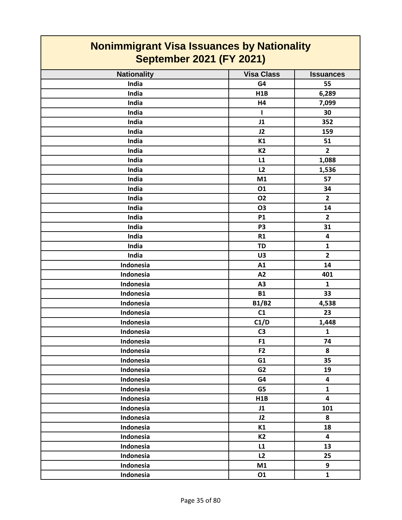| <b>Nationality</b> | <b>Visa Class</b> | <b>Issuances</b>        |
|--------------------|-------------------|-------------------------|
| India              | G4                | 55                      |
| India              | H1B               | 6,289                   |
| India              | <b>H4</b>         | 7,099                   |
| India              | ı                 | 30                      |
| India              | J1                | 352                     |
| India              | J2                | 159                     |
| India              | K1                | 51                      |
| India              | <b>K2</b>         | $\overline{2}$          |
| India              | L1                | 1,088                   |
| India              | L2                | 1,536                   |
| India              | M1                | 57                      |
| India              | 01                | 34                      |
| India              | <b>O2</b>         | $\overline{2}$          |
| India              | <b>O3</b>         | 14                      |
| India              | <b>P1</b>         | $\overline{2}$          |
| India              | P <sub>3</sub>    | 31                      |
| India              | R1                | 4                       |
| India              | <b>TD</b>         | $\mathbf{1}$            |
| India              | U3                | $\overline{2}$          |
| Indonesia          | A1                | 14                      |
| Indonesia          | A2                | 401                     |
| Indonesia          | A3                | $\mathbf{1}$            |
| Indonesia          | <b>B1</b>         | 33                      |
| Indonesia          | <b>B1/B2</b>      | 4,538                   |
| Indonesia          | C1                | 23                      |
| Indonesia          | C1/D              | 1,448                   |
| Indonesia          | C <sub>3</sub>    | $\mathbf{1}$            |
| Indonesia          | F1                | 74                      |
| Indonesia          | F <sub>2</sub>    | 8                       |
| Indonesia          | G1                | 35                      |
| Indonesia          | G2                | 19                      |
| Indonesia          | G4                | $\overline{\mathbf{4}}$ |
| Indonesia          | G5                | $\mathbf{1}$            |
| Indonesia          | H1B               | $\overline{\mathbf{4}}$ |
| Indonesia          | J1                | 101                     |
| Indonesia          | J2                | 8                       |
| Indonesia          | K1                | 18                      |
| Indonesia          | <b>K2</b>         | $\overline{\mathbf{4}}$ |
| Indonesia          | L1                | 13                      |
| Indonesia          | L2                | 25                      |
| Indonesia          | M1                | 9                       |
| Indonesia          | 01                | $\mathbf{1}$            |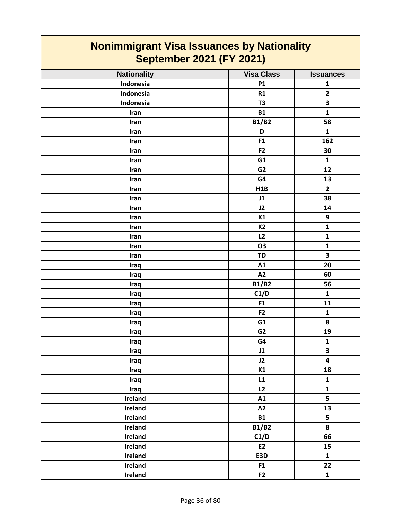| <b>Nationality</b> | <b>Visa Class</b> | <b>Issuances</b>        |
|--------------------|-------------------|-------------------------|
| Indonesia          | P1                | $\mathbf 1$             |
| Indonesia          | R1                | $\overline{\mathbf{2}}$ |
| Indonesia          | T <sub>3</sub>    | $\overline{\mathbf{3}}$ |
| Iran               | <b>B1</b>         | $\mathbf{1}$            |
| Iran               | <b>B1/B2</b>      | 58                      |
| Iran               | D                 | $\mathbf{1}$            |
| Iran               | F1                | 162                     |
| Iran               | F <sub>2</sub>    | 30                      |
| Iran               | G1                | $\mathbf{1}$            |
| Iran               | G <sub>2</sub>    | 12                      |
| Iran               | G4                | 13                      |
| Iran               | H1B               | $\overline{\mathbf{2}}$ |
| Iran               | J1                | 38                      |
| Iran               | J2                | 14                      |
| Iran               | K1                | $\boldsymbol{9}$        |
| Iran               | <b>K2</b>         | $\mathbf{1}$            |
| Iran               | L2                | $\mathbf 1$             |
| Iran               | <b>O3</b>         | $\mathbf{1}$            |
| Iran               | <b>TD</b>         | $\overline{\mathbf{3}}$ |
| Iraq               | A1                | 20                      |
| Iraq               | A2                | 60                      |
| Iraq               | <b>B1/B2</b>      | 56                      |
| Iraq               | C1/D              | $\mathbf{1}$            |
| Iraq               | F1                | 11                      |
| Iraq               | F <sub>2</sub>    | $\mathbf{1}$            |
| Iraq               | G1                | 8                       |
| Iraq               | G <sub>2</sub>    | 19                      |
| Iraq               | G4                | $\mathbf{1}$            |
| Iraq               | J1                | 3                       |
| <b>Iraq</b>        | J2                | 4                       |
| Iraq               | K1                | 18                      |
| Iraq               | L1                | $\mathbf{1}$            |
| Iraq               | L2                | $\mathbf{1}$            |
| Ireland            | A1                | 5                       |
| Ireland            | A2                | 13                      |
| Ireland            | <b>B1</b>         | 5                       |
| Ireland            | <b>B1/B2</b>      | 8                       |
| Ireland            | C1/D              | 66                      |
| Ireland            | E2                | 15                      |
| Ireland            | E3D               | $\mathbf{1}$            |
| Ireland            | F <sub>1</sub>    | 22                      |
| Ireland            | F2                | $\mathbf{1}$            |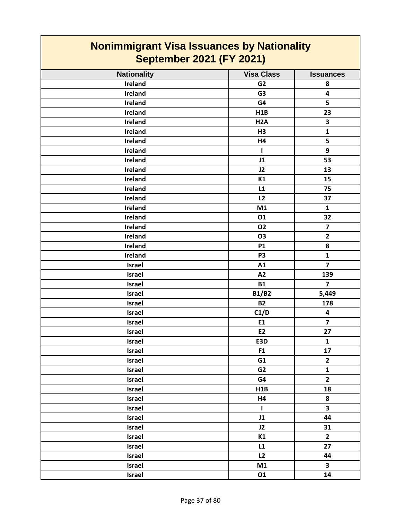| <b>Nonimmigrant Visa Issuances by Nationality</b><br><b>September 2021 (FY 2021)</b> |                   |                         |
|--------------------------------------------------------------------------------------|-------------------|-------------------------|
| <b>Nationality</b>                                                                   | <b>Visa Class</b> | <b>Issuances</b>        |
| Ireland                                                                              | G <sub>2</sub>    | 8                       |
| Ireland                                                                              | G <sub>3</sub>    | 4                       |
| Ireland                                                                              | G4                | 5                       |
| Ireland                                                                              | H1B               | 23                      |
| Ireland                                                                              | H <sub>2</sub> A  | 3                       |
| Ireland                                                                              | H <sub>3</sub>    | $\mathbf{1}$            |
| Ireland                                                                              | H4                | 5                       |
| Ireland                                                                              | 1                 | 9                       |
| <b>Ireland</b>                                                                       | J1                | 53                      |
| Ireland                                                                              | J2                | 13                      |
| <b>Ireland</b>                                                                       | K1                | 15                      |
| <b>Ireland</b>                                                                       | L1                | 75                      |
| <b>Ireland</b>                                                                       | L2                | 37                      |
| <b>Ireland</b>                                                                       | M1                | $\mathbf{1}$            |
| Ireland                                                                              | 01                | 32                      |
| Ireland                                                                              | <b>O2</b>         | $\overline{\mathbf{z}}$ |
| <b>Ireland</b>                                                                       | <b>O3</b>         | $\overline{2}$          |
| <b>Ireland</b>                                                                       | <b>P1</b>         | 8                       |
| Ireland                                                                              | P <sub>3</sub>    | $\mathbf{1}$            |
| <b>Israel</b>                                                                        | A1                | $\overline{7}$          |
| <b>Israel</b>                                                                        | A2                | 139                     |
| <b>Israel</b>                                                                        | <b>B1</b>         | $\overline{7}$          |
| Israel                                                                               | <b>B1/B2</b>      | 5,449                   |
| Israel                                                                               | <b>B2</b>         | 178                     |
| Israel                                                                               | C1/D              | 4                       |
| <b>Israel</b>                                                                        | E1                | 7                       |
| <b>Israel</b>                                                                        | E <sub>2</sub>    | 27                      |
| Israel                                                                               | E3D               | $\mathbf{1}$            |
| Israel                                                                               | F1                | 17                      |
| Israel                                                                               | G1                | $\mathbf{2}$            |
| Israel                                                                               | G <sub>2</sub>    | $\mathbf{1}$            |
| Israel                                                                               | G4                | $\overline{2}$          |
| Israel                                                                               | H1B               | 18                      |
| Israel                                                                               | H4                | 8                       |
| Israel                                                                               | $\mathbf{I}$      | 3                       |
| Israel                                                                               | J1                | 44                      |
| Israel                                                                               | J2                | 31                      |
| Israel                                                                               | K1                | $\mathbf{2}$            |
| Israel                                                                               | L1                | 27                      |
| Israel                                                                               | L2                | 44                      |
| Israel                                                                               | M1                | $\overline{\mathbf{3}}$ |
| Israel                                                                               | 01                | 14                      |

┓

**The Co** 

#### Page 37 of 80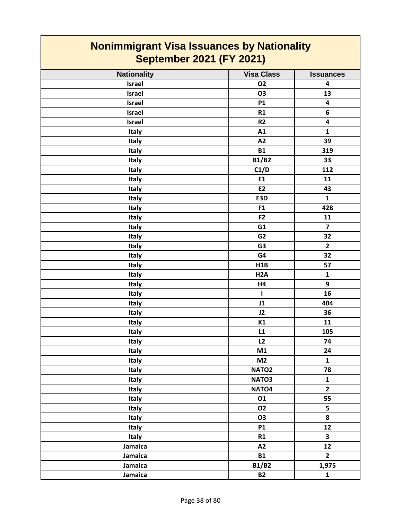| <b>Nonimmigrant Visa Issuances by Nationality</b><br><b>September 2021 (FY 2021)</b> |                   |                         |
|--------------------------------------------------------------------------------------|-------------------|-------------------------|
| <b>Nationality</b>                                                                   | <b>Visa Class</b> | <b>Issuances</b>        |
| <b>Israel</b>                                                                        | <b>O2</b>         | 4                       |
| <b>Israel</b>                                                                        | O <sub>3</sub>    | 13                      |
| <b>Israel</b>                                                                        | <b>P1</b>         | $\overline{\mathbf{4}}$ |
| <b>Israel</b>                                                                        | R1                | 6                       |
| <b>Israel</b>                                                                        | R <sub>2</sub>    | 4                       |
| <b>Italy</b>                                                                         | A1                | 1                       |
| <b>Italy</b>                                                                         | A2                | 39                      |
| Italy                                                                                | <b>B1</b>         | 319                     |
| Italy                                                                                | <b>B1/B2</b>      | 33                      |
| <b>Italy</b>                                                                         | C1/D              | 112                     |
| Italy                                                                                | E1                | 11                      |
| <b>Italy</b>                                                                         | E <sub>2</sub>    | 43                      |
| <b>Italy</b>                                                                         | E3D               | $\mathbf{1}$            |
| Italy                                                                                | F1                | 428                     |
| Italy                                                                                | F <sub>2</sub>    | 11                      |
| Italy                                                                                | G1                | $\overline{7}$          |
| Italy                                                                                | G <sub>2</sub>    | 32                      |
| Italy                                                                                | G <sub>3</sub>    | $\overline{2}$          |
| Italy                                                                                | G4                | 32                      |
| <b>Italy</b>                                                                         | H1B               | 57                      |
| Italy                                                                                | H <sub>2</sub> A  | $\mathbf{1}$            |
| Italy                                                                                | H4                | 9                       |
| Italy                                                                                | $\mathbf{I}$      | 16                      |
| Italy                                                                                | J1                | 404                     |
| Italy                                                                                | J2                | 36                      |
| <b>Italy</b>                                                                         | K1                | 11                      |
| <b>Italy</b>                                                                         | L1                | 105                     |
| Italy                                                                                | L2                | 74                      |
| Italy                                                                                | M1                | 24                      |
| Italy                                                                                | M <sub>2</sub>    | ${\bf 1}$               |
| Italy                                                                                | NATO <sub>2</sub> | 78                      |
| Italy                                                                                | NATO <sub>3</sub> | $\mathbf{1}$            |
| Italy                                                                                | NATO4             | $\overline{2}$          |
| Italy                                                                                | 01                | 55                      |
| Italy                                                                                | <b>O2</b>         | 5                       |
| Italy                                                                                | <b>O3</b>         | 8                       |
| Italy                                                                                | <b>P1</b>         | 12                      |
| Italy                                                                                | R1                | $\overline{\mathbf{3}}$ |
| Jamaica                                                                              | A2                | 12                      |
| Jamaica                                                                              | <b>B1</b>         | $\overline{2}$          |
| Jamaica                                                                              | <b>B1/B2</b>      | 1,975                   |
| Jamaica                                                                              | <b>B2</b>         | $\mathbf{1}$            |

┑

Г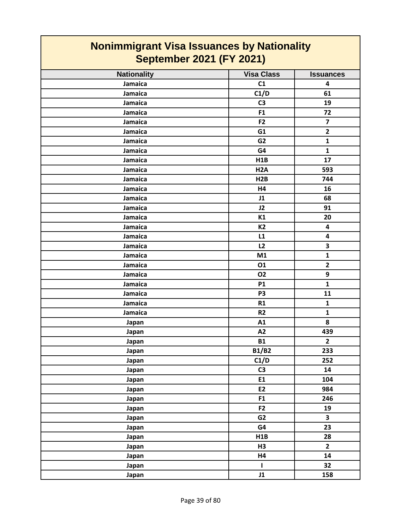| <b>Nationality</b> | <b>Visa Class</b> | <b>Issuances</b>        |
|--------------------|-------------------|-------------------------|
| Jamaica            | C1                | 4                       |
| Jamaica            | C1/D              | 61                      |
| Jamaica            | C <sub>3</sub>    | 19                      |
| Jamaica            | F1                | 72                      |
| Jamaica            | F <sub>2</sub>    | $\overline{\mathbf{z}}$ |
| Jamaica            | G1                | $\overline{2}$          |
| Jamaica            | G <sub>2</sub>    | $\mathbf{1}$            |
| Jamaica            | G4                | $\mathbf{1}$            |
| Jamaica            | H1B               | 17                      |
| Jamaica            | H <sub>2</sub> A  | 593                     |
| Jamaica            | H2B               | 744                     |
| Jamaica            | H4                | 16                      |
| Jamaica            | J1                | 68                      |
| Jamaica            | J2                | 91                      |
| Jamaica            | K1                | 20                      |
| Jamaica            | K <sub>2</sub>    | $\overline{\mathbf{4}}$ |
| Jamaica            | L1                | 4                       |
| Jamaica            | L2                | 3                       |
| Jamaica            | M1                | $\mathbf 1$             |
| Jamaica            | 01                | $\overline{\mathbf{2}}$ |
| Jamaica            | <b>O2</b>         | 9                       |
| Jamaica            | <b>P1</b>         | $\mathbf{1}$            |
| Jamaica            | P <sub>3</sub>    | 11                      |
| Jamaica            | R1                | $\mathbf{1}$            |
| Jamaica            | R <sub>2</sub>    | $\mathbf{1}$            |
| Japan              | A1                | 8                       |
| Japan              | A2                | 439                     |
| Japan              | <b>B1</b>         | $\mathbf{2}$            |
| Japan              | <b>B1/B2</b>      | 233                     |
| Japan              | C1/D              | 252                     |
| Japan              | C <sub>3</sub>    | 14                      |
| Japan              | E1                | 104                     |
| Japan              | E2                | 984                     |
| Japan              | F1                | 246                     |
| Japan              | F <sub>2</sub>    | 19                      |
| Japan              | G <sub>2</sub>    | $\overline{\mathbf{3}}$ |
| Japan              | G4                | 23                      |
| Japan              | H1B               | 28                      |
| Japan              | H <sub>3</sub>    | $\overline{2}$          |
| Japan              | H4                | 14                      |
| Japan              | $\mathbf{I}$      | 32                      |
| Japan              | J1                | 158                     |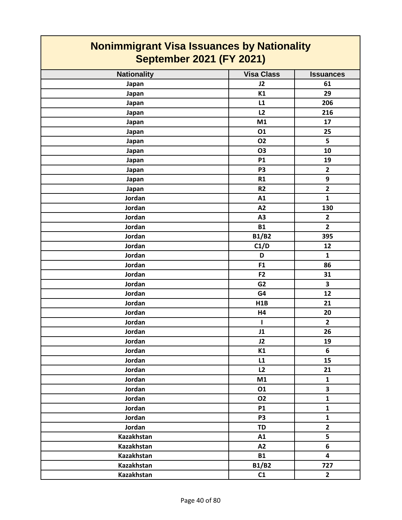| <b>Nationality</b> | <b>Visa Class</b> | <b>Issuances</b>        |
|--------------------|-------------------|-------------------------|
| Japan              | J2                | 61                      |
| Japan              | K1                | 29                      |
| Japan              | L1                | 206                     |
| Japan              | L2                | 216                     |
| Japan              | M1                | 17                      |
| Japan              | 01                | 25                      |
| Japan              | <b>O2</b>         | 5                       |
| Japan              | <b>O3</b>         | 10                      |
| Japan              | <b>P1</b>         | 19                      |
| Japan              | P <sub>3</sub>    | $\overline{2}$          |
| Japan              | R1                | 9                       |
| Japan              | R <sub>2</sub>    | $\overline{2}$          |
| Jordan             | A1                | $\mathbf{1}$            |
| Jordan             | A2                | 130                     |
| Jordan             | A <sub>3</sub>    | $\mathbf{2}$            |
| Jordan             | <b>B1</b>         | $\overline{2}$          |
| Jordan             | <b>B1/B2</b>      | 395                     |
| Jordan             | C1/D              | 12                      |
| Jordan             | D                 | $\mathbf{1}$            |
| Jordan             | F1                | 86                      |
| Jordan             | F <sub>2</sub>    | 31                      |
| Jordan             | G <sub>2</sub>    | $\overline{\mathbf{3}}$ |
| Jordan             | G4                | 12                      |
| Jordan             | H1B               | 21                      |
| Jordan             | H4                | 20                      |
| Jordan             | $\mathbf{I}$      | $\mathbf{2}$            |
| Jordan             | J1                | 26                      |
| Jordan             | J2                | 19                      |
| Jordan             | K1                | 6                       |
| Jordan             | L1                | 15                      |
| Jordan             | L2                | 21                      |
| Jordan             | M1                | $\mathbf{1}$            |
| Jordan             | 01                | $\overline{\mathbf{3}}$ |
| Jordan             | 02                | $\mathbf{1}$            |
| Jordan             | <b>P1</b>         | $\mathbf{1}$            |
| Jordan             | P <sub>3</sub>    | $\mathbf{1}$            |
| Jordan             | <b>TD</b>         | $\overline{2}$          |
| Kazakhstan         | A1                | $\overline{\mathbf{5}}$ |
| Kazakhstan         | A2                | 6                       |
| Kazakhstan         | <b>B1</b>         | $\overline{\mathbf{4}}$ |
| <b>Kazakhstan</b>  | <b>B1/B2</b>      | 727                     |
| Kazakhstan         | C1                | $\overline{2}$          |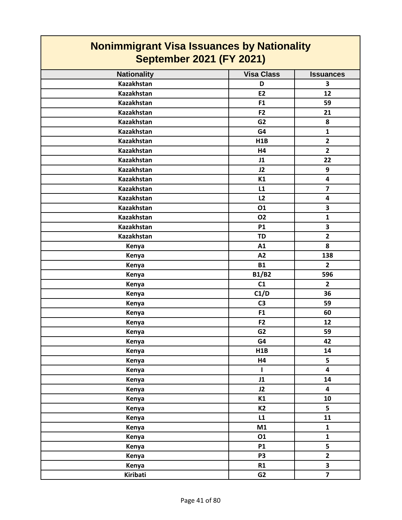| <b>Nationality</b> | <b>Visa Class</b> | <b>Issuances</b>        |
|--------------------|-------------------|-------------------------|
| <b>Kazakhstan</b>  | D                 | 3                       |
| <b>Kazakhstan</b>  | E2                | 12                      |
| Kazakhstan         | F1                | 59                      |
| Kazakhstan         | F <sub>2</sub>    | 21                      |
| Kazakhstan         | G <sub>2</sub>    | 8                       |
| Kazakhstan         | G4                | $\mathbf{1}$            |
| <b>Kazakhstan</b>  | H1B               | $\overline{2}$          |
| <b>Kazakhstan</b>  | H <sub>4</sub>    | $\overline{2}$          |
| Kazakhstan         | J1                | 22                      |
| Kazakhstan         | J2                | 9                       |
| Kazakhstan         | K1                | $\overline{\mathbf{4}}$ |
| Kazakhstan         | L1                | $\overline{\mathbf{z}}$ |
| <b>Kazakhstan</b>  | L2                | $\overline{\mathbf{4}}$ |
| Kazakhstan         | 01                | $\overline{\mathbf{3}}$ |
| <b>Kazakhstan</b>  | <b>O2</b>         | $\mathbf{1}$            |
| Kazakhstan         | <b>P1</b>         | $\overline{\mathbf{3}}$ |
| Kazakhstan         | <b>TD</b>         | $\overline{2}$          |
| Kenya              | A1                | 8                       |
| Kenya              | A2                | 138                     |
| Kenya              | <b>B1</b>         | $\overline{2}$          |
| Kenya              | <b>B1/B2</b>      | 596                     |
| Kenya              | C1                | $\overline{2}$          |
| Kenya              | C1/D              | 36                      |
| Kenya              | C <sub>3</sub>    | 59                      |
| Kenya              | F1                | 60                      |
| Kenya              | F <sub>2</sub>    | 12                      |
| Kenya              | G <sub>2</sub>    | 59                      |
| Kenya              | G4                | 42                      |
| Kenya              | H1B               | 14                      |
| Kenya              | H4                | 5                       |
| Kenya              | $\mathbf{I}$      | 4                       |
| Kenya              | J1                | 14                      |
| Kenya              | J2                | $\overline{\mathbf{4}}$ |
| Kenya              | K1                | 10                      |
| Kenya              | K2                | 5                       |
| Kenya              | L1                | 11                      |
| Kenya              | M1                | $\mathbf{1}$            |
| Kenya              | 01                | $\mathbf{1}$            |
| Kenya              | <b>P1</b>         | 5                       |
| Kenya              | P <sub>3</sub>    | $\overline{2}$          |
| Kenya              | R1                | $\overline{\mathbf{3}}$ |
| Kiribati           | G <sub>2</sub>    | $\overline{7}$          |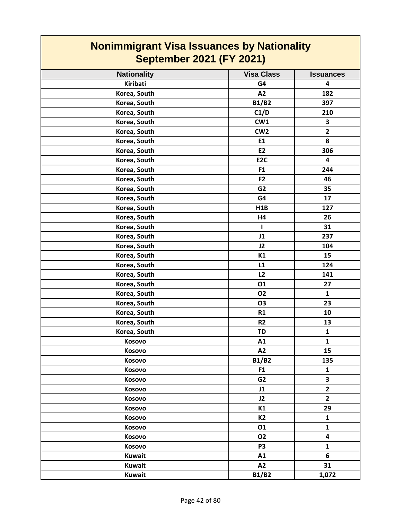| <b>Nonimmigrant Visa Issuances by Nationality</b><br><b>September 2021 (FY 2021)</b> |                   |                  |
|--------------------------------------------------------------------------------------|-------------------|------------------|
| <b>Nationality</b>                                                                   | <b>Visa Class</b> | <b>Issuances</b> |
| Kiribati                                                                             | G4                | 4                |
| Korea, South                                                                         | A2                | 182              |
| Korea, South                                                                         | <b>B1/B2</b>      | 397              |
| Korea, South                                                                         | C1/D              | 210              |
| Korea, South                                                                         | CW1               | 3                |
| Korea, South                                                                         | CW <sub>2</sub>   | $\mathbf{2}$     |
| Korea, South                                                                         | E1                | 8                |
| Korea, South                                                                         | E2                | 306              |
| Korea, South                                                                         | E <sub>2C</sub>   | 4                |
| Korea, South                                                                         | F <sub>1</sub>    | 244              |
| Korea, South                                                                         | F <sub>2</sub>    | 46               |
| Korea, South                                                                         | G <sub>2</sub>    | 35               |
| Korea, South                                                                         | G4                | 17               |
| Korea, South                                                                         | H1B               | 127              |
| Korea, South                                                                         | H4                | 26               |
| Korea, South                                                                         | L                 | 31               |
| Korea, South                                                                         | J1                | 237              |
| Korea, South                                                                         | J2                | 104              |
| Korea, South                                                                         | K1                | 15               |
| Korea, South                                                                         | L1                | 124              |
| Korea, South                                                                         | L2                | 141              |
| Korea, South                                                                         | 01                | 27               |
| Korea, South                                                                         | <b>O2</b>         | $\mathbf{1}$     |
| Korea, South                                                                         | <b>O3</b>         | 23               |
| Korea, South                                                                         | R1                | 10               |
| Korea, South                                                                         | R <sub>2</sub>    | 13               |
| Korea, South                                                                         | TD                | $\mathbf{1}$     |
| Kosovo                                                                               | A1                | $\mathbf{1}$     |
| Kosovo                                                                               | A2                | 15               |
| Kosovo                                                                               | <b>B1/B2</b>      | 135              |
| Kosovo                                                                               | F <sub>1</sub>    | $\mathbf{1}$     |
| Kosovo                                                                               | G <sub>2</sub>    | 3                |
| Kosovo                                                                               | J1                | $\overline{2}$   |
| Kosovo                                                                               | J2                | $\overline{2}$   |
| Kosovo                                                                               | K1                | 29               |
| Kosovo                                                                               | K <sub>2</sub>    | $\mathbf{1}$     |
| Kosovo                                                                               | 01                | $\mathbf{1}$     |
| Kosovo                                                                               | <b>O2</b>         | 4                |
|                                                                                      | P <sub>3</sub>    | $\mathbf{1}$     |
| Kosovo                                                                               |                   | 6                |
| <b>Kuwait</b>                                                                        | A1                |                  |
| <b>Kuwait</b>                                                                        | A2                | 31               |
| <b>Kuwait</b>                                                                        | <b>B1/B2</b>      | 1,072            |

Г

T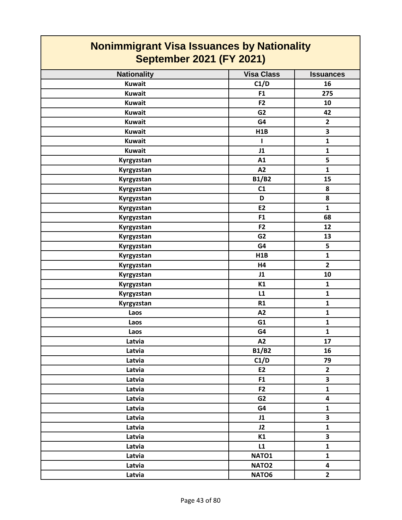| <b>Nonimmigrant Visa Issuances by Nationality</b><br><b>September 2021 (FY 2021)</b> |                   |                         |
|--------------------------------------------------------------------------------------|-------------------|-------------------------|
| <b>Nationality</b>                                                                   | <b>Visa Class</b> | <b>Issuances</b>        |
| <b>Kuwait</b>                                                                        | C1/D              | 16                      |
| <b>Kuwait</b>                                                                        | F <sub>1</sub>    | 275                     |
| <b>Kuwait</b>                                                                        | F <sub>2</sub>    | 10                      |
| <b>Kuwait</b>                                                                        | G <sub>2</sub>    | 42                      |
| <b>Kuwait</b>                                                                        | G4                | $\mathbf{2}$            |
| <b>Kuwait</b>                                                                        | H1B               | 3                       |
| <b>Kuwait</b>                                                                        | ш                 | $\mathbf{1}$            |
| <b>Kuwait</b>                                                                        | J1                | $\mathbf{1}$            |
| Kyrgyzstan                                                                           | A1                | 5                       |
| Kyrgyzstan                                                                           | A2                | $\mathbf{1}$            |
| Kyrgyzstan                                                                           | <b>B1/B2</b>      | 15                      |
| Kyrgyzstan                                                                           | C1                | 8                       |
| Kyrgyzstan                                                                           | D                 | 8                       |
| Kyrgyzstan                                                                           | E2                | $\mathbf{1}$            |
| Kyrgyzstan                                                                           | F1                | 68                      |
| Kyrgyzstan                                                                           | F <sub>2</sub>    | 12                      |
| Kyrgyzstan                                                                           | G <sub>2</sub>    | 13                      |
| Kyrgyzstan                                                                           | G4                | 5                       |
| Kyrgyzstan                                                                           | H1B               | $\mathbf{1}$            |
| Kyrgyzstan                                                                           | H4                | $\overline{2}$          |
| Kyrgyzstan                                                                           | J1                | 10                      |
| Kyrgyzstan                                                                           | K1                | $\mathbf{1}$            |
| Kyrgyzstan                                                                           | L1                | $\mathbf{1}$            |
| Kyrgyzstan                                                                           | R1                | $\mathbf{1}$            |
| Laos                                                                                 | A2                | $\mathbf{1}$            |
| Laos                                                                                 | G <sub>1</sub>    | $\mathbf{1}$            |
| Laos                                                                                 | G4                | $\mathbf{1}$            |
| Latvia                                                                               | A2                | 17                      |
| Latvia                                                                               | <b>B1/B2</b>      | 16                      |
| Latvia                                                                               | C1/D              | 79                      |
| Latvia                                                                               | E2                | $\mathbf{2}$            |
| Latvia                                                                               | F1                | 3                       |
| Latvia                                                                               | F <sub>2</sub>    | $\mathbf{1}$            |
| Latvia                                                                               | G <sub>2</sub>    | $\overline{\mathbf{4}}$ |
| Latvia                                                                               | G4                | $\mathbf{1}$            |
| Latvia                                                                               | J1                | $\overline{\mathbf{3}}$ |
| Latvia                                                                               | J2                | $\mathbf{1}$            |
| Latvia                                                                               | K1                | 3                       |
| Latvia                                                                               | L1                | $\mathbf{1}$            |
| Latvia                                                                               | NATO1             | $\mathbf{1}$            |
| Latvia                                                                               | NATO <sub>2</sub> | $\overline{\mathbf{4}}$ |
| Latvia                                                                               | NATO6             | $\overline{2}$          |

┓

 $\Gamma$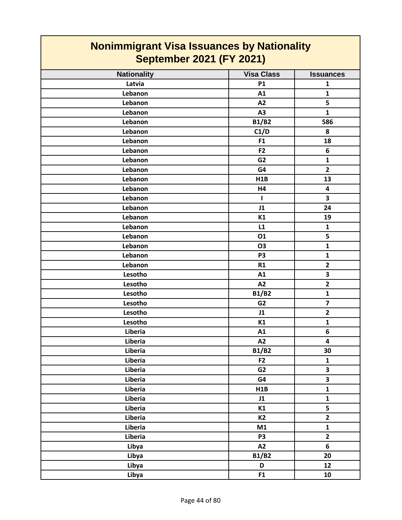| <b>Nonimmigrant Visa Issuances by Nationality</b><br><b>September 2021 (FY 2021)</b> |                   |                         |
|--------------------------------------------------------------------------------------|-------------------|-------------------------|
| <b>Nationality</b>                                                                   | <b>Visa Class</b> | <b>Issuances</b>        |
| Latvia                                                                               | <b>P1</b>         | $\mathbf{1}$            |
| Lebanon                                                                              | A1                | $\mathbf{1}$            |
| Lebanon                                                                              | A2                | 5                       |
| Lebanon                                                                              | A3                | $\mathbf{1}$            |
| Lebanon                                                                              | <b>B1/B2</b>      | 586                     |
| Lebanon                                                                              | C1/D              | 8                       |
| Lebanon                                                                              | F <sub>1</sub>    | 18                      |
| Lebanon                                                                              | F <sub>2</sub>    | 6                       |
| Lebanon                                                                              | G <sub>2</sub>    | $\mathbf{1}$            |
| Lebanon                                                                              | G4                | $\overline{2}$          |
| Lebanon                                                                              | H1B               | 13                      |
| Lebanon                                                                              | H4                | $\overline{\mathbf{4}}$ |
| Lebanon                                                                              | L                 | 3                       |
| Lebanon                                                                              | J1                | 24                      |
| Lebanon                                                                              | K1                | 19                      |
| Lebanon                                                                              | L1                | $\mathbf{1}$            |
| Lebanon                                                                              | 01                | 5                       |
| Lebanon                                                                              | <b>O3</b>         | $\mathbf{1}$            |
| Lebanon                                                                              | P <sub>3</sub>    | $\mathbf{1}$            |
| Lebanon                                                                              | R1                | $\overline{\mathbf{2}}$ |
| Lesotho                                                                              | A1                | 3                       |
| Lesotho                                                                              | A2                | $\overline{2}$          |
| Lesotho                                                                              | <b>B1/B2</b>      | $\mathbf{1}$            |
| Lesotho                                                                              | G <sub>2</sub>    | $\overline{\mathbf{z}}$ |
| Lesotho                                                                              | J1                | $\overline{2}$          |
| Lesotho                                                                              | K1                | $\mathbf{1}$            |
| Liberia                                                                              | A1                | 6                       |
| Liberia                                                                              | A2                | $\overline{\mathbf{4}}$ |
| Liberia                                                                              | <b>B1/B2</b>      | 30                      |
| Liberia                                                                              | F2                | $\mathbf{1}$            |
| Liberia                                                                              | G <sub>2</sub>    | $\overline{\mathbf{3}}$ |
| Liberia                                                                              | G4                | $\overline{\mathbf{3}}$ |
| Liberia                                                                              | H1B               | $\mathbf{1}$            |
| Liberia                                                                              | J1                | $\mathbf{1}$            |
| Liberia                                                                              | K1                | 5                       |
| Liberia                                                                              | <b>K2</b>         | $\mathbf{2}$            |
| Liberia                                                                              | M1                | $\mathbf{1}$            |
| Liberia                                                                              | P <sub>3</sub>    | $\mathbf{2}$            |
| Libya                                                                                | A2                | 6                       |
| Libya                                                                                | <b>B1/B2</b>      | 20                      |
| Libya                                                                                | D                 | 12                      |
| Libya                                                                                | F1                | 10                      |

Г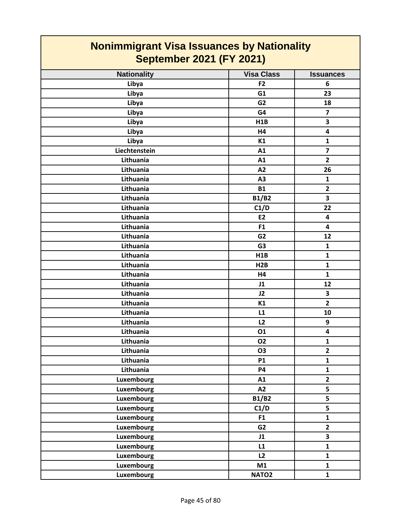| <b>Nationality</b> | <b>Visa Class</b> | <b>Issuances</b>        |
|--------------------|-------------------|-------------------------|
| Libya              | F2                | 6                       |
| Libya              | G1                | 23                      |
| Libya              | G <sub>2</sub>    | 18                      |
| Libya              | G4                | $\overline{7}$          |
| Libya              | H1B               | 3                       |
| Libya              | <b>H4</b>         | $\overline{\mathbf{4}}$ |
| Libya              | K1                | $\mathbf{1}$            |
| Liechtenstein      | A1                | $\overline{7}$          |
| Lithuania          | A1                | $\overline{2}$          |
| Lithuania          | A2                | 26                      |
| Lithuania          | A3                | $\mathbf{1}$            |
| Lithuania          | <b>B1</b>         | $\overline{2}$          |
| Lithuania          | <b>B1/B2</b>      | 3                       |
| Lithuania          | C1/D              | 22                      |
| Lithuania          | E2                | $\overline{\mathbf{4}}$ |
| Lithuania          | F1                | 4                       |
| Lithuania          | G <sub>2</sub>    | 12                      |
| Lithuania          | G <sub>3</sub>    | $\mathbf{1}$            |
| Lithuania          | H1B               | $\mathbf{1}$            |
| Lithuania          | H2B               | $\mathbf{1}$            |
| Lithuania          | H4                | $\mathbf{1}$            |
| Lithuania          | J1                | 12                      |
| Lithuania          | J2                | $\overline{\mathbf{3}}$ |
| Lithuania          | K1                | $\overline{2}$          |
| Lithuania          | L1                | 10                      |
| Lithuania          | L2                | 9                       |
| Lithuania          | <b>O1</b>         | 4                       |
| Lithuania          | <b>O2</b>         | $\mathbf{1}$            |
| Lithuania          | O3                | $\overline{2}$          |
| Lithuania          | <b>P1</b>         | $\mathbf{1}$            |
| Lithuania          | <b>P4</b>         | $\mathbf{1}$            |
| Luxembourg         | A1                | $\overline{2}$          |
| <b>Luxembourg</b>  | A2                | 5                       |
| Luxembourg         | <b>B1/B2</b>      | 5                       |
| Luxembourg         | C1/D              | 5                       |
| Luxembourg         | F1                | ${\bf 1}$               |
| Luxembourg         | G <sub>2</sub>    | $\overline{2}$          |
| Luxembourg         | J1                | $\overline{\mathbf{3}}$ |
| Luxembourg         | L1                | $\mathbf{1}$            |
| Luxembourg         | L2                | $\mathbf{1}$            |
| <b>Luxembourg</b>  | M1                | $\mathbf{1}$            |
| Luxembourg         | NATO <sub>2</sub> | $\mathbf{1}$            |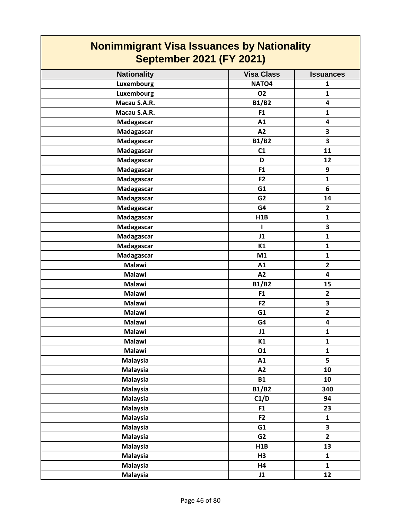| <b>Nonimmigrant Visa Issuances by Nationality</b> |                   |                  |
|---------------------------------------------------|-------------------|------------------|
| <b>September 2021 (FY 2021)</b>                   |                   |                  |
| <b>Nationality</b>                                | <b>Visa Class</b> | <b>Issuances</b> |
| Luxembourg                                        | NATO <sub>4</sub> | 1                |
| Luxembourg                                        | <b>O2</b>         | $\mathbf{1}$     |
| Macau S.A.R.                                      | <b>B1/B2</b>      | 4                |
| Macau S.A.R.                                      | F <sub>1</sub>    | $\mathbf{1}$     |
| Madagascar                                        | A1                | 4                |
| Madagascar                                        | A2                | 3                |
| Madagascar                                        | <b>B1/B2</b>      | 3                |
| Madagascar                                        | C1                | 11               |
| Madagascar                                        | D                 | 12               |
| Madagascar                                        | F <sub>1</sub>    | 9                |
| Madagascar                                        | F <sub>2</sub>    | $\mathbf{1}$     |
| Madagascar                                        | G1                | 6                |
| Madagascar                                        | G <sub>2</sub>    | 14               |
| Madagascar                                        | G4                | $\overline{2}$   |
| Madagascar                                        | H1B               | $\mathbf{1}$     |
| Madagascar                                        | ı                 | 3                |
| Madagascar                                        | J1                | $\mathbf{1}$     |
| Madagascar                                        | K1                | $\mathbf{1}$     |
| Madagascar                                        | M1                | $\mathbf{1}$     |
| <b>Malawi</b>                                     | A1                | $\mathbf{2}$     |
| <b>Malawi</b>                                     | A2                | 4                |
| <b>Malawi</b>                                     | <b>B1/B2</b>      | 15               |
| <b>Malawi</b>                                     | F <sub>1</sub>    | $\mathbf{2}$     |
| <b>Malawi</b>                                     | F <sub>2</sub>    | 3                |
| <b>Malawi</b>                                     | G1                | $\overline{2}$   |
| <b>Malawi</b>                                     | G4                | 4                |
| Malawi                                            | J1                | $\mathbf{1}$     |
| <b>Malawi</b>                                     | K1                | $\mathbf{1}$     |
| <b>Malawi</b>                                     | 01                | $\mathbf{1}$     |
| <b>Malaysia</b>                                   | A1                | 5                |
| <b>Malaysia</b>                                   | A2                | 10               |
| Malaysia                                          | <b>B1</b>         | 10               |
| <b>Malaysia</b>                                   | <b>B1/B2</b>      | 340              |
| <b>Malaysia</b>                                   | C1/D              | 94               |
| <b>Malaysia</b>                                   | F1                | 23               |
| <b>Malaysia</b>                                   | F <sub>2</sub>    | $\mathbf{1}$     |
| <b>Malaysia</b>                                   | G1                | 3                |
| <b>Malaysia</b>                                   | G <sub>2</sub>    | $\overline{2}$   |
| <b>Malaysia</b>                                   | H1B               | 13               |
| <b>Malaysia</b>                                   | H3                | $\mathbf{1}$     |
| <b>Malaysia</b>                                   | <b>H4</b>         | $\mathbf{1}$     |
| <b>Malaysia</b>                                   | J1                | 12               |

┑

Г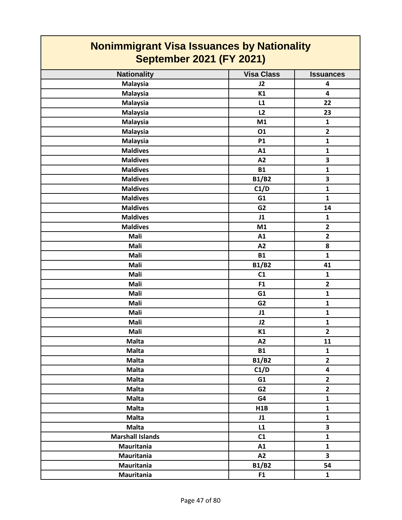| <b>Nationality</b>      | <b>Visa Class</b> | <b>Issuances</b>        |
|-------------------------|-------------------|-------------------------|
| <b>Malaysia</b>         | J2                | 4                       |
| <b>Malaysia</b>         | K1                | $\overline{\mathbf{4}}$ |
| <b>Malaysia</b>         | L1                | 22                      |
| <b>Malaysia</b>         | L2                | 23                      |
| <b>Malaysia</b>         | M1                | $\mathbf{1}$            |
| <b>Malaysia</b>         | 01                | $\overline{2}$          |
| <b>Malaysia</b>         | <b>P1</b>         | $\mathbf 1$             |
| <b>Maldives</b>         | A1                | $\mathbf{1}$            |
| <b>Maldives</b>         | A2                | $\overline{\mathbf{3}}$ |
| <b>Maldives</b>         | <b>B1</b>         | $\mathbf{1}$            |
| <b>Maldives</b>         | <b>B1/B2</b>      | 3                       |
| <b>Maldives</b>         | C1/D              | $\mathbf 1$             |
| <b>Maldives</b>         | G1                | $\mathbf{1}$            |
| <b>Maldives</b>         | G <sub>2</sub>    | 14                      |
| <b>Maldives</b>         | J1                | $\mathbf 1$             |
| <b>Maldives</b>         | M1                | $\overline{\mathbf{2}}$ |
| Mali                    | A1                | $\overline{\mathbf{2}}$ |
| Mali                    | A2                | 8                       |
| Mali                    | <b>B1</b>         | $\mathbf{1}$            |
| Mali                    | <b>B1/B2</b>      | 41                      |
| Mali                    | C1                | $\mathbf{1}$            |
| Mali                    | F1                | $\overline{2}$          |
| Mali                    | G1                | $\mathbf 1$             |
| Mali                    | G <sub>2</sub>    | $\mathbf{1}$            |
| Mali                    | J1                | $\mathbf{1}$            |
| Mali                    | J2                | $\mathbf{1}$            |
| Mali                    | K1                | $\overline{2}$          |
| <b>Malta</b>            | A2                | 11                      |
| <b>Malta</b>            | <b>B1</b>         | $\mathbf 1$             |
| <b>Malta</b>            | B1/B2             | $\overline{\mathbf{2}}$ |
| <b>Malta</b>            | C1/D              | $\overline{\mathbf{4}}$ |
| <b>Malta</b>            | G1                | $\overline{2}$          |
| <b>Malta</b>            | G <sub>2</sub>    | $\overline{2}$          |
| <b>Malta</b>            | G4                | $\mathbf{1}$            |
| <b>Malta</b>            | H1B               | ${\bf 1}$               |
| <b>Malta</b>            | J1                | $\mathbf{1}$            |
| <b>Malta</b>            | L1                | 3                       |
| <b>Marshall Islands</b> | C1                | ${\bf 1}$               |
| Mauritania              | A1                | $\mathbf{1}$            |
| Mauritania              | A2                | $\overline{\mathbf{3}}$ |
| Mauritania              | <b>B1/B2</b>      | 54                      |
| Mauritania              | F1                | $\mathbf{1}$            |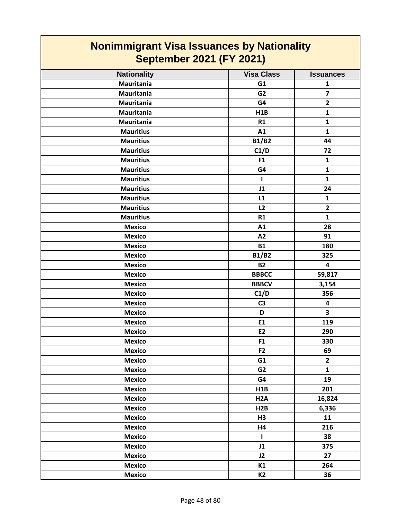#### **Nationality Visa Class I Issuances Nonimmigrant Visa Issuances by Nationality September 2021 (FY 2021) Mauritania G1 1 Mauritania G2 7 Mauritania G4 2 Mauritania H1B 1 Mauritania R1 1 Mauritius A1 1 Mauritius B1/B2 44 Mauritius C1/D 72 Mauritius F1 1 Mauritius G4 1 Mauritius I 1 Mauritius J1 24 Mauritius L1 1 Mauritius L2 2 Mauritius R1 1 Mexico A1 28 Mexico A2 91 Mexico B1 180 Mexico B1/B2 325 Mexico B2 4 Mexico BBBCC 59,817 Mexico BBBCV 3,154 Mexico C1/D 356 Mexico C3 4 Mexico D 3 Mexico E1 119 Mexico E2 290 Mexico F1 330 Mexico F2 69 Mexico G1 2 Mexico G2 1 Mexico G4 19 Mexico H1B 201 Mexico H2A 16,824 Mexico H2B 6,336 Mexico H3 11 Mexico H4 216 Mexico I 38 Mexico J1 375 Mexico J2 27 Mexico K1 264 Mexico K2 36**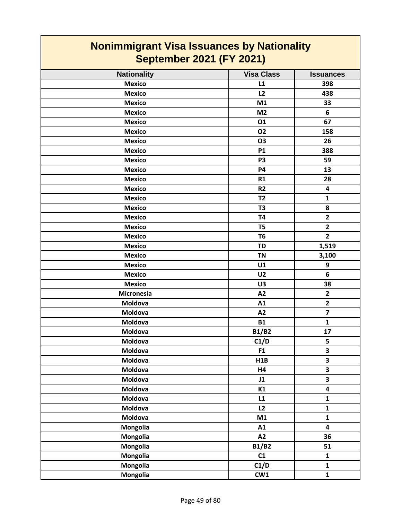| <b>Nationality</b>                                                                                                         | <b>Visa Class</b>                                                      | <b>Issuances</b>                                                                              |
|----------------------------------------------------------------------------------------------------------------------------|------------------------------------------------------------------------|-----------------------------------------------------------------------------------------------|
| <b>Mexico</b>                                                                                                              | L1                                                                     | 398                                                                                           |
| <b>Mexico</b>                                                                                                              | L2                                                                     | 438                                                                                           |
| <b>Mexico</b>                                                                                                              | M1                                                                     | 33                                                                                            |
| <b>Mexico</b>                                                                                                              | M <sub>2</sub>                                                         | 6                                                                                             |
| <b>Mexico</b>                                                                                                              | 01                                                                     | 67                                                                                            |
| <b>Mexico</b>                                                                                                              | <b>O2</b>                                                              | 158                                                                                           |
| <b>Mexico</b>                                                                                                              | <b>O3</b>                                                              | 26                                                                                            |
| <b>Mexico</b>                                                                                                              | P1                                                                     | 388                                                                                           |
| <b>Mexico</b>                                                                                                              | P <sub>3</sub>                                                         | 59                                                                                            |
| <b>Mexico</b>                                                                                                              | <b>P4</b>                                                              | 13                                                                                            |
| <b>Mexico</b>                                                                                                              | R1                                                                     | 28                                                                                            |
| <b>Mexico</b>                                                                                                              | R <sub>2</sub>                                                         | 4                                                                                             |
| <b>Mexico</b>                                                                                                              | T <sub>2</sub>                                                         | $\mathbf{1}$                                                                                  |
| <b>Mexico</b>                                                                                                              | T <sub>3</sub>                                                         | 8                                                                                             |
| <b>Mexico</b>                                                                                                              | <b>T4</b>                                                              | $\overline{2}$                                                                                |
| <b>Mexico</b>                                                                                                              | T <sub>5</sub>                                                         | $\overline{2}$                                                                                |
| <b>Mexico</b>                                                                                                              | T <sub>6</sub>                                                         | $\overline{2}$                                                                                |
| <b>Mexico</b>                                                                                                              | <b>TD</b>                                                              | 1,519                                                                                         |
| <b>Mexico</b>                                                                                                              | <b>TN</b>                                                              | 3,100                                                                                         |
| <b>Mexico</b>                                                                                                              | U1                                                                     | 9                                                                                             |
| <b>Mexico</b>                                                                                                              | U <sub>2</sub>                                                         | $\bf 6$                                                                                       |
| <b>Mexico</b>                                                                                                              | U3                                                                     | 38                                                                                            |
| <b>Micronesia</b>                                                                                                          | A2                                                                     | $\mathbf{2}$                                                                                  |
| Moldova                                                                                                                    | A1                                                                     | $\mathbf{2}$                                                                                  |
| Moldova                                                                                                                    | A2                                                                     | $\overline{\mathbf{z}}$                                                                       |
| Moldova                                                                                                                    | <b>B1</b>                                                              | $\mathbf 1$                                                                                   |
| Moldova                                                                                                                    | <b>B1/B2</b>                                                           | 17                                                                                            |
| Moldova                                                                                                                    | C1/D                                                                   | 5                                                                                             |
| Moldova                                                                                                                    | F1                                                                     | 3                                                                                             |
|                                                                                                                            |                                                                        |                                                                                               |
| Moldova                                                                                                                    | H4                                                                     | 3                                                                                             |
|                                                                                                                            |                                                                        |                                                                                               |
|                                                                                                                            |                                                                        |                                                                                               |
|                                                                                                                            | L1                                                                     | $\mathbf{1}$                                                                                  |
|                                                                                                                            | L2                                                                     | $\mathbf{1}$                                                                                  |
|                                                                                                                            |                                                                        |                                                                                               |
|                                                                                                                            |                                                                        | 4                                                                                             |
|                                                                                                                            |                                                                        |                                                                                               |
|                                                                                                                            |                                                                        |                                                                                               |
|                                                                                                                            |                                                                        |                                                                                               |
|                                                                                                                            |                                                                        |                                                                                               |
| Mongolia                                                                                                                   |                                                                        | $\mathbf{1}$                                                                                  |
| Moldova<br>Moldova<br>Moldova<br>Moldova<br>Moldova<br>Moldova<br>Mongolia<br>Mongolia<br>Mongolia<br>Mongolia<br>Mongolia | H1B<br>J1<br>K1<br>M1<br>A1<br>A2<br><b>B1/B2</b><br>C1<br>C1/D<br>CW1 | 3<br>$\overline{\mathbf{3}}$<br>4<br>$\mathbf{1}$<br>36<br>51<br>$\mathbf{1}$<br>$\mathbf{1}$ |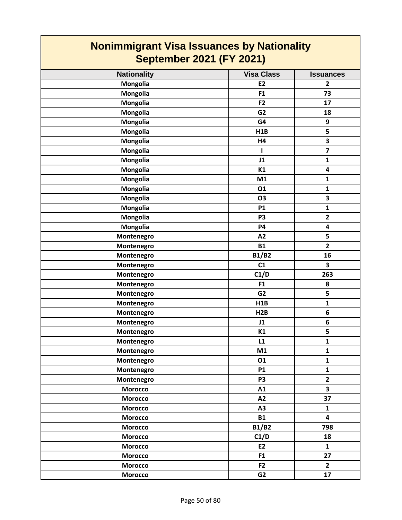| <b>Nationality</b> | <b>Visa Class</b> | <b>Issuances</b>        |
|--------------------|-------------------|-------------------------|
| Mongolia           | E <sub>2</sub>    | $\overline{2}$          |
| Mongolia           | F1                | 73                      |
| Mongolia           | F2                | 17                      |
| Mongolia           | G <sub>2</sub>    | 18                      |
| Mongolia           | G4                | 9                       |
| Mongolia           | H1B               | 5                       |
| Mongolia           | H4                | $\overline{\mathbf{3}}$ |
| Mongolia           | $\mathbf{I}$      | $\overline{\mathbf{z}}$ |
| Mongolia           | J1                | $\mathbf{1}$            |
| Mongolia           | K1                | 4                       |
| Mongolia           | M1                | $\mathbf{1}$            |
| Mongolia           | 01                | $\mathbf{1}$            |
| Mongolia           | <b>O3</b>         | $\overline{\mathbf{3}}$ |
| Mongolia           | <b>P1</b>         | $\mathbf{1}$            |
| Mongolia           | P <sub>3</sub>    | $\overline{\mathbf{2}}$ |
| Mongolia           | <b>P4</b>         | $\overline{\mathbf{4}}$ |
| Montenegro         | A2                | 5                       |
| Montenegro         | <b>B1</b>         | $\overline{2}$          |
| Montenegro         | <b>B1/B2</b>      | 16                      |
| Montenegro         | C1                | 3                       |
| Montenegro         | C1/D              | 263                     |
| Montenegro         | F1                | 8                       |
| Montenegro         | G <sub>2</sub>    | 5                       |
| Montenegro         | H1B               | $\mathbf{1}$            |
| Montenegro         | H2B               | 6                       |
| Montenegro         | J1                | 6                       |
| Montenegro         | K1                | 5                       |
| Montenegro         | L1                | $\mathbf{1}$            |
| Montenegro         | M1                | 1                       |
| Montenegro         | 01                | $\mathbf 1$             |
| Montenegro         | <b>P1</b>         | $\mathbf{1}$            |
| Montenegro         | P <sub>3</sub>    | $\overline{2}$          |
| <b>Morocco</b>     | A1                | $\overline{\mathbf{3}}$ |
| <b>Morocco</b>     | A2                | 37                      |
| <b>Morocco</b>     | A3                | $\mathbf{1}$            |
| <b>Morocco</b>     | <b>B1</b>         | 4                       |
| <b>Morocco</b>     | <b>B1/B2</b>      | 798                     |
| <b>Morocco</b>     | C1/D              | 18                      |
| <b>Morocco</b>     | E2                | $\mathbf{1}$            |
| <b>Morocco</b>     | F1                | 27                      |
| <b>Morocco</b>     | F2                | $\overline{2}$          |
| <b>Morocco</b>     | G2                | 17                      |
|                    |                   |                         |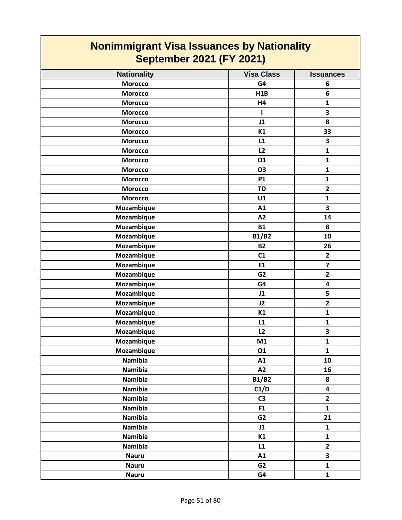| <b>Nationality</b> | <b>Visa Class</b> | <b>Issuances</b>        |
|--------------------|-------------------|-------------------------|
| <b>Morocco</b>     | G4                | 6                       |
| <b>Morocco</b>     | H1B               | 6                       |
| <b>Morocco</b>     | H4                | $\mathbf{1}$            |
| <b>Morocco</b>     | ı                 | 3                       |
| <b>Morocco</b>     | J1                | 8                       |
| <b>Morocco</b>     | K1                | 33                      |
| <b>Morocco</b>     | L1                | $\overline{\mathbf{3}}$ |
| <b>Morocco</b>     | L2                | $\mathbf{1}$            |
| <b>Morocco</b>     | 01                | $\mathbf{1}$            |
| <b>Morocco</b>     | <b>O3</b>         | $\mathbf{1}$            |
| <b>Morocco</b>     | <b>P1</b>         | $\mathbf{1}$            |
| <b>Morocco</b>     | <b>TD</b>         | $\overline{2}$          |
| <b>Morocco</b>     | U1                | $\mathbf{1}$            |
| Mozambique         | A1                | $\overline{\mathbf{3}}$ |
| Mozambique         | A2                | 14                      |
| Mozambique         | <b>B1</b>         | 8                       |
| Mozambique         | <b>B1/B2</b>      | 10                      |
| Mozambique         | <b>B2</b>         | 26                      |
| Mozambique         | C1                | $\mathbf{2}$            |
| Mozambique         | F1                | $\overline{\mathbf{z}}$ |
| Mozambique         | G <sub>2</sub>    | $\overline{2}$          |
| Mozambique         | G4                | $\overline{\mathbf{4}}$ |
| Mozambique         | J1                | 5                       |
| Mozambique         | J2                | $\overline{2}$          |
| Mozambique         | K1                | $\mathbf{1}$            |
| Mozambique         | L1                | $\mathbf{1}$            |
| Mozambique         | L2                | $\overline{\mathbf{3}}$ |
| Mozambique         | M1                | $\mathbf{1}$            |
| Mozambique         | 01                | 1                       |
| Namibia            | A1                | 10                      |
| Namibia            | A2                | 16                      |
| <b>Namibia</b>     | <b>B1/B2</b>      | 8                       |
| Namibia            | C1/D              | $\overline{\mathbf{4}}$ |
| <b>Namibia</b>     | C <sub>3</sub>    | $\overline{2}$          |
| <b>Namibia</b>     | F1                | $\mathbf{1}$            |
| <b>Namibia</b>     | G <sub>2</sub>    | 21                      |
| <b>Namibia</b>     | J1                | $\mathbf{1}$            |
| Namibia            | K1                | $\mathbf{1}$            |
| <b>Namibia</b>     | L1                | $\overline{2}$          |
| <b>Nauru</b>       | A1                | $\overline{\mathbf{3}}$ |
| <b>Nauru</b>       | G <sub>2</sub>    | $\mathbf{1}$            |
| <b>Nauru</b>       | G4                | $\mathbf{1}$            |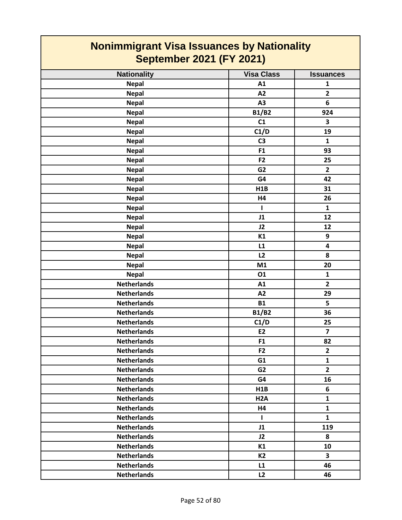| <b>Nonimmigrant Visa Issuances by Nationality</b><br><b>September 2021 (FY 2021)</b> |                   |                  |
|--------------------------------------------------------------------------------------|-------------------|------------------|
| <b>Nationality</b>                                                                   | <b>Visa Class</b> | <b>Issuances</b> |
| <b>Nepal</b>                                                                         | A1                | $\mathbf{1}$     |
| <b>Nepal</b>                                                                         | A2                | $\overline{2}$   |
| <b>Nepal</b>                                                                         | A3                | 6                |
| <b>Nepal</b>                                                                         | <b>B1/B2</b>      | 924              |
| <b>Nepal</b>                                                                         | C1                | 3                |
| <b>Nepal</b>                                                                         | C1/D              | 19               |
| <b>Nepal</b>                                                                         | C <sub>3</sub>    | $\mathbf{1}$     |
| <b>Nepal</b>                                                                         | F <sub>1</sub>    | 93               |
| <b>Nepal</b>                                                                         | F <sub>2</sub>    | 25               |
| <b>Nepal</b>                                                                         | G <sub>2</sub>    | $\overline{2}$   |
| <b>Nepal</b>                                                                         | G4                | 42               |
| <b>Nepal</b>                                                                         | H <sub>1</sub> B  | 31               |
| <b>Nepal</b>                                                                         | <b>H4</b>         | 26               |
| <b>Nepal</b>                                                                         | т                 | $\mathbf{1}$     |
| <b>Nepal</b>                                                                         | J1                | 12               |
| <b>Nepal</b>                                                                         | J2                | 12               |
| <b>Nepal</b>                                                                         | K1                | 9                |
| <b>Nepal</b>                                                                         | L1                | 4                |
| <b>Nepal</b>                                                                         | L2                | 8                |
| <b>Nepal</b>                                                                         | M1                | 20               |
| <b>Nepal</b>                                                                         | 01                | $\mathbf{1}$     |
| <b>Netherlands</b>                                                                   | A1                | $\overline{2}$   |
| <b>Netherlands</b>                                                                   | A2                | 29               |
| <b>Netherlands</b>                                                                   | <b>B1</b>         | 5                |
| <b>Netherlands</b>                                                                   | <b>B1/B2</b>      | 36               |
| <b>Netherlands</b>                                                                   | C1/D              | 25               |
| <b>Netherlands</b>                                                                   | E <sub>2</sub>    | 7                |
| <b>Netherlands</b>                                                                   | F <sub>1</sub>    | 82               |
| <b>Netherlands</b>                                                                   | F <sub>2</sub>    | $\mathbf{2}$     |
| <b>Netherlands</b>                                                                   | G1                | $\mathbf{1}$     |
| <b>Netherlands</b>                                                                   | G <sub>2</sub>    | $\overline{2}$   |
| <b>Netherlands</b>                                                                   | G4                | 16               |
| <b>Netherlands</b>                                                                   | H1B               | 6                |
| <b>Netherlands</b>                                                                   | H <sub>2</sub> A  | 1                |
| <b>Netherlands</b>                                                                   | <b>H4</b>         | $\mathbf{1}$     |
| <b>Netherlands</b>                                                                   | $\mathbf{I}$      | $\mathbf{1}$     |
| <b>Netherlands</b>                                                                   | J1                | 119              |
| <b>Netherlands</b>                                                                   | J2                | 8                |
| <b>Netherlands</b>                                                                   | K1                | 10               |
| <b>Netherlands</b>                                                                   | <b>K2</b>         | 3                |
| <b>Netherlands</b>                                                                   | L1                | 46               |
| <b>Netherlands</b>                                                                   | L2                | 46               |

Г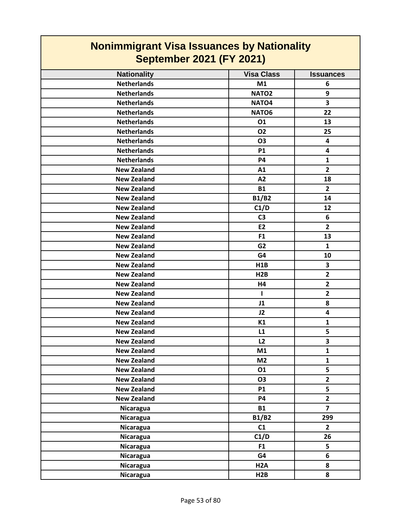| <b>Nonimmigrant Visa Issuances by Nationality</b> |                   |                  |
|---------------------------------------------------|-------------------|------------------|
| <b>September 2021 (FY 2021)</b>                   |                   |                  |
| <b>Nationality</b>                                | <b>Visa Class</b> | <b>Issuances</b> |
| <b>Netherlands</b>                                | M1                | 6                |
| <b>Netherlands</b>                                | NATO <sub>2</sub> | 9                |
| <b>Netherlands</b>                                | NATO <sub>4</sub> | 3                |
| <b>Netherlands</b>                                | NATO6             | 22               |
| <b>Netherlands</b>                                | 01                | 13               |
| <b>Netherlands</b>                                | <b>O2</b>         | 25               |
| <b>Netherlands</b>                                | <b>O3</b>         | 4                |
| <b>Netherlands</b>                                | <b>P1</b>         | 4                |
| <b>Netherlands</b>                                | <b>P4</b>         | $\mathbf{1}$     |
| <b>New Zealand</b>                                | A1                | $\overline{2}$   |
| <b>New Zealand</b>                                | A2                | 18               |
| <b>New Zealand</b>                                | <b>B1</b>         | $\overline{2}$   |
| <b>New Zealand</b>                                | <b>B1/B2</b>      | 14               |
| <b>New Zealand</b>                                | C1/D              | 12               |
| <b>New Zealand</b>                                | C <sub>3</sub>    | 6                |
| <b>New Zealand</b>                                | <b>E2</b>         | $\overline{2}$   |
| <b>New Zealand</b>                                | F <sub>1</sub>    | 13               |
| <b>New Zealand</b>                                | G <sub>2</sub>    | $\mathbf{1}$     |
| <b>New Zealand</b>                                | G4                | 10               |
| <b>New Zealand</b>                                | H <sub>1</sub> B  | 3                |
| <b>New Zealand</b>                                | H2B               | $\overline{2}$   |
| <b>New Zealand</b>                                | H4                | $\mathbf{2}$     |
| <b>New Zealand</b>                                | т                 | $\overline{2}$   |
| <b>New Zealand</b>                                | J1                | 8                |
| <b>New Zealand</b>                                | J2                | 4                |
| <b>New Zealand</b>                                | K1                | 1                |
| <b>New Zealand</b>                                | L1                | 5                |
| <b>New Zealand</b>                                | L2                | 3                |
| <b>New Zealand</b>                                | M1                | $\mathbf{1}$     |
| <b>New Zealand</b>                                | M <sub>2</sub>    | $\mathbf{1}$     |
| <b>New Zealand</b>                                | 01                | 5                |
| <b>New Zealand</b>                                | <b>O3</b>         | $\mathbf{2}$     |
| <b>New Zealand</b>                                | <b>P1</b>         | 5                |
| <b>New Zealand</b>                                | <b>P4</b>         | $\overline{2}$   |
| Nicaragua                                         | <b>B1</b>         | $\overline{7}$   |
| Nicaragua                                         | <b>B1/B2</b>      | 299              |
| Nicaragua                                         | C1                | $\overline{2}$   |
| Nicaragua                                         | C1/D              | 26               |
| Nicaragua                                         | F <sub>1</sub>    | 5                |
| Nicaragua                                         | G4                | 6                |
| Nicaragua                                         | H <sub>2</sub> A  | 8                |
| Nicaragua                                         | H2B               | 8                |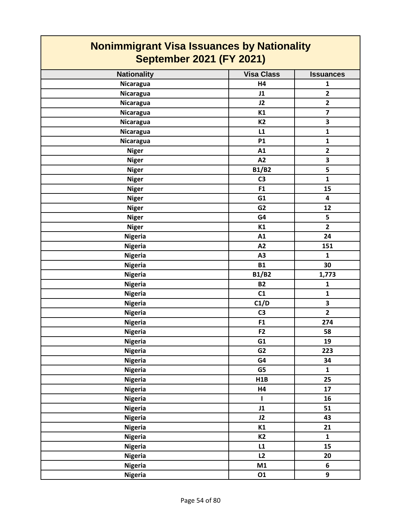| <b>Nationality</b> | <b>Visa Class</b> | <b>Issuances</b>        |
|--------------------|-------------------|-------------------------|
| Nicaragua          | H4                | $\mathbf{1}$            |
| Nicaragua          | J1                | $\overline{2}$          |
| <b>Nicaragua</b>   | J2                | $\overline{2}$          |
| Nicaragua          | K1                | $\overline{\mathbf{z}}$ |
| Nicaragua          | <b>K2</b>         | $\overline{\mathbf{3}}$ |
| Nicaragua          | L1                | $\mathbf{1}$            |
| Nicaragua          | <b>P1</b>         | $\mathbf{1}$            |
| <b>Niger</b>       | A1                | $\overline{2}$          |
| <b>Niger</b>       | A2                | 3                       |
| <b>Niger</b>       | <b>B1/B2</b>      | 5                       |
| <b>Niger</b>       | C <sub>3</sub>    | $\mathbf{1}$            |
| <b>Niger</b>       | F1                | 15                      |
| <b>Niger</b>       | G1                | $\overline{\mathbf{4}}$ |
| <b>Niger</b>       | G <sub>2</sub>    | 12                      |
| <b>Niger</b>       | G4                | 5                       |
| <b>Niger</b>       | K1                | $\overline{2}$          |
| <b>Nigeria</b>     | A1                | 24                      |
| <b>Nigeria</b>     | A2                | 151                     |
| <b>Nigeria</b>     | A <sub>3</sub>    | $\mathbf{1}$            |
| <b>Nigeria</b>     | <b>B1</b>         | 30                      |
| <b>Nigeria</b>     | <b>B1/B2</b>      | 1,773                   |
| <b>Nigeria</b>     | <b>B2</b>         | $\mathbf{1}$            |
| <b>Nigeria</b>     | C1                | $\mathbf 1$             |
| <b>Nigeria</b>     | C1/D              | $\overline{\mathbf{3}}$ |
| <b>Nigeria</b>     | C <sub>3</sub>    | $\overline{2}$          |
| <b>Nigeria</b>     | F1                | 274                     |
| <b>Nigeria</b>     | F <sub>2</sub>    | 58                      |
| <b>Nigeria</b>     | G1                | 19                      |
| <b>Nigeria</b>     | G <sub>2</sub>    | 223                     |
| <b>Nigeria</b>     | G4                | 34                      |
| <b>Nigeria</b>     | G5                | $\mathbf{1}$            |
| <b>Nigeria</b>     | H1B               | 25                      |
| <b>Nigeria</b>     | H4                | 17                      |
| <b>Nigeria</b>     | $\mathbf{I}$      | 16                      |
| <b>Nigeria</b>     | J1                | 51                      |
| <b>Nigeria</b>     | J2                | 43                      |
| <b>Nigeria</b>     | K1                | 21                      |
| <b>Nigeria</b>     | <b>K2</b>         | $\mathbf{1}$            |
| <b>Nigeria</b>     | L1                | 15                      |
| <b>Nigeria</b>     | L2                | 20                      |
| <b>Nigeria</b>     | M1                | 6                       |
| <b>Nigeria</b>     | 01                | 9                       |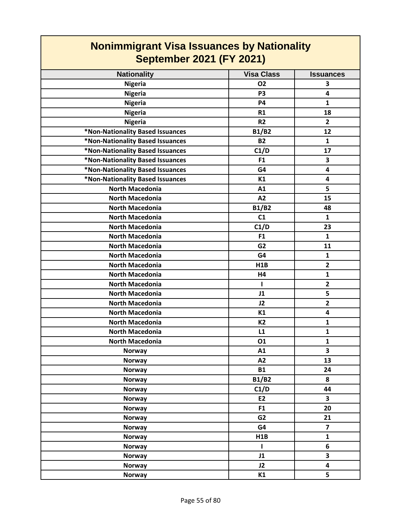| <b>Nationality</b>               | <b>Visa Class</b> | <b>Issuances</b>        |
|----------------------------------|-------------------|-------------------------|
| <b>Nigeria</b>                   | <b>O2</b>         | 3                       |
| <b>Nigeria</b>                   | P <sub>3</sub>    | $\overline{\mathbf{4}}$ |
| <b>Nigeria</b>                   | <b>P4</b>         | $\mathbf{1}$            |
| <b>Nigeria</b>                   | R1                | 18                      |
| <b>Nigeria</b>                   | R <sub>2</sub>    | $\overline{2}$          |
| *Non-Nationality Based Issuances | <b>B1/B2</b>      | 12                      |
| *Non-Nationality Based Issuances | <b>B2</b>         | 1                       |
| *Non-Nationality Based Issuances | C1/D              | 17                      |
| *Non-Nationality Based Issuances | F1                | 3                       |
| *Non-Nationality Based Issuances | G4                | $\overline{\mathbf{4}}$ |
| *Non-Nationality Based Issuances | K1                | $\overline{\mathbf{4}}$ |
| <b>North Macedonia</b>           | A1                | 5                       |
| <b>North Macedonia</b>           | A2                | 15                      |
| <b>North Macedonia</b>           | <b>B1/B2</b>      | 48                      |
| <b>North Macedonia</b>           | C1                | $\mathbf{1}$            |
| <b>North Macedonia</b>           | C1/D              | 23                      |
| <b>North Macedonia</b>           | F <sub>1</sub>    | $\mathbf{1}$            |
| <b>North Macedonia</b>           | G <sub>2</sub>    | 11                      |
| <b>North Macedonia</b>           | G4                | $\mathbf{1}$            |
| <b>North Macedonia</b>           | H <sub>1</sub> B  | $\overline{2}$          |
| <b>North Macedonia</b>           | H4                | $\mathbf{1}$            |
| <b>North Macedonia</b>           | L                 | $\overline{2}$          |
| <b>North Macedonia</b>           | J1                | 5                       |
| <b>North Macedonia</b>           | J2                | $\overline{2}$          |
| <b>North Macedonia</b>           | K1                | $\overline{\mathbf{4}}$ |
| <b>North Macedonia</b>           | <b>K2</b>         | 1                       |
| <b>North Macedonia</b>           | L1                | $\mathbf{1}$            |
| <b>North Macedonia</b>           | 01                | $\mathbf{1}$            |
| <b>Norway</b>                    | A1                | 3                       |
| Norway                           | A2                | 13                      |
| <b>Norway</b>                    | <b>B1</b>         | 24                      |
| <b>Norway</b>                    | <b>B1/B2</b>      | 8                       |
| <b>Norway</b>                    | C1/D              | 44                      |
| <b>Norway</b>                    | E2                | $\overline{\mathbf{3}}$ |
| <b>Norway</b>                    | F1                | 20                      |
| <b>Norway</b>                    | G <sub>2</sub>    | 21                      |
| Norway                           | G4                | $\overline{7}$          |
| <b>Norway</b>                    | H1B               | $\mathbf{1}$            |
| Norway                           | T                 | 6                       |
| <b>Norway</b>                    | J1                | $\overline{\mathbf{3}}$ |
| <b>Norway</b>                    | J2                | $\overline{\mathbf{4}}$ |
| <b>Norway</b>                    | K1                | 5                       |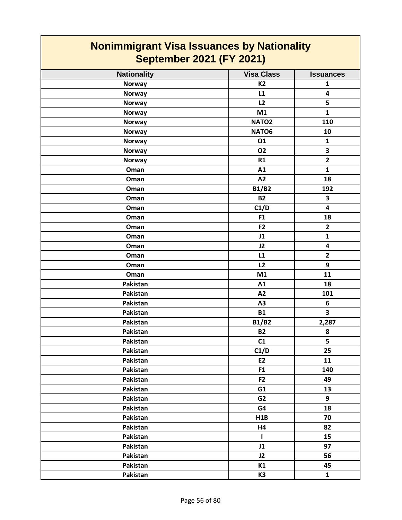| <b>Nationality</b> | <b>Visa Class</b> | <b>Issuances</b>        |
|--------------------|-------------------|-------------------------|
| <b>Norway</b>      | <b>K2</b>         | $\mathbf{1}$            |
| <b>Norway</b>      | L1                | $\overline{\mathbf{4}}$ |
| <b>Norway</b>      | L2                | 5                       |
| <b>Norway</b>      | M1                | $\mathbf{1}$            |
| <b>Norway</b>      | NATO <sub>2</sub> | 110                     |
| <b>Norway</b>      | NATO6             | 10                      |
| Norway             | 01                | $\mathbf{1}$            |
| <b>Norway</b>      | <b>O2</b>         | $\overline{\mathbf{3}}$ |
| <b>Norway</b>      | R1                | $\overline{\mathbf{2}}$ |
| Oman               | A1                | $\mathbf{1}$            |
| Oman               | A2                | 18                      |
| Oman               | <b>B1/B2</b>      | 192                     |
| Oman               | <b>B2</b>         | $\overline{\mathbf{3}}$ |
| Oman               | C1/D              | $\overline{\mathbf{4}}$ |
| Oman               | F1                | 18                      |
| Oman               | F <sub>2</sub>    | $\overline{2}$          |
| Oman               | J1                | $\mathbf{1}$            |
| Oman               | J2                | 4                       |
| Oman               | L1                | $\mathbf{2}$            |
| Oman               | L2                | 9                       |
| Oman               | M1                | 11                      |
| Pakistan           | A1                | 18                      |
| Pakistan           | A2                | 101                     |
| Pakistan           | A <sub>3</sub>    | 6                       |
| Pakistan           | <b>B1</b>         | $\overline{\mathbf{3}}$ |
| Pakistan           | <b>B1/B2</b>      | 2,287                   |
| Pakistan           | <b>B2</b>         | 8                       |
| Pakistan           | C1                | 5                       |
| Pakistan           | C1/D              | 25                      |
| Pakistan           | E2                | 11                      |
| Pakistan           | F <sub>1</sub>    | 140                     |
| Pakistan           | F2                | 49                      |
| Pakistan           | G1                | 13                      |
| Pakistan           | G <sub>2</sub>    | 9                       |
| Pakistan           | G4                | 18                      |
| Pakistan           | H1B               | 70                      |
| Pakistan           | H4                | 82                      |
| Pakistan           | $\mathbf{I}$      | 15                      |
| Pakistan           | J1                | 97                      |
| Pakistan           | J2                | 56                      |
| Pakistan           | K1                | 45                      |
| Pakistan           | K <sub>3</sub>    | $\mathbf{1}$            |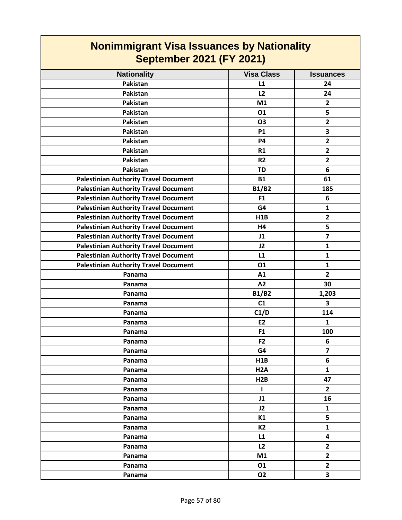| <b>Nationality</b>                           | <b>Visa Class</b> | <b>Issuances</b>        |
|----------------------------------------------|-------------------|-------------------------|
| <b>Pakistan</b>                              | L1                | 24                      |
| Pakistan                                     | L2                | 24                      |
| <b>Pakistan</b>                              | M1                | $\overline{2}$          |
| Pakistan                                     | 01                | 5                       |
| Pakistan                                     | <b>O3</b>         | $\overline{\mathbf{2}}$ |
| Pakistan                                     | <b>P1</b>         | 3                       |
| Pakistan                                     | <b>P4</b>         | $\overline{\mathbf{2}}$ |
| Pakistan                                     | R1                | $\overline{\mathbf{2}}$ |
| Pakistan                                     | R <sub>2</sub>    | $\overline{\mathbf{2}}$ |
| Pakistan                                     | <b>TD</b>         | 6                       |
| <b>Palestinian Authority Travel Document</b> | <b>B1</b>         | 61                      |
| <b>Palestinian Authority Travel Document</b> | <b>B1/B2</b>      | 185                     |
| <b>Palestinian Authority Travel Document</b> | F <sub>1</sub>    | 6                       |
| <b>Palestinian Authority Travel Document</b> | G4                | $\mathbf{1}$            |
| <b>Palestinian Authority Travel Document</b> | H1B               | $\overline{\mathbf{2}}$ |
| <b>Palestinian Authority Travel Document</b> | H4                | 5                       |
| <b>Palestinian Authority Travel Document</b> | J1                | $\overline{7}$          |
| <b>Palestinian Authority Travel Document</b> | J2                | $\mathbf{1}$            |
| <b>Palestinian Authority Travel Document</b> | L1                | $\mathbf{1}$            |
| <b>Palestinian Authority Travel Document</b> | 01                | $\mathbf{1}$            |
| Panama                                       | A1                | $\overline{2}$          |
| Panama                                       | A2                | 30                      |
| Panama                                       | <b>B1/B2</b>      | 1,203                   |
| Panama                                       | C1                | 3                       |
| Panama                                       | C1/D              | 114                     |
| Panama                                       | <b>E2</b>         | 1                       |
| Panama                                       | F1                | 100                     |
| Panama                                       | F <sub>2</sub>    | 6                       |
| Panama                                       | G4                | $\overline{\mathbf{z}}$ |
| Panama                                       | H1B               | $\boldsymbol{6}$        |
| Panama                                       | H <sub>2</sub> A  | $\mathbf{1}$            |
| Panama                                       | H2B               | 47                      |
| Panama                                       | I.                | $\overline{2}$          |
| Panama                                       | J1                | 16                      |
| Panama                                       | J2                | $\mathbf{1}$            |
| Panama                                       | K1                | 5                       |
| Panama                                       | <b>K2</b>         | $\mathbf{1}$            |
| Panama                                       | L1                | 4                       |
| Panama                                       | L2                | $\mathbf{2}$            |
| Panama                                       | M1                | $\mathbf{2}$            |
| Panama                                       | 01                | $\mathbf{2}$            |
| Panama                                       | <b>O2</b>         | 3                       |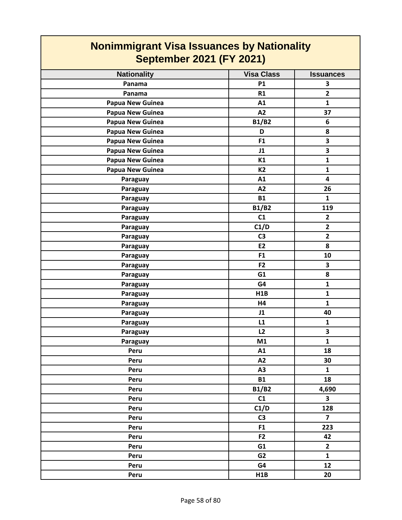| <b>Nationality</b>      | <b>Visa Class</b> | <b>Issuances</b>        |
|-------------------------|-------------------|-------------------------|
| Panama                  | <b>P1</b>         | 3                       |
| Panama                  | R1                | $\overline{\mathbf{2}}$ |
| <b>Papua New Guinea</b> | A1                | $\mathbf{1}$            |
|                         | A2                | 37                      |
| <b>Papua New Guinea</b> | <b>B1/B2</b>      | 6                       |
| <b>Papua New Guinea</b> | D                 | 8                       |
| <b>Papua New Guinea</b> |                   |                         |
| Papua New Guinea        | F1                | 3                       |
| <b>Papua New Guinea</b> | J1                | 3                       |
| <b>Papua New Guinea</b> | K1                | $\mathbf{1}$            |
| Papua New Guinea        | <b>K2</b>         | $\mathbf{1}$            |
| Paraguay                | A1                | $\overline{\mathbf{4}}$ |
| Paraguay                | A2                | 26                      |
| Paraguay                | <b>B1</b>         | $\mathbf{1}$            |
| Paraguay                | <b>B1/B2</b>      | 119                     |
| Paraguay                | C1                | $\overline{2}$          |
| Paraguay                | C1/D              | $\overline{\mathbf{2}}$ |
| Paraguay                | C <sub>3</sub>    | $\overline{2}$          |
| Paraguay                | E <sub>2</sub>    | 8                       |
| Paraguay                | F <sub>1</sub>    | 10                      |
| Paraguay                | F <sub>2</sub>    | $\overline{\mathbf{3}}$ |
| Paraguay                | G1                | 8                       |
| Paraguay                | G4                | $\mathbf{1}$            |
| Paraguay                | H1B               | $\mathbf{1}$            |
| Paraguay                | H4                | $\mathbf{1}$            |
| Paraguay                | J1                | 40                      |
| Paraguay                | L1                | $\mathbf{1}$            |
| Paraguay                | L2                | 3                       |
| Paraguay                | M1                | $\mathbf{1}$            |
| Peru                    | A1                | 18                      |
| Peru                    | A2                | 30                      |
| Peru                    | A3                | $\mathbf{1}$            |
| Peru                    | <b>B1</b>         | 18                      |
| Peru                    | <b>B1/B2</b>      | 4,690                   |
| Peru                    | C1                | $\overline{\mathbf{3}}$ |
| Peru                    | C1/D              | 128                     |
| Peru                    | C <sub>3</sub>    | $\overline{\mathbf{z}}$ |
| Peru                    | F <sub>1</sub>    | 223                     |
| Peru                    | F <sub>2</sub>    | 42                      |
| Peru                    | G1                | $\overline{2}$          |
| Peru                    | G <sub>2</sub>    | $\mathbf{1}$            |
| Peru                    | G4                | 12                      |
| Peru                    | H1B               | 20                      |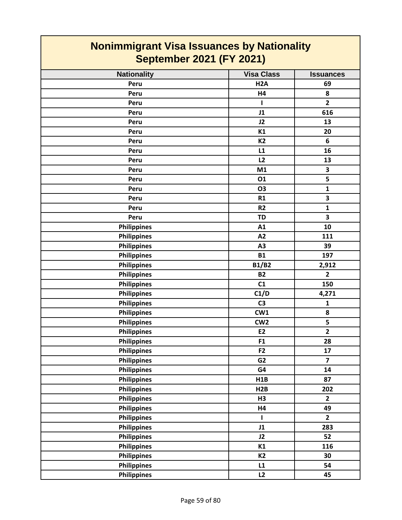| <b>Nationality</b> | <b>Visa Class</b> | <b>Issuances</b>        |
|--------------------|-------------------|-------------------------|
| Peru               | H <sub>2</sub> A  | 69                      |
| Peru               | H4                | 8                       |
| Peru               | $\mathbf{I}$      | $\overline{2}$          |
| Peru               | J1                | 616                     |
| Peru               | J2                | 13                      |
| Peru               | K1                | 20                      |
| Peru               | <b>K2</b>         | 6                       |
| Peru               | L1                | 16                      |
| Peru               | L2                | 13                      |
| Peru               | M1                | 3                       |
| Peru               | 01                | 5                       |
| Peru               | <b>O3</b>         | $\mathbf{1}$            |
| Peru               | R1                | 3                       |
| Peru               | R2                | $\mathbf 1$             |
| Peru               | <b>TD</b>         | $\overline{\mathbf{3}}$ |
| <b>Philippines</b> | A1                | 10                      |
| <b>Philippines</b> | A2                | 111                     |
| <b>Philippines</b> | A <sub>3</sub>    | 39                      |
| <b>Philippines</b> | <b>B1</b>         | 197                     |
| <b>Philippines</b> | <b>B1/B2</b>      | 2,912                   |
| <b>Philippines</b> | <b>B2</b>         | $\mathbf{2}$            |
| Philippines        | C1                | 150                     |
| <b>Philippines</b> | C1/D              | 4,271                   |
| <b>Philippines</b> | C <sub>3</sub>    | $\mathbf 1$             |
| <b>Philippines</b> | CW1               | 8                       |
| <b>Philippines</b> | CW <sub>2</sub>   | 5                       |
| <b>Philippines</b> | E <sub>2</sub>    | $\overline{2}$          |
| <b>Philippines</b> | F1                | 28                      |
| <b>Philippines</b> | F <sub>2</sub>    | 17                      |
| <b>Philippines</b> | G <sub>2</sub>    | $\overline{\mathbf{z}}$ |
| <b>Philippines</b> | G4                | 14                      |
| <b>Philippines</b> | H1B               | 87                      |
| <b>Philippines</b> | H2B               | 202                     |
| <b>Philippines</b> | H3                | $\overline{2}$          |
| <b>Philippines</b> | H4                | 49                      |
| <b>Philippines</b> | $\mathbf{I}$      | $\overline{2}$          |
| <b>Philippines</b> | J1                | 283                     |
| <b>Philippines</b> | J2                | 52                      |
| <b>Philippines</b> | K1                | 116                     |
| <b>Philippines</b> | <b>K2</b>         | 30                      |
| <b>Philippines</b> | L1                | 54                      |
| <b>Philippines</b> | L2                | 45                      |
|                    |                   |                         |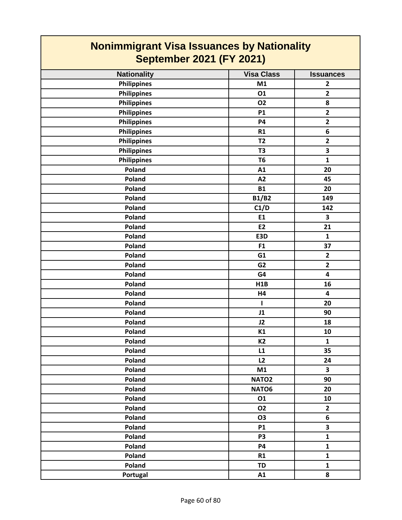| <b>Nationality</b> | <b>Visa Class</b> | <b>Issuances</b>        |
|--------------------|-------------------|-------------------------|
| <b>Philippines</b> | M1                | $\overline{2}$          |
| <b>Philippines</b> | 01                | $\overline{2}$          |
| <b>Philippines</b> | <b>O2</b>         | 8                       |
| <b>Philippines</b> | <b>P1</b>         | $\overline{\mathbf{2}}$ |
| <b>Philippines</b> | <b>P4</b>         | $\overline{2}$          |
| Philippines        | R1                | 6                       |
| <b>Philippines</b> | T <sub>2</sub>    | $\overline{\mathbf{2}}$ |
| Philippines        | T <sub>3</sub>    | $\overline{\mathbf{3}}$ |
| <b>Philippines</b> | T <sub>6</sub>    | 1                       |
| Poland             | A1                | 20                      |
| Poland             | A2                | 45                      |
| Poland             | <b>B1</b>         | 20                      |
| Poland             | <b>B1/B2</b>      | 149                     |
| Poland             | C1/D              | 142                     |
| Poland             | E1                | 3                       |
| Poland             | E <sub>2</sub>    | 21                      |
| Poland             | E3D               | $\mathbf{1}$            |
| Poland             | F1                | 37                      |
| Poland             | G1                | $\mathbf{2}$            |
| Poland             | G <sub>2</sub>    | $\overline{\mathbf{2}}$ |
| Poland             | G4                | $\overline{\mathbf{4}}$ |
| Poland             | H1B               | 16                      |
| Poland             | H4                | $\overline{\mathbf{4}}$ |
| Poland             | 1                 | 20                      |
| Poland             | J1                | 90                      |
| Poland             | J2                | 18                      |
| Poland             | <b>K1</b>         | 10                      |
| Poland             | K <sub>2</sub>    | $\mathbf{1}$            |
| Poland             | L1                | 35                      |
| Poland             | L2                | 24                      |
| Poland             | M1                | $\overline{\mathbf{3}}$ |
| Poland             | NATO <sub>2</sub> | 90                      |
| Poland             | NATO6             | 20                      |
| Poland             | 01                | 10                      |
| Poland             | <b>O2</b>         | $\overline{2}$          |
| Poland             | <b>O3</b>         | 6                       |
| Poland             | <b>P1</b>         | $\overline{\mathbf{3}}$ |
| Poland             | P <sub>3</sub>    | $\mathbf{1}$            |
| Poland             | <b>P4</b>         | $\mathbf{1}$            |
| Poland             | R1                | $\mathbf{1}$            |
| Poland             | <b>TD</b>         | $\mathbf{1}$            |
| Portugal           | A1                | 8                       |
|                    |                   |                         |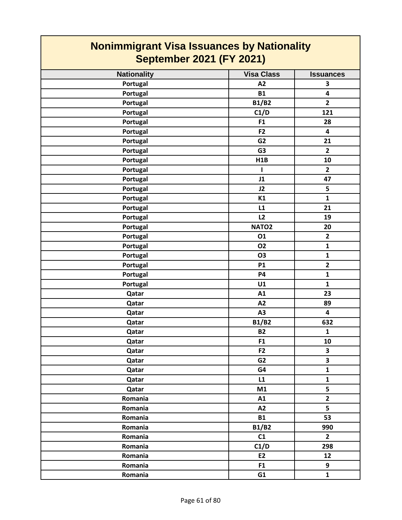| <b>Nonimmigrant Visa Issuances by Nationality</b><br><b>September 2021 (FY 2021)</b> |                   |                         |
|--------------------------------------------------------------------------------------|-------------------|-------------------------|
| <b>Nationality</b>                                                                   | <b>Visa Class</b> | <b>Issuances</b>        |
| Portugal                                                                             | A2                | 3                       |
| Portugal                                                                             | <b>B1</b>         | 4                       |
| Portugal                                                                             | <b>B1/B2</b>      | $\overline{2}$          |
| Portugal                                                                             | C1/D              | 121                     |
| Portugal                                                                             | F1                | 28                      |
| Portugal                                                                             | F <sub>2</sub>    | 4                       |
| Portugal                                                                             | G <sub>2</sub>    | 21                      |
| Portugal                                                                             | G <sub>3</sub>    | $\mathbf{2}$            |
| Portugal                                                                             | H1B               | 10                      |
| Portugal                                                                             |                   | $\mathbf{2}$            |
| Portugal                                                                             | J1                | 47                      |
| Portugal                                                                             | J2                | 5                       |
| Portugal                                                                             | K1                | $\mathbf{1}$            |
| Portugal                                                                             | L1                | 21                      |
| Portugal                                                                             | L2                | 19                      |
| Portugal                                                                             | NATO <sub>2</sub> | 20                      |
| Portugal                                                                             | 01                | $\mathbf{2}$            |
| Portugal                                                                             | <b>O2</b>         | $\mathbf{1}$            |
| Portugal                                                                             | O <sub>3</sub>    | $\mathbf{1}$            |
| Portugal                                                                             | <b>P1</b>         | $\overline{2}$          |
| Portugal                                                                             | P4                | $\mathbf{1}$            |
| Portugal                                                                             | U1                | $\mathbf{1}$            |
| Qatar                                                                                | A1                | 23                      |
| Qatar                                                                                | A2                | 89                      |
| Qatar                                                                                | A3                | 4                       |
| Qatar                                                                                | <b>B1/B2</b>      | 632                     |
| Qatar                                                                                | <b>B2</b>         | 1                       |
| Qatar                                                                                | F <sub>1</sub>    | 10                      |
| Qatar                                                                                | F <sub>2</sub>    | $\overline{\mathbf{3}}$ |
| Qatar                                                                                | G <sub>2</sub>    | $\overline{\mathbf{3}}$ |
| Qatar                                                                                | G4                | $\mathbf{1}$            |
| Qatar                                                                                | L1                | $\mathbf{1}$            |
| Qatar                                                                                | M1                | 5                       |
| Romania                                                                              | A1                | $\overline{\mathbf{2}}$ |
| Romania                                                                              | A2                | 5                       |
| Romania                                                                              | <b>B1</b>         | 53                      |
| Romania                                                                              | <b>B1/B2</b>      | 990                     |
| Romania                                                                              | C1                | $\overline{2}$          |
| Romania                                                                              | C1/D              | 298                     |
| Romania                                                                              | E2                | 12                      |
| Romania                                                                              | F <sub>1</sub>    | 9                       |
| Romania                                                                              | G1                | $\mathbf{1}$            |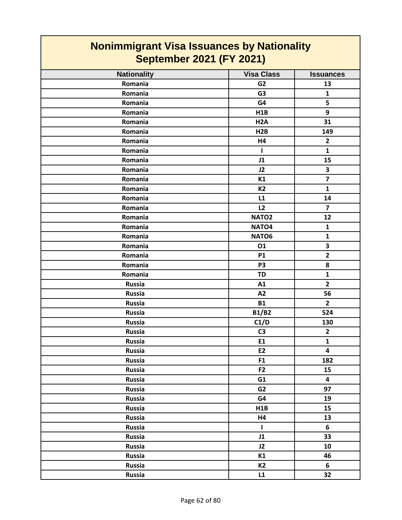| <b>Nationality</b> | <b>Visa Class</b> | <b>Issuances</b>        |
|--------------------|-------------------|-------------------------|
| Romania            | G <sub>2</sub>    | 13                      |
| Romania            | G <sub>3</sub>    | $\mathbf{1}$            |
| Romania            | G4                | 5                       |
| Romania            | H1B               | 9                       |
| Romania            | H <sub>2</sub> A  | 31                      |
| Romania            | H2B               | 149                     |
| Romania            | H4                | $\overline{2}$          |
| Romania            | I.                | $\mathbf{1}$            |
| Romania            | J1                | 15                      |
| Romania            | J2                | $\overline{\mathbf{3}}$ |
| Romania            | K1                | $\overline{\mathbf{z}}$ |
| Romania            | <b>K2</b>         | $\mathbf{1}$            |
| Romania            | L1                | 14                      |
| Romania            | L2                | $\overline{7}$          |
| Romania            | NATO <sub>2</sub> | 12                      |
| Romania            | NATO <sub>4</sub> | $\mathbf{1}$            |
| Romania            | NATO6             | $\mathbf{1}$            |
| Romania            | 01                | 3                       |
| Romania            | <b>P1</b>         | $\overline{2}$          |
| Romania            | P <sub>3</sub>    | 8                       |
| Romania            | TD                | $\mathbf{1}$            |
| <b>Russia</b>      | A1                | $\overline{2}$          |
| <b>Russia</b>      | A2                | 56                      |
| <b>Russia</b>      | <b>B1</b>         | $\overline{2}$          |
| <b>Russia</b>      | <b>B1/B2</b>      | 524                     |
| <b>Russia</b>      | C1/D              | 130                     |
| <b>Russia</b>      | C <sub>3</sub>    | $\overline{2}$          |
| <b>Russia</b>      | E1                | $\mathbf{1}$            |
| <b>Russia</b>      | E <sub>2</sub>    | $\overline{\mathbf{4}}$ |
| Russia             | F1                | 182                     |
| <b>Russia</b>      | F <sub>2</sub>    | 15                      |
| Russia             | G1                | $\overline{\mathbf{4}}$ |
| Russia             | G2                | 97                      |
| Russia             | G4                | 19                      |
| Russia             | H1B               | 15                      |
| Russia             | H4                | 13                      |
| Russia             | $\mathbf{I}$      | 6                       |
| Russia             | J1                | 33                      |
| Russia             | J2                | 10                      |
| Russia             | K1                | 46                      |
| Russia             | <b>K2</b>         | 6                       |
| <b>Russia</b>      | L1                | 32                      |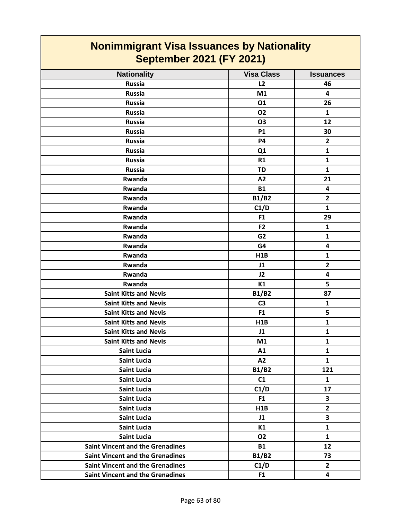| <b>Nationality</b>                      | <b>Visa Class</b> | <b>Issuances</b>        |
|-----------------------------------------|-------------------|-------------------------|
| <b>Russia</b>                           | L2                | 46                      |
| <b>Russia</b>                           | M1                | $\overline{\mathbf{4}}$ |
| <b>Russia</b>                           | 01                | 26                      |
| <b>Russia</b>                           | <b>O2</b>         | $\mathbf{1}$            |
| <b>Russia</b>                           | <b>O3</b>         | 12                      |
| <b>Russia</b>                           | <b>P1</b>         | 30                      |
| <b>Russia</b>                           | <b>P4</b>         | $\overline{2}$          |
| <b>Russia</b>                           | Q1                | $\mathbf{1}$            |
| <b>Russia</b>                           | R1                | $\mathbf{1}$            |
| <b>Russia</b>                           | <b>TD</b>         | $\mathbf{1}$            |
| Rwanda                                  | A2                | 21                      |
| Rwanda                                  | <b>B1</b>         | $\overline{\mathbf{4}}$ |
| Rwanda                                  | <b>B1/B2</b>      | $\overline{2}$          |
| Rwanda                                  | C1/D              | $\mathbf{1}$            |
| Rwanda                                  | F1                | 29                      |
| Rwanda                                  | F <sub>2</sub>    | $\mathbf{1}$            |
| Rwanda                                  | G <sub>2</sub>    | $\mathbf{1}$            |
| Rwanda                                  | G4                | $\overline{\mathbf{4}}$ |
| Rwanda                                  | H1B               | $\mathbf{1}$            |
| Rwanda                                  | J1                | $\overline{2}$          |
| Rwanda                                  | J2                | $\overline{\mathbf{4}}$ |
| Rwanda                                  | K1                | 5                       |
| <b>Saint Kitts and Nevis</b>            | <b>B1/B2</b>      | 87                      |
| <b>Saint Kitts and Nevis</b>            | C <sub>3</sub>    | $\mathbf{1}$            |
| <b>Saint Kitts and Nevis</b>            | F <sub>1</sub>    | 5                       |
| <b>Saint Kitts and Nevis</b>            | H1B               | $\mathbf{1}$            |
| <b>Saint Kitts and Nevis</b>            | J1                | $\mathbf{1}$            |
| <b>Saint Kitts and Nevis</b>            | M1                | $\mathbf{1}$            |
| <b>Saint Lucia</b>                      | A1                | 1                       |
| <b>Saint Lucia</b>                      | A2                | 1                       |
| <b>Saint Lucia</b>                      | <b>B1/B2</b>      | 121                     |
| <b>Saint Lucia</b>                      | C1                | $\mathbf{1}$            |
| <b>Saint Lucia</b>                      | C1/D              | 17                      |
| <b>Saint Lucia</b>                      | F <sub>1</sub>    | 3                       |
| <b>Saint Lucia</b>                      | H1B               | $\overline{2}$          |
| <b>Saint Lucia</b>                      | J1                | $\overline{\mathbf{3}}$ |
| <b>Saint Lucia</b>                      | K1                | $\mathbf{1}$            |
| <b>Saint Lucia</b>                      | <b>O2</b>         | $\mathbf{1}$            |
| <b>Saint Vincent and the Grenadines</b> | <b>B1</b>         | 12                      |
| <b>Saint Vincent and the Grenadines</b> | <b>B1/B2</b>      | 73                      |
| <b>Saint Vincent and the Grenadines</b> | C1/D              | $\mathbf{2}$            |
| <b>Saint Vincent and the Grenadines</b> | F <sub>1</sub>    | 4                       |
|                                         |                   |                         |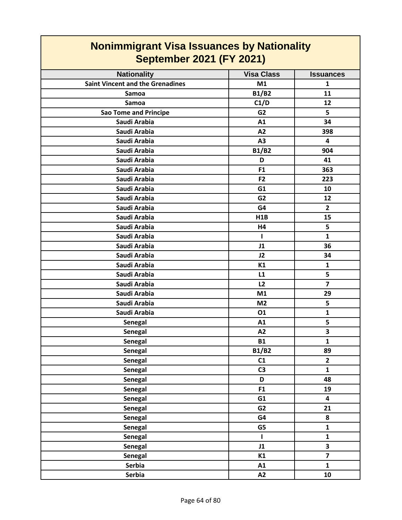| <b>September 2021 (FY 2021)</b>         |                   |                         |
|-----------------------------------------|-------------------|-------------------------|
| <b>Nationality</b>                      | <b>Visa Class</b> | <b>Issuances</b>        |
| <b>Saint Vincent and the Grenadines</b> | M1                | 1                       |
| Samoa                                   | <b>B1/B2</b>      | 11                      |
| Samoa                                   | C1/D              | 12                      |
| <b>Sao Tome and Principe</b>            | G <sub>2</sub>    | 5                       |
| Saudi Arabia                            | A1                | 34                      |
| Saudi Arabia                            | A2                | 398                     |
| Saudi Arabia                            | A3                | 4                       |
| Saudi Arabia                            | <b>B1/B2</b>      | 904                     |
| Saudi Arabia                            | D                 | 41                      |
| Saudi Arabia                            | F <sub>1</sub>    | 363                     |
| Saudi Arabia                            | F <sub>2</sub>    | 223                     |
| Saudi Arabia                            | G1                | 10                      |
| Saudi Arabia                            | G <sub>2</sub>    | 12                      |
| Saudi Arabia                            | G4                | $\overline{2}$          |
| Saudi Arabia                            | H1B               | 15                      |
| Saudi Arabia                            | H4                | 5                       |
| Saudi Arabia                            | ı                 | $\mathbf{1}$            |
| Saudi Arabia                            | J1                | 36                      |
| Saudi Arabia                            | J2                | 34                      |
| Saudi Arabia                            | K1                | $\mathbf{1}$            |
| Saudi Arabia                            | L1                | 5                       |
| Saudi Arabia                            | L2                | $\overline{\mathbf{z}}$ |
| Saudi Arabia                            | M1                | 29                      |
| Saudi Arabia                            | M <sub>2</sub>    | 5                       |
| Saudi Arabia                            | 01                | $\mathbf{1}$            |
| <b>Senegal</b>                          | A1                | 5                       |
| <b>Senegal</b>                          | A2                | 3                       |
| <b>Senegal</b>                          | <b>B1</b>         | $\mathbf{1}$            |
| <b>Senegal</b>                          | <b>B1/B2</b>      | 89                      |
| <b>Senegal</b>                          | C1                | $\overline{2}$          |
| Senegal                                 | C <sub>3</sub>    | $\mathbf{1}$            |
| <b>Senegal</b>                          | D                 | 48                      |
| <b>Senegal</b>                          | F1                | 19                      |
| Senegal                                 | G1                | 4                       |
| Senegal                                 | G <sub>2</sub>    | 21                      |
| Senegal                                 | G4                | 8                       |
| <b>Senegal</b>                          | G5                | $\mathbf{1}$            |
| <b>Senegal</b>                          | L                 | $\mathbf 1$             |
| Senegal                                 | J1                | 3                       |
| Senegal                                 | K1                | $\overline{\mathbf{z}}$ |
| Serbia                                  | A1                | $\mathbf{1}$            |
| Serbia                                  | A2                | 10                      |

# **Nonimmigrant Visa Issuances by Nationality**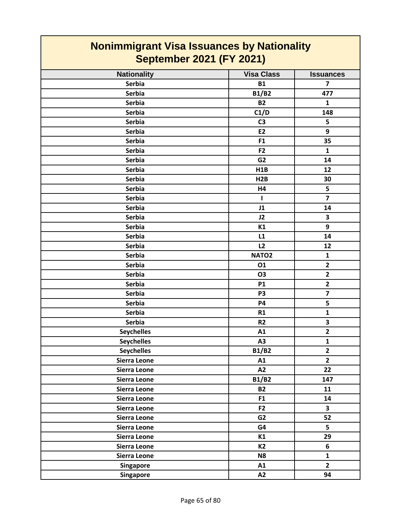| <b>Nationality</b><br><b>Visa Class</b><br><b>Issuances</b><br><b>Serbia</b><br><b>B1</b><br>$\overline{7}$<br><b>B1/B2</b><br><b>Serbia</b><br>477<br><b>Serbia</b><br><b>B2</b><br>$\mathbf{1}$<br>C1/D<br><b>Serbia</b><br>148<br>5<br><b>Serbia</b><br>C <sub>3</sub><br>9<br><b>Serbia</b><br>E2<br>F1<br><b>Serbia</b><br>35<br><b>Serbia</b><br>F <sub>2</sub><br>$\mathbf{1}$<br><b>Serbia</b><br>G <sub>2</sub><br>14<br><b>Serbia</b><br>12<br>H1B<br><b>Serbia</b><br>30<br>H <sub>2</sub> B<br>5<br><b>Serbia</b><br>H4<br>$\overline{7}$<br><b>Serbia</b><br>$\mathbf{I}$<br><b>Serbia</b><br>J1<br>14<br><b>Serbia</b><br>$\overline{\mathbf{3}}$<br>J2<br>9<br><b>Serbia</b><br>K1<br><b>Serbia</b><br>L1<br>14<br>L2<br><b>Serbia</b><br>12<br><b>Serbia</b><br>NATO <sub>2</sub><br>$\mathbf{1}$<br>$\overline{2}$<br><b>Serbia</b><br>01<br>$\mathbf{2}$<br><b>Serbia</b><br>O3<br>$\overline{2}$<br><b>Serbia</b><br><b>P1</b><br>$\overline{\mathbf{z}}$<br><b>Serbia</b><br>P <sub>3</sub><br>5<br><b>Serbia</b><br><b>P4</b><br>$\mathbf{1}$<br><b>Serbia</b><br>R1<br><b>Serbia</b><br>3<br>R <sub>2</sub><br>$\overline{2}$<br><b>Seychelles</b><br>A1<br><b>Seychelles</b><br>A3<br>$\mathbf{1}$<br>$\overline{\mathbf{2}}$<br><b>Seychelles</b><br><b>B1/B2</b><br>$\overline{\mathbf{2}}$<br>A1<br><b>Sierra Leone</b><br>A2<br>22<br>Sierra Leone<br><b>B1/B2</b><br>147<br>Sierra Leone<br>Sierra Leone<br><b>B2</b><br>11<br>Sierra Leone<br>F1<br>14<br>F <sub>2</sub><br>$\overline{\mathbf{3}}$<br>Sierra Leone<br>G <sub>2</sub><br>52<br>Sierra Leone<br>5<br>Sierra Leone<br>G4<br>Sierra Leone<br>29<br>K1<br>K2<br>6<br>Sierra Leone<br>Sierra Leone<br>N <sub>8</sub><br>$\mathbf{1}$<br>$\overline{2}$<br><b>Singapore</b><br>A1 |                  |    |    |
|--------------------------------------------------------------------------------------------------------------------------------------------------------------------------------------------------------------------------------------------------------------------------------------------------------------------------------------------------------------------------------------------------------------------------------------------------------------------------------------------------------------------------------------------------------------------------------------------------------------------------------------------------------------------------------------------------------------------------------------------------------------------------------------------------------------------------------------------------------------------------------------------------------------------------------------------------------------------------------------------------------------------------------------------------------------------------------------------------------------------------------------------------------------------------------------------------------------------------------------------------------------------------------------------------------------------------------------------------------------------------------------------------------------------------------------------------------------------------------------------------------------------------------------------------------------------------------------------------------------------------------------------------------------------------------------------------------------------------------------------------------------------------|------------------|----|----|
|                                                                                                                                                                                                                                                                                                                                                                                                                                                                                                                                                                                                                                                                                                                                                                                                                                                                                                                                                                                                                                                                                                                                                                                                                                                                                                                                                                                                                                                                                                                                                                                                                                                                                                                                                                          |                  |    |    |
|                                                                                                                                                                                                                                                                                                                                                                                                                                                                                                                                                                                                                                                                                                                                                                                                                                                                                                                                                                                                                                                                                                                                                                                                                                                                                                                                                                                                                                                                                                                                                                                                                                                                                                                                                                          |                  |    |    |
|                                                                                                                                                                                                                                                                                                                                                                                                                                                                                                                                                                                                                                                                                                                                                                                                                                                                                                                                                                                                                                                                                                                                                                                                                                                                                                                                                                                                                                                                                                                                                                                                                                                                                                                                                                          |                  |    |    |
|                                                                                                                                                                                                                                                                                                                                                                                                                                                                                                                                                                                                                                                                                                                                                                                                                                                                                                                                                                                                                                                                                                                                                                                                                                                                                                                                                                                                                                                                                                                                                                                                                                                                                                                                                                          |                  |    |    |
|                                                                                                                                                                                                                                                                                                                                                                                                                                                                                                                                                                                                                                                                                                                                                                                                                                                                                                                                                                                                                                                                                                                                                                                                                                                                                                                                                                                                                                                                                                                                                                                                                                                                                                                                                                          |                  |    |    |
|                                                                                                                                                                                                                                                                                                                                                                                                                                                                                                                                                                                                                                                                                                                                                                                                                                                                                                                                                                                                                                                                                                                                                                                                                                                                                                                                                                                                                                                                                                                                                                                                                                                                                                                                                                          |                  |    |    |
|                                                                                                                                                                                                                                                                                                                                                                                                                                                                                                                                                                                                                                                                                                                                                                                                                                                                                                                                                                                                                                                                                                                                                                                                                                                                                                                                                                                                                                                                                                                                                                                                                                                                                                                                                                          |                  |    |    |
|                                                                                                                                                                                                                                                                                                                                                                                                                                                                                                                                                                                                                                                                                                                                                                                                                                                                                                                                                                                                                                                                                                                                                                                                                                                                                                                                                                                                                                                                                                                                                                                                                                                                                                                                                                          |                  |    |    |
|                                                                                                                                                                                                                                                                                                                                                                                                                                                                                                                                                                                                                                                                                                                                                                                                                                                                                                                                                                                                                                                                                                                                                                                                                                                                                                                                                                                                                                                                                                                                                                                                                                                                                                                                                                          |                  |    |    |
|                                                                                                                                                                                                                                                                                                                                                                                                                                                                                                                                                                                                                                                                                                                                                                                                                                                                                                                                                                                                                                                                                                                                                                                                                                                                                                                                                                                                                                                                                                                                                                                                                                                                                                                                                                          |                  |    |    |
|                                                                                                                                                                                                                                                                                                                                                                                                                                                                                                                                                                                                                                                                                                                                                                                                                                                                                                                                                                                                                                                                                                                                                                                                                                                                                                                                                                                                                                                                                                                                                                                                                                                                                                                                                                          |                  |    |    |
|                                                                                                                                                                                                                                                                                                                                                                                                                                                                                                                                                                                                                                                                                                                                                                                                                                                                                                                                                                                                                                                                                                                                                                                                                                                                                                                                                                                                                                                                                                                                                                                                                                                                                                                                                                          |                  |    |    |
|                                                                                                                                                                                                                                                                                                                                                                                                                                                                                                                                                                                                                                                                                                                                                                                                                                                                                                                                                                                                                                                                                                                                                                                                                                                                                                                                                                                                                                                                                                                                                                                                                                                                                                                                                                          |                  |    |    |
|                                                                                                                                                                                                                                                                                                                                                                                                                                                                                                                                                                                                                                                                                                                                                                                                                                                                                                                                                                                                                                                                                                                                                                                                                                                                                                                                                                                                                                                                                                                                                                                                                                                                                                                                                                          |                  |    |    |
|                                                                                                                                                                                                                                                                                                                                                                                                                                                                                                                                                                                                                                                                                                                                                                                                                                                                                                                                                                                                                                                                                                                                                                                                                                                                                                                                                                                                                                                                                                                                                                                                                                                                                                                                                                          |                  |    |    |
|                                                                                                                                                                                                                                                                                                                                                                                                                                                                                                                                                                                                                                                                                                                                                                                                                                                                                                                                                                                                                                                                                                                                                                                                                                                                                                                                                                                                                                                                                                                                                                                                                                                                                                                                                                          |                  |    |    |
|                                                                                                                                                                                                                                                                                                                                                                                                                                                                                                                                                                                                                                                                                                                                                                                                                                                                                                                                                                                                                                                                                                                                                                                                                                                                                                                                                                                                                                                                                                                                                                                                                                                                                                                                                                          |                  |    |    |
|                                                                                                                                                                                                                                                                                                                                                                                                                                                                                                                                                                                                                                                                                                                                                                                                                                                                                                                                                                                                                                                                                                                                                                                                                                                                                                                                                                                                                                                                                                                                                                                                                                                                                                                                                                          |                  |    |    |
|                                                                                                                                                                                                                                                                                                                                                                                                                                                                                                                                                                                                                                                                                                                                                                                                                                                                                                                                                                                                                                                                                                                                                                                                                                                                                                                                                                                                                                                                                                                                                                                                                                                                                                                                                                          |                  |    |    |
|                                                                                                                                                                                                                                                                                                                                                                                                                                                                                                                                                                                                                                                                                                                                                                                                                                                                                                                                                                                                                                                                                                                                                                                                                                                                                                                                                                                                                                                                                                                                                                                                                                                                                                                                                                          |                  |    |    |
|                                                                                                                                                                                                                                                                                                                                                                                                                                                                                                                                                                                                                                                                                                                                                                                                                                                                                                                                                                                                                                                                                                                                                                                                                                                                                                                                                                                                                                                                                                                                                                                                                                                                                                                                                                          |                  |    |    |
|                                                                                                                                                                                                                                                                                                                                                                                                                                                                                                                                                                                                                                                                                                                                                                                                                                                                                                                                                                                                                                                                                                                                                                                                                                                                                                                                                                                                                                                                                                                                                                                                                                                                                                                                                                          |                  |    |    |
|                                                                                                                                                                                                                                                                                                                                                                                                                                                                                                                                                                                                                                                                                                                                                                                                                                                                                                                                                                                                                                                                                                                                                                                                                                                                                                                                                                                                                                                                                                                                                                                                                                                                                                                                                                          |                  |    |    |
|                                                                                                                                                                                                                                                                                                                                                                                                                                                                                                                                                                                                                                                                                                                                                                                                                                                                                                                                                                                                                                                                                                                                                                                                                                                                                                                                                                                                                                                                                                                                                                                                                                                                                                                                                                          |                  |    |    |
|                                                                                                                                                                                                                                                                                                                                                                                                                                                                                                                                                                                                                                                                                                                                                                                                                                                                                                                                                                                                                                                                                                                                                                                                                                                                                                                                                                                                                                                                                                                                                                                                                                                                                                                                                                          |                  |    |    |
|                                                                                                                                                                                                                                                                                                                                                                                                                                                                                                                                                                                                                                                                                                                                                                                                                                                                                                                                                                                                                                                                                                                                                                                                                                                                                                                                                                                                                                                                                                                                                                                                                                                                                                                                                                          |                  |    |    |
|                                                                                                                                                                                                                                                                                                                                                                                                                                                                                                                                                                                                                                                                                                                                                                                                                                                                                                                                                                                                                                                                                                                                                                                                                                                                                                                                                                                                                                                                                                                                                                                                                                                                                                                                                                          |                  |    |    |
|                                                                                                                                                                                                                                                                                                                                                                                                                                                                                                                                                                                                                                                                                                                                                                                                                                                                                                                                                                                                                                                                                                                                                                                                                                                                                                                                                                                                                                                                                                                                                                                                                                                                                                                                                                          |                  |    |    |
|                                                                                                                                                                                                                                                                                                                                                                                                                                                                                                                                                                                                                                                                                                                                                                                                                                                                                                                                                                                                                                                                                                                                                                                                                                                                                                                                                                                                                                                                                                                                                                                                                                                                                                                                                                          |                  |    |    |
|                                                                                                                                                                                                                                                                                                                                                                                                                                                                                                                                                                                                                                                                                                                                                                                                                                                                                                                                                                                                                                                                                                                                                                                                                                                                                                                                                                                                                                                                                                                                                                                                                                                                                                                                                                          |                  |    |    |
|                                                                                                                                                                                                                                                                                                                                                                                                                                                                                                                                                                                                                                                                                                                                                                                                                                                                                                                                                                                                                                                                                                                                                                                                                                                                                                                                                                                                                                                                                                                                                                                                                                                                                                                                                                          |                  |    |    |
|                                                                                                                                                                                                                                                                                                                                                                                                                                                                                                                                                                                                                                                                                                                                                                                                                                                                                                                                                                                                                                                                                                                                                                                                                                                                                                                                                                                                                                                                                                                                                                                                                                                                                                                                                                          |                  |    |    |
|                                                                                                                                                                                                                                                                                                                                                                                                                                                                                                                                                                                                                                                                                                                                                                                                                                                                                                                                                                                                                                                                                                                                                                                                                                                                                                                                                                                                                                                                                                                                                                                                                                                                                                                                                                          |                  |    |    |
|                                                                                                                                                                                                                                                                                                                                                                                                                                                                                                                                                                                                                                                                                                                                                                                                                                                                                                                                                                                                                                                                                                                                                                                                                                                                                                                                                                                                                                                                                                                                                                                                                                                                                                                                                                          |                  |    |    |
|                                                                                                                                                                                                                                                                                                                                                                                                                                                                                                                                                                                                                                                                                                                                                                                                                                                                                                                                                                                                                                                                                                                                                                                                                                                                                                                                                                                                                                                                                                                                                                                                                                                                                                                                                                          |                  |    |    |
|                                                                                                                                                                                                                                                                                                                                                                                                                                                                                                                                                                                                                                                                                                                                                                                                                                                                                                                                                                                                                                                                                                                                                                                                                                                                                                                                                                                                                                                                                                                                                                                                                                                                                                                                                                          |                  |    |    |
|                                                                                                                                                                                                                                                                                                                                                                                                                                                                                                                                                                                                                                                                                                                                                                                                                                                                                                                                                                                                                                                                                                                                                                                                                                                                                                                                                                                                                                                                                                                                                                                                                                                                                                                                                                          |                  |    |    |
|                                                                                                                                                                                                                                                                                                                                                                                                                                                                                                                                                                                                                                                                                                                                                                                                                                                                                                                                                                                                                                                                                                                                                                                                                                                                                                                                                                                                                                                                                                                                                                                                                                                                                                                                                                          |                  |    |    |
|                                                                                                                                                                                                                                                                                                                                                                                                                                                                                                                                                                                                                                                                                                                                                                                                                                                                                                                                                                                                                                                                                                                                                                                                                                                                                                                                                                                                                                                                                                                                                                                                                                                                                                                                                                          |                  |    |    |
|                                                                                                                                                                                                                                                                                                                                                                                                                                                                                                                                                                                                                                                                                                                                                                                                                                                                                                                                                                                                                                                                                                                                                                                                                                                                                                                                                                                                                                                                                                                                                                                                                                                                                                                                                                          |                  |    |    |
|                                                                                                                                                                                                                                                                                                                                                                                                                                                                                                                                                                                                                                                                                                                                                                                                                                                                                                                                                                                                                                                                                                                                                                                                                                                                                                                                                                                                                                                                                                                                                                                                                                                                                                                                                                          |                  |    |    |
|                                                                                                                                                                                                                                                                                                                                                                                                                                                                                                                                                                                                                                                                                                                                                                                                                                                                                                                                                                                                                                                                                                                                                                                                                                                                                                                                                                                                                                                                                                                                                                                                                                                                                                                                                                          |                  |    |    |
|                                                                                                                                                                                                                                                                                                                                                                                                                                                                                                                                                                                                                                                                                                                                                                                                                                                                                                                                                                                                                                                                                                                                                                                                                                                                                                                                                                                                                                                                                                                                                                                                                                                                                                                                                                          | <b>Singapore</b> | A2 | 94 |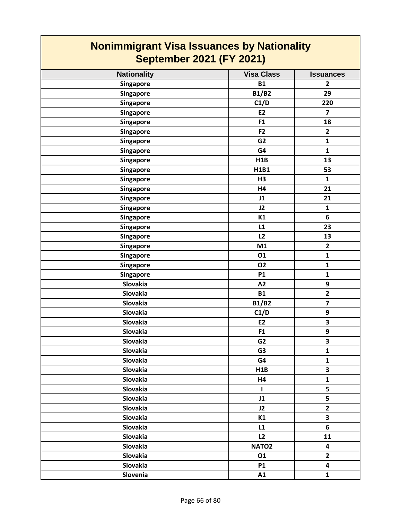| <b>Nationality</b> | <b>Visa Class</b> | <b>Issuances</b>        |
|--------------------|-------------------|-------------------------|
| Singapore          | <b>B1</b>         | $\mathbf{2}$            |
| Singapore          | <b>B1/B2</b>      | 29                      |
| Singapore          | C1/D              | 220                     |
| <b>Singapore</b>   | E2                | $\overline{\mathbf{z}}$ |
| Singapore          | F1                | 18                      |
| Singapore          | F <sub>2</sub>    | $\overline{2}$          |
| Singapore          | G <sub>2</sub>    | $\mathbf{1}$            |
| Singapore          | G4                | $\mathbf{1}$            |
| <b>Singapore</b>   | H1B               | 13                      |
| Singapore          | H1B1              | 53                      |
| <b>Singapore</b>   | H <sub>3</sub>    | $\mathbf{1}$            |
| Singapore          | H4                | 21                      |
| Singapore          | J1                | 21                      |
| Singapore          | J2                | $\mathbf{1}$            |
| Singapore          | K1                | 6                       |
| Singapore          | L1                | 23                      |
| Singapore          | L2                | 13                      |
| <b>Singapore</b>   | M1                | $\overline{\mathbf{2}}$ |
| Singapore          | 01                | $\mathbf{1}$            |
| <b>Singapore</b>   | <b>O2</b>         | $\mathbf{1}$            |
| <b>Singapore</b>   | <b>P1</b>         | $\mathbf{1}$            |
| Slovakia           | A2                | 9                       |
| Slovakia           | <b>B1</b>         | $\overline{\mathbf{2}}$ |
| Slovakia           | <b>B1/B2</b>      | $\overline{\mathbf{z}}$ |
| Slovakia           | C1/D              | 9                       |
| Slovakia           | E2                | $\overline{\mathbf{3}}$ |
| Slovakia           | F1                | 9                       |
| Slovakia           | G <sub>2</sub>    | $\overline{\mathbf{3}}$ |
| Slovakia           | G <sub>3</sub>    | $\mathbf 1$             |
| Slovakia           | G4                | $\mathbf{1}$            |
| Slovakia           | H1B               | 3                       |
| Slovakia           | H4                | $\mathbf{1}$            |
| Slovakia           | I.                | 5                       |
| Slovakia           | J1                | 5                       |
| <b>Slovakia</b>    | J2                | $\overline{2}$          |
| Slovakia           | K1                | 3                       |
| Slovakia           | L1                | 6                       |
| Slovakia           | L2                | 11                      |
| Slovakia           | NATO <sub>2</sub> | $\overline{\mathbf{4}}$ |
| Slovakia           | 01                | $\overline{2}$          |
| Slovakia           | <b>P1</b>         | $\overline{\mathbf{4}}$ |
| Slovenia           | A1                | $\mathbf{1}$            |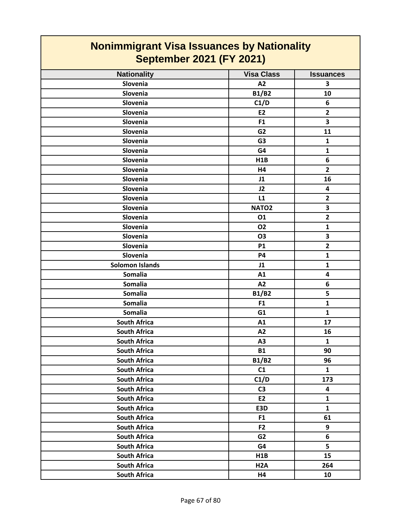| <b>Nonimmigrant Visa Issuances by Nationality</b><br><b>September 2021 (FY 2021)</b> |                   |                  |
|--------------------------------------------------------------------------------------|-------------------|------------------|
| <b>Nationality</b>                                                                   | <b>Visa Class</b> | <b>Issuances</b> |
| Slovenia                                                                             | A2                | 3                |
| Slovenia                                                                             | <b>B1/B2</b>      | 10               |
| Slovenia                                                                             | C1/D              | 6                |
| Slovenia                                                                             | <b>E2</b>         | $\overline{2}$   |
| Slovenia                                                                             | F1                | 3                |
| Slovenia                                                                             | G <sub>2</sub>    | 11               |
| Slovenia                                                                             | G <sub>3</sub>    | 1                |
| Slovenia                                                                             | G4                | $\mathbf{1}$     |
| Slovenia                                                                             | H1B               | 6                |
| Slovenia                                                                             | H4                | $\overline{2}$   |
| Slovenia                                                                             | J1                | 16               |
| Slovenia                                                                             | J2                | 4                |
| Slovenia                                                                             | L1                | $\overline{2}$   |
| Slovenia                                                                             | NATO <sub>2</sub> | 3                |
| Slovenia                                                                             | 01                | $\overline{2}$   |
| Slovenia                                                                             | <b>O2</b>         | $\mathbf{1}$     |
| Slovenia                                                                             | <b>O3</b>         | 3                |
| Slovenia                                                                             | <b>P1</b>         | $\overline{2}$   |
| Slovenia                                                                             | <b>P4</b>         | $\mathbf{1}$     |
| <b>Solomon Islands</b>                                                               | J1                | $\mathbf{1}$     |
| <b>Somalia</b>                                                                       | A1                | 4                |
| <b>Somalia</b>                                                                       | A2                | 6                |
| <b>Somalia</b>                                                                       | <b>B1/B2</b>      | 5                |
| <b>Somalia</b>                                                                       | F1                | $\mathbf{1}$     |
| <b>Somalia</b>                                                                       | G1                | 1                |
| <b>South Africa</b>                                                                  | A1                | 17               |
| <b>South Africa</b>                                                                  | A2                | 16               |
| <b>South Africa</b>                                                                  | A3                | $\mathbf{1}$     |
| <b>South Africa</b>                                                                  | <b>B1</b>         | 90               |
| <b>South Africa</b>                                                                  | <b>B1/B2</b>      | 96               |
| <b>South Africa</b>                                                                  | C1                | $\mathbf{1}$     |
| <b>South Africa</b>                                                                  | C1/D              | 173              |
| <b>South Africa</b>                                                                  | C <sub>3</sub>    | 4                |
| <b>South Africa</b>                                                                  | E2                | $\mathbf{1}$     |
| <b>South Africa</b>                                                                  | E3D               | $\mathbf{1}$     |
| <b>South Africa</b>                                                                  | F <sub>1</sub>    | 61               |
| <b>South Africa</b>                                                                  | F2                | 9                |
| <b>South Africa</b>                                                                  | G <sub>2</sub>    | 6                |
| <b>South Africa</b>                                                                  | G4                | 5                |
| <b>South Africa</b>                                                                  | H1B               | 15               |
| <b>South Africa</b>                                                                  | H <sub>2</sub> A  | 264              |
| <b>South Africa</b>                                                                  | H4                | 10               |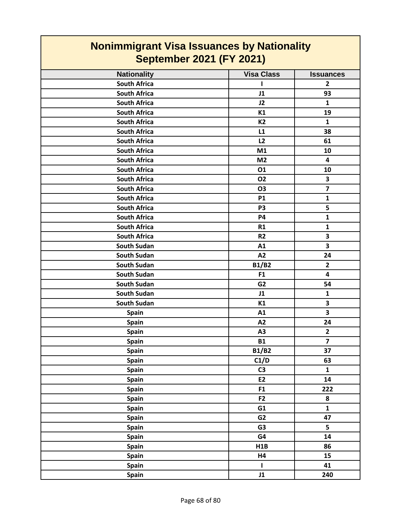| <b>Nationality</b>  | <b>Visa Class</b> | <b>Issuances</b>        |
|---------------------|-------------------|-------------------------|
| <b>South Africa</b> | 1                 | $\overline{2}$          |
| <b>South Africa</b> | J1                | 93                      |
| <b>South Africa</b> | J2                | $\mathbf{1}$            |
| <b>South Africa</b> | K1                | 19                      |
| <b>South Africa</b> | <b>K2</b>         | $\mathbf{1}$            |
| <b>South Africa</b> | L1                | 38                      |
| <b>South Africa</b> | L2                | 61                      |
| <b>South Africa</b> | M1                | 10                      |
| <b>South Africa</b> | M <sub>2</sub>    | $\overline{\mathbf{4}}$ |
| <b>South Africa</b> | 01                | 10                      |
| <b>South Africa</b> | <b>O2</b>         | 3                       |
| <b>South Africa</b> | O3                | $\overline{\mathbf{z}}$ |
| <b>South Africa</b> | <b>P1</b>         | $\mathbf{1}$            |
| <b>South Africa</b> | P <sub>3</sub>    | 5                       |
| <b>South Africa</b> | <b>P4</b>         | $\mathbf{1}$            |
| <b>South Africa</b> | R1                | $\mathbf{1}$            |
| <b>South Africa</b> | R <sub>2</sub>    | $\overline{\mathbf{3}}$ |
| <b>South Sudan</b>  | A1                | 3                       |
| <b>South Sudan</b>  | A2                | 24                      |
| <b>South Sudan</b>  | <b>B1/B2</b>      | $\overline{2}$          |
| <b>South Sudan</b>  | F1                | 4                       |
| <b>South Sudan</b>  | G <sub>2</sub>    | 54                      |
| South Sudan         | J1                | $\mathbf{1}$            |
| South Sudan         | K1                | $\overline{\mathbf{3}}$ |
| Spain               | A1                | 3                       |
| Spain               | A2                | 24                      |
| Spain               | A <sub>3</sub>    | $\overline{2}$          |
| Spain               | <b>B1</b>         | $\overline{\mathbf{z}}$ |
| Spain               | <b>B1/B2</b>      | 37                      |
| Spain               | C1/D              | 63                      |
| Spain               | C <sub>3</sub>    | $\mathbf{1}$            |
| Spain               | E2                | 14                      |
| Spain               | F1                | 222                     |
| <b>Spain</b>        | F2                | 8                       |
| Spain               | G1                | $\mathbf{1}$            |
| Spain               | G <sub>2</sub>    | 47                      |
| Spain               | G <sub>3</sub>    | 5                       |
| <b>Spain</b>        | G4                | 14                      |
| <b>Spain</b>        | H1B               | 86                      |
| Spain               | H4                | 15                      |
| Spain               | $\mathbf{I}$      | 41                      |
| Spain               | J1                | 240                     |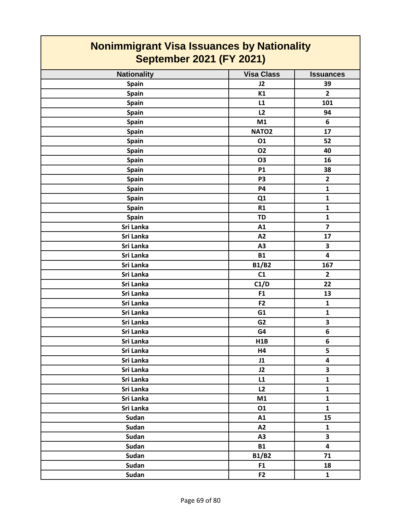| <b>Nonimmigrant Visa Issuances by Nationality</b><br><b>September 2021 (FY 2021)</b> |                   |                         |
|--------------------------------------------------------------------------------------|-------------------|-------------------------|
| <b>Nationality</b>                                                                   | <b>Visa Class</b> | <b>Issuances</b>        |
| Spain                                                                                | J2                | 39                      |
| Spain                                                                                | K1                | $\overline{2}$          |
| Spain                                                                                | L1                | 101                     |
| <b>Spain</b>                                                                         | L2                | 94                      |
| Spain                                                                                | M1                | 6                       |
| Spain                                                                                | NATO <sub>2</sub> | 17                      |
| Spain                                                                                | 01                | 52                      |
| Spain                                                                                | <b>O2</b>         | 40                      |
| Spain                                                                                | <b>O3</b>         | 16                      |
| Spain                                                                                | <b>P1</b>         | 38                      |
| Spain                                                                                | P <sub>3</sub>    | $\overline{2}$          |
| <b>Spain</b>                                                                         | <b>P4</b>         | $\mathbf{1}$            |
| Spain                                                                                | Q1                | $\mathbf{1}$            |
| Spain                                                                                | R1                | $\mathbf{1}$            |
| Spain                                                                                | TD                | $\mathbf{1}$            |
| Sri Lanka                                                                            | A1                | $\overline{\mathbf{z}}$ |
| Sri Lanka                                                                            | A2                | 17                      |
| Sri Lanka                                                                            | A3                | 3                       |
| Sri Lanka                                                                            | <b>B1</b>         | 4                       |
| Sri Lanka                                                                            | <b>B1/B2</b>      | 167                     |
| Sri Lanka                                                                            | C1                | $\overline{2}$          |
| Sri Lanka                                                                            | C1/D              | 22                      |
| Sri Lanka                                                                            | F <sub>1</sub>    | 13                      |
| Sri Lanka                                                                            | F <sub>2</sub>    | 1                       |
| Sri Lanka                                                                            | G1                | $\mathbf{1}$            |
| Sri Lanka                                                                            | G <sub>2</sub>    | 3                       |
| Sri Lanka                                                                            | G4                | 6                       |
| Sri Lanka                                                                            | H1B               | 6                       |
| Sri Lanka                                                                            | H4                | 5                       |
| Sri Lanka                                                                            | J1                | 4                       |
| Sri Lanka                                                                            | J2                | $\mathbf{3}$            |
| Sri Lanka                                                                            | L1                | $\mathbf{1}$            |
| Sri Lanka                                                                            | L2                | $\mathbf{1}$            |
| Sri Lanka                                                                            | M1                | $\mathbf{1}$            |
| Sri Lanka                                                                            | 01                | $\mathbf{1}$            |
| Sudan                                                                                | A1                | 15                      |
| Sudan                                                                                | A2                | $\mathbf{1}$            |
| Sudan                                                                                | A3                | $\overline{\mathbf{3}}$ |
| Sudan                                                                                | <b>B1</b>         | $\overline{\mathbf{4}}$ |
| Sudan                                                                                | <b>B1/B2</b>      | 71                      |
| Sudan                                                                                | F1                | 18                      |
| Sudan                                                                                | F <sub>2</sub>    | $\mathbf{1}$            |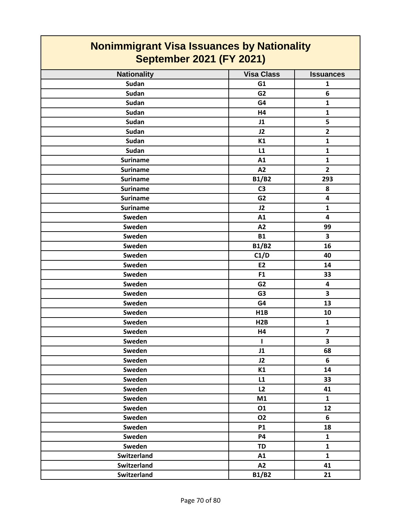| <b>Nationality</b> | <b>Visa Class</b> | <b>Issuances</b>        |
|--------------------|-------------------|-------------------------|
| Sudan              | G1                | $\mathbf{1}$            |
| <b>Sudan</b>       | G <sub>2</sub>    | $\boldsymbol{6}$        |
| Sudan              | G4                | $\mathbf{1}$            |
| Sudan              | H4                | $\mathbf{1}$            |
| Sudan              | J1                | 5                       |
| <b>Sudan</b>       | J2                | $\overline{2}$          |
| <b>Sudan</b>       | K1                | $\mathbf{1}$            |
| Sudan              | L1                | $\mathbf{1}$            |
| <b>Suriname</b>    | A1                | $\mathbf{1}$            |
| <b>Suriname</b>    | A2                | $\mathbf{2}$            |
| <b>Suriname</b>    | <b>B1/B2</b>      | 293                     |
| <b>Suriname</b>    | C <sub>3</sub>    | 8                       |
| <b>Suriname</b>    | G <sub>2</sub>    | 4                       |
| <b>Suriname</b>    | J2                | $\mathbf{1}$            |
| Sweden             | A1                | $\overline{\mathbf{4}}$ |
| Sweden             | A2                | 99                      |
| Sweden             | <b>B1</b>         | 3                       |
| Sweden             | <b>B1/B2</b>      | 16                      |
| Sweden             | C1/D              | 40                      |
| Sweden             | E2                | 14                      |
| Sweden             | F1                | 33                      |
| Sweden             | G <sub>2</sub>    | 4                       |
| Sweden             | G <sub>3</sub>    | 3                       |
| Sweden             | G4                | 13                      |
| Sweden             | H1B               | 10                      |
| Sweden             | H <sub>2</sub> B  | $\mathbf 1$             |
| Sweden             | H4                | $\overline{\mathbf{z}}$ |
| Sweden             | L                 | 3                       |
| Sweden             | J1                | 68                      |
| Sweden             | J2                | $\bf 6$                 |
| Sweden             | K1                | 14                      |
| Sweden             | L1                | 33                      |
| Sweden             | L2                | 41                      |
| Sweden             | M1                | $\mathbf{1}$            |
| Sweden             | 01                | 12                      |
| Sweden             | <b>O2</b>         | 6                       |
| Sweden             | <b>P1</b>         | 18                      |
| Sweden             | <b>P4</b>         | $\mathbf{1}$            |
| Sweden             | <b>TD</b>         | $\mathbf{1}$            |
| Switzerland        | A1                | $\mathbf{1}$            |
| Switzerland        | A2                | 41                      |
| Switzerland        | <b>B1/B2</b>      | 21                      |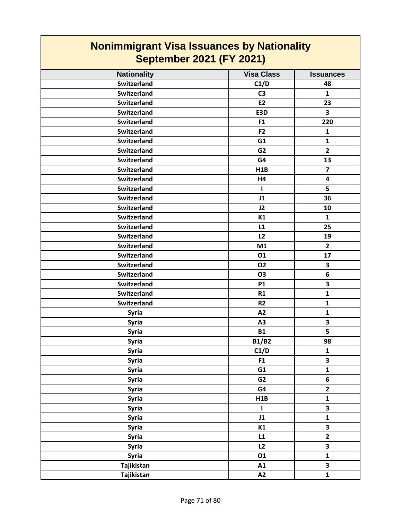| <b>Nonimmigrant Visa Issuances by Nationality</b><br><b>September 2021 (FY 2021)</b> |                   |                         |
|--------------------------------------------------------------------------------------|-------------------|-------------------------|
| <b>Nationality</b>                                                                   | <b>Visa Class</b> | <b>Issuances</b>        |
| <b>Switzerland</b>                                                                   | C1/D              | 48                      |
| <b>Switzerland</b>                                                                   | C <sub>3</sub>    | $\mathbf{1}$            |
| Switzerland                                                                          | <b>E2</b>         | 23                      |
| <b>Switzerland</b>                                                                   | E3D               | $\overline{\mathbf{3}}$ |
| <b>Switzerland</b>                                                                   | F <sub>1</sub>    | 220                     |
| <b>Switzerland</b>                                                                   | F <sub>2</sub>    | $\mathbf{1}$            |
| <b>Switzerland</b>                                                                   | G1                | $\mathbf{1}$            |
| <b>Switzerland</b>                                                                   | G <sub>2</sub>    | $\overline{2}$          |
| <b>Switzerland</b>                                                                   | G4                | 13                      |
| <b>Switzerland</b>                                                                   | H1B               | $\overline{\mathbf{z}}$ |
| <b>Switzerland</b>                                                                   | H4                | 4                       |
| <b>Switzerland</b>                                                                   | 1                 | 5                       |
| <b>Switzerland</b>                                                                   | J1                | 36                      |
| <b>Switzerland</b>                                                                   | J2                | 10                      |
| <b>Switzerland</b>                                                                   | K1                | 1                       |
| <b>Switzerland</b>                                                                   | L1                | 25                      |
| <b>Switzerland</b>                                                                   | L2                | 19                      |
| <b>Switzerland</b>                                                                   | M1                | $\overline{2}$          |
| <b>Switzerland</b>                                                                   | 01                | 17                      |
| <b>Switzerland</b>                                                                   | 02                | 3                       |
| <b>Switzerland</b>                                                                   | O <sub>3</sub>    | 6                       |
| <b>Switzerland</b>                                                                   | <b>P1</b>         | $\overline{\mathbf{3}}$ |
| <b>Switzerland</b>                                                                   | R1                | $\mathbf{1}$            |
| <b>Switzerland</b>                                                                   | R <sub>2</sub>    | $\mathbf{1}$            |
| <b>Syria</b>                                                                         | A2                | $\mathbf{1}$            |
| <b>Syria</b>                                                                         | A3                | 3                       |
| <b>Syria</b>                                                                         | <b>B1</b>         | 5                       |
| Syria                                                                                | <b>B1/B2</b>      | 98                      |
| <b>Syria</b>                                                                         | C1/D              | $\mathbf{1}$            |
| Syria                                                                                | F1                | $\overline{\mathbf{3}}$ |
| <b>Syria</b>                                                                         | G1                | $\mathbf{1}$            |
| <b>Syria</b>                                                                         | G2                | 6                       |
| <b>Syria</b>                                                                         | G4                | $\mathbf{2}$            |
| <b>Syria</b>                                                                         | H1B               | $\mathbf{1}$            |
| Syria                                                                                | $\mathbf{I}$      | 3                       |
| <b>Syria</b>                                                                         | J1                | $\mathbf{1}$            |
| <b>Syria</b>                                                                         | K1                | $\overline{\mathbf{3}}$ |
| <b>Syria</b>                                                                         | L1                | $\overline{\mathbf{2}}$ |
| <b>Syria</b>                                                                         | L2                | 3                       |
| <b>Syria</b>                                                                         | 01                | $\mathbf{1}$            |
| Tajikistan                                                                           | A1                | $\overline{\mathbf{3}}$ |
| Tajikistan                                                                           | A2                | $\mathbf{1}$            |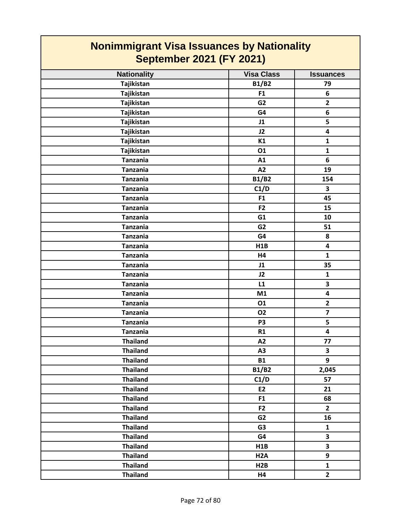| <b>Nationality</b> | <b>Visa Class</b> | <b>Issuances</b>        |
|--------------------|-------------------|-------------------------|
| Tajikistan         | <b>B1/B2</b>      | 79                      |
| Tajikistan         | F1                | 6                       |
| Tajikistan         | G <sub>2</sub>    | $\mathbf{2}$            |
| Tajikistan         | G4                | 6                       |
| Tajikistan         | J1                | 5                       |
| Tajikistan         | J2                | 4                       |
| Tajikistan         | K1                | $\mathbf{1}$            |
| Tajikistan         | 01                | $\mathbf{1}$            |
| <b>Tanzania</b>    | A1                | 6                       |
| <b>Tanzania</b>    | A2                | 19                      |
| <b>Tanzania</b>    | <b>B1/B2</b>      | 154                     |
| <b>Tanzania</b>    | C1/D              | 3                       |
| <b>Tanzania</b>    | F1                | 45                      |
| <b>Tanzania</b>    | F <sub>2</sub>    | 15                      |
| <b>Tanzania</b>    | G1                | 10                      |
| <b>Tanzania</b>    | G <sub>2</sub>    | 51                      |
| <b>Tanzania</b>    | G4                | 8                       |
| <b>Tanzania</b>    | H1B               | $\overline{\mathbf{4}}$ |
| <b>Tanzania</b>    | H4                | $\mathbf{1}$            |
| <b>Tanzania</b>    | J1                | 35                      |
| <b>Tanzania</b>    | J2                | $\mathbf{1}$            |
| <b>Tanzania</b>    | L1                | $\overline{\mathbf{3}}$ |
| <b>Tanzania</b>    | M1                | $\overline{\mathbf{4}}$ |
| <b>Tanzania</b>    | 01                | $\mathbf{2}$            |
| <b>Tanzania</b>    | <b>O2</b>         | $\overline{7}$          |
| <b>Tanzania</b>    | P <sub>3</sub>    | 5                       |
| <b>Tanzania</b>    | R1                | 4                       |
| <b>Thailand</b>    | A2                | 77                      |
| <b>Thailand</b>    | A <sub>3</sub>    | 3                       |
| <b>Thailand</b>    | <b>B1</b>         | 9                       |
| <b>Thailand</b>    | <b>B1/B2</b>      | 2,045                   |
| <b>Thailand</b>    | C1/D              | 57                      |
| <b>Thailand</b>    | E2                | 21                      |
| <b>Thailand</b>    | F1                | 68                      |
| <b>Thailand</b>    | F <sub>2</sub>    | $\overline{2}$          |
| <b>Thailand</b>    | G <sub>2</sub>    | 16                      |
| <b>Thailand</b>    | G <sub>3</sub>    | $\mathbf{1}$            |
| <b>Thailand</b>    | G4                | $\overline{\mathbf{3}}$ |
| <b>Thailand</b>    | H1B               | $\overline{\mathbf{3}}$ |
| <b>Thailand</b>    | H <sub>2</sub> A  | 9                       |
| <b>Thailand</b>    | H2B               | $\mathbf{1}$            |
| <b>Thailand</b>    | <b>H4</b>         | $\overline{2}$          |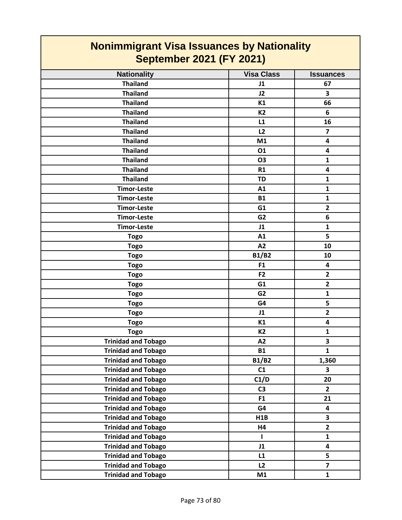| <b>Nonimmigrant Visa Issuances by Nationality</b><br><b>September 2021 (FY 2021)</b> |                |                         |
|--------------------------------------------------------------------------------------|----------------|-------------------------|
|                                                                                      |                |                         |
| <b>Thailand</b>                                                                      | J1             | 67                      |
| <b>Thailand</b>                                                                      | J2             | 3                       |
| <b>Thailand</b>                                                                      | K1             | 66                      |
| <b>Thailand</b>                                                                      | <b>K2</b>      | 6                       |
| <b>Thailand</b>                                                                      | L1             | 16                      |
| <b>Thailand</b>                                                                      | L2             | $\overline{ }$          |
| <b>Thailand</b>                                                                      | M1             | 4                       |
| <b>Thailand</b>                                                                      | 01             | $\overline{\mathbf{4}}$ |
| <b>Thailand</b>                                                                      | <b>O3</b>      | 1                       |
| <b>Thailand</b>                                                                      | R1             | 4                       |
| <b>Thailand</b>                                                                      | <b>TD</b>      | 1                       |
| <b>Timor-Leste</b>                                                                   | A1             | $\mathbf{1}$            |
| <b>Timor-Leste</b>                                                                   | <b>B1</b>      | $\mathbf{1}$            |
| <b>Timor-Leste</b>                                                                   | G1             | $\overline{2}$          |
| <b>Timor-Leste</b>                                                                   | G <sub>2</sub> | 6                       |
| <b>Timor-Leste</b>                                                                   | J1             | $\mathbf{1}$            |
| <b>Togo</b>                                                                          | A1             | 5                       |
| <b>Togo</b>                                                                          | A2             | 10                      |
| <b>Togo</b>                                                                          | <b>B1/B2</b>   | 10                      |
| <b>Togo</b>                                                                          | F <sub>1</sub> | 4                       |
| <b>Togo</b>                                                                          | F2             | $\overline{2}$          |
| <b>Togo</b>                                                                          | G1             | $\overline{2}$          |
| <b>Togo</b>                                                                          | G <sub>2</sub> | $\mathbf{1}$            |
| <b>Togo</b>                                                                          | G4             | 5                       |
| <b>Togo</b>                                                                          | J1             | $\overline{2}$          |
| <b>Togo</b>                                                                          | K1             | 4                       |
| <b>Togo</b>                                                                          | K <sub>2</sub> | $\mathbf{1}$            |
| <b>Trinidad and Tobago</b>                                                           | A2             | 3                       |
| <b>Trinidad and Tobago</b>                                                           | <b>B1</b>      | $\mathbf{1}$            |
| <b>Trinidad and Tobago</b>                                                           | <b>B1/B2</b>   | 1,360                   |
| <b>Trinidad and Tobago</b>                                                           | C1             | 3                       |
| <b>Trinidad and Tobago</b>                                                           | C1/D           | 20                      |
| <b>Trinidad and Tobago</b>                                                           | C <sub>3</sub> | $\overline{2}$          |
| <b>Trinidad and Tobago</b>                                                           | F <sub>1</sub> | 21                      |
| <b>Trinidad and Tobago</b>                                                           | G4             | 4                       |
| <b>Trinidad and Tobago</b>                                                           | H1B            | 3                       |
| <b>Trinidad and Tobago</b>                                                           | Η4             | $\mathbf{2}$            |
| <b>Trinidad and Tobago</b>                                                           | I.             | $\mathbf{1}$            |
| <b>Trinidad and Tobago</b>                                                           | J1             | $\overline{\mathbf{4}}$ |
| <b>Trinidad and Tobago</b>                                                           | L1             | 5                       |
| <b>Trinidad and Tobago</b>                                                           | L2             | $\overline{\mathbf{z}}$ |
| <b>Trinidad and Tobago</b>                                                           | M1             | $\mathbf{1}$            |

┑

r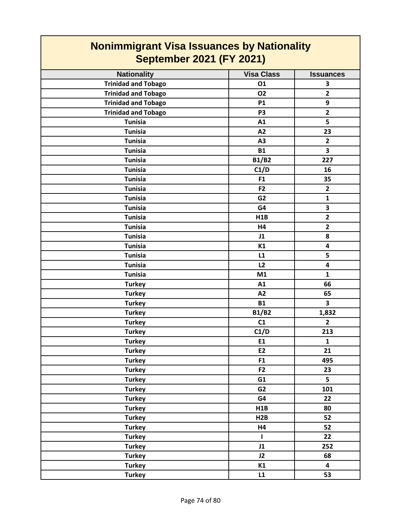| <b>Nonimmigrant Visa Issuances by Nationality</b><br><b>September 2021 (FY 2021)</b> |                   |                         |
|--------------------------------------------------------------------------------------|-------------------|-------------------------|
| <b>Nationality</b>                                                                   | <b>Visa Class</b> | <b>Issuances</b>        |
| <b>Trinidad and Tobago</b>                                                           | 01                | 3                       |
| <b>Trinidad and Tobago</b>                                                           | 02                | $\overline{2}$          |
| <b>Trinidad and Tobago</b>                                                           | <b>P1</b>         | 9                       |
| <b>Trinidad and Tobago</b>                                                           | P <sub>3</sub>    | $\overline{\mathbf{2}}$ |
| <b>Tunisia</b>                                                                       | A1                | 5                       |
| <b>Tunisia</b>                                                                       | A2                | 23                      |
| <b>Tunisia</b>                                                                       | A3                | $\overline{2}$          |
| <b>Tunisia</b>                                                                       | <b>B1</b>         | 3                       |
| <b>Tunisia</b>                                                                       | <b>B1/B2</b>      | 227                     |
| <b>Tunisia</b>                                                                       | C1/D              | 16                      |
| <b>Tunisia</b>                                                                       | F1                | 35                      |
| <b>Tunisia</b>                                                                       | F <sub>2</sub>    | $\overline{2}$          |
| <b>Tunisia</b>                                                                       | G <sub>2</sub>    | $\mathbf{1}$            |
| <b>Tunisia</b>                                                                       | G4                | 3                       |
| <b>Tunisia</b>                                                                       | <b>H1B</b>        | $\overline{\mathbf{2}}$ |
| <b>Tunisia</b>                                                                       | H4                | $\overline{2}$          |
| <b>Tunisia</b>                                                                       | J1                | 8                       |
| <b>Tunisia</b>                                                                       | K1                | 4                       |
| <b>Tunisia</b>                                                                       | L1                | 5                       |
| <b>Tunisia</b>                                                                       | L2                | 4                       |
| <b>Tunisia</b>                                                                       | M1                | $\mathbf{1}$            |
| <b>Turkey</b>                                                                        | A1                | 66                      |
| <b>Turkey</b>                                                                        | A2                | 65                      |
| <b>Turkey</b>                                                                        | <b>B1</b>         | $\overline{\mathbf{3}}$ |
| <b>Turkey</b>                                                                        | <b>B1/B2</b>      | 1,832                   |
| <b>Turkey</b>                                                                        | C1                | $\overline{2}$          |
| <b>Turkey</b>                                                                        | C1/D              | 213                     |
| <b>Turkey</b>                                                                        | E1                | $\mathbf{1}$            |
| <b>Turkey</b>                                                                        | E2                | 21                      |
| <b>Turkey</b>                                                                        | F1                | 495                     |
| <b>Turkey</b>                                                                        | F <sub>2</sub>    | 23                      |
| <b>Turkey</b>                                                                        | G1                | 5                       |
| <b>Turkey</b>                                                                        | G <sub>2</sub>    | 101                     |
| <b>Turkey</b>                                                                        | G4                | 22                      |
| <b>Turkey</b>                                                                        | H1B               | 80                      |
| <b>Turkey</b>                                                                        | H2B               | 52                      |
| <b>Turkey</b>                                                                        | H4                | 52                      |
| <b>Turkey</b>                                                                        | I.                | 22                      |
| <b>Turkey</b>                                                                        | J1                | 252                     |
| <b>Turkey</b>                                                                        | J2                | 68                      |
| <b>Turkey</b>                                                                        | K1                | $\overline{\mathbf{4}}$ |
| <b>Turkey</b>                                                                        | L1                | 53                      |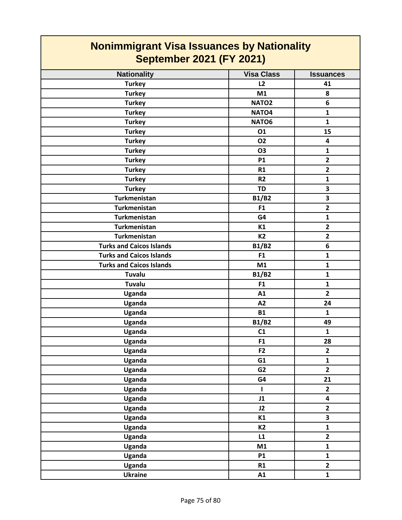| <b>Nonimmigrant Visa Issuances by Nationality</b><br><b>September 2021 (FY 2021)</b> |                   |                         |
|--------------------------------------------------------------------------------------|-------------------|-------------------------|
| <b>Nationality</b>                                                                   | <b>Visa Class</b> | <b>Issuances</b>        |
| <b>Turkey</b>                                                                        | L <sub>2</sub>    | 41                      |
| <b>Turkey</b>                                                                        | M1                | 8                       |
| <b>Turkey</b>                                                                        | NATO <sub>2</sub> | 6                       |
| <b>Turkey</b>                                                                        | NATO <sub>4</sub> | $\mathbf{1}$            |
| <b>Turkey</b>                                                                        | NATO6             | $\mathbf{1}$            |
| <b>Turkey</b>                                                                        | 01                | 15                      |
| <b>Turkey</b>                                                                        | 02                | 4                       |
| <b>Turkey</b>                                                                        | <b>O3</b>         | 1                       |
| <b>Turkey</b>                                                                        | <b>P1</b>         | $\overline{2}$          |
| <b>Turkey</b>                                                                        | R1                | $\overline{2}$          |
| <b>Turkey</b>                                                                        | <b>R2</b>         | $\mathbf{1}$            |
| <b>Turkey</b>                                                                        | <b>TD</b>         | 3                       |
| <b>Turkmenistan</b>                                                                  | <b>B1/B2</b>      | 3                       |
| <b>Turkmenistan</b>                                                                  | F <sub>1</sub>    | $\overline{2}$          |
| <b>Turkmenistan</b>                                                                  | G4                | $\mathbf{1}$            |
| <b>Turkmenistan</b>                                                                  | K1                | $\overline{2}$          |
| <b>Turkmenistan</b>                                                                  | K <sub>2</sub>    | $\overline{2}$          |
| <b>Turks and Caicos Islands</b>                                                      | <b>B1/B2</b>      | 6                       |
| <b>Turks and Caicos Islands</b>                                                      | F <sub>1</sub>    | $\mathbf{1}$            |
| <b>Turks and Caicos Islands</b>                                                      | M1                | 1                       |
| <b>Tuvalu</b>                                                                        | <b>B1/B2</b>      | $\mathbf{1}$            |
| Tuvalu                                                                               | F <sub>1</sub>    | $\mathbf{1}$            |
| <b>Uganda</b>                                                                        | A1                | $\overline{2}$          |
| Uganda                                                                               | A2                | 24                      |
| Uganda                                                                               | <b>B1</b>         | $\mathbf{1}$            |
| Uganda                                                                               | <b>B1/B2</b>      | 49                      |
| Uganda                                                                               | C1                | $\mathbf 1$             |
| <b>Uganda</b>                                                                        | F1                | 28                      |
| <b>Uganda</b>                                                                        | F <sub>2</sub>    | $\mathbf{2}$            |
| Uganda                                                                               | G1                | $\mathbf{1}$            |
| <b>Uganda</b>                                                                        | G <sub>2</sub>    | $\overline{2}$          |
| Uganda                                                                               | G4                | 21                      |
| Uganda                                                                               | L                 | $\overline{2}$          |
| <b>Uganda</b>                                                                        | J1                | $\overline{\mathbf{4}}$ |
| Uganda                                                                               | J2                | $\overline{2}$          |
| <b>Uganda</b>                                                                        | K1                | 3                       |
| <b>Uganda</b>                                                                        | <b>K2</b>         | $\mathbf{1}$            |
| <b>Uganda</b>                                                                        | L1                | $\overline{2}$          |
| Uganda                                                                               | M1                | $\mathbf{1}$            |
| <b>Uganda</b>                                                                        | <b>P1</b>         | $\mathbf{1}$            |
| <b>Uganda</b>                                                                        | R1                | $\mathbf{2}$            |
| <b>Ukraine</b>                                                                       | A1                | $\mathbf{1}$            |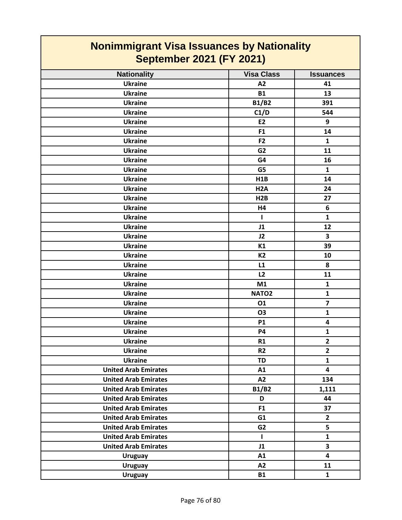| <b>Nonimmigrant Visa Issuances by Nationality</b><br><b>September 2021 (FY 2021)</b> |                   |                         |
|--------------------------------------------------------------------------------------|-------------------|-------------------------|
| <b>Nationality</b>                                                                   | <b>Visa Class</b> | <b>Issuances</b>        |
| <b>Ukraine</b>                                                                       | A2                | 41                      |
| <b>Ukraine</b>                                                                       | <b>B1</b>         | 13                      |
| <b>Ukraine</b>                                                                       | <b>B1/B2</b>      | 391                     |
| <b>Ukraine</b>                                                                       | C1/D              | 544                     |
| <b>Ukraine</b>                                                                       | <b>E2</b>         | 9                       |
| <b>Ukraine</b>                                                                       | F <sub>1</sub>    | 14                      |
| <b>Ukraine</b>                                                                       | F <sub>2</sub>    | $\mathbf{1}$            |
| <b>Ukraine</b>                                                                       | G <sub>2</sub>    | 11                      |
| <b>Ukraine</b>                                                                       | G4                | 16                      |
| <b>Ukraine</b>                                                                       | G5                | $\mathbf{1}$            |
| <b>Ukraine</b>                                                                       | <b>H1B</b>        | 14                      |
| <b>Ukraine</b>                                                                       | H <sub>2</sub> A  | 24                      |
| <b>Ukraine</b>                                                                       | H2B               | 27                      |
| <b>Ukraine</b>                                                                       | H4                | 6                       |
| <b>Ukraine</b>                                                                       | ı                 | $\mathbf{1}$            |
| <b>Ukraine</b>                                                                       | J1                | 12                      |
| <b>Ukraine</b>                                                                       | J2                | 3                       |
| <b>Ukraine</b>                                                                       | K1                | 39                      |
| <b>Ukraine</b>                                                                       | <b>K2</b>         | 10                      |
| <b>Ukraine</b>                                                                       | L1                | 8                       |
| <b>Ukraine</b>                                                                       | L2                | 11                      |
| <b>Ukraine</b>                                                                       | M1                | 1                       |
| <b>Ukraine</b>                                                                       | NATO <sub>2</sub> | $\mathbf{1}$            |
| <b>Ukraine</b>                                                                       | 01                | $\overline{\mathbf{z}}$ |
| <b>Ukraine</b>                                                                       | <b>O3</b>         | $\mathbf{1}$            |
| <b>Ukraine</b>                                                                       | <b>P1</b>         | 4                       |
| <b>Ukraine</b>                                                                       | P4                | 1                       |
| <b>Ukraine</b>                                                                       | R1                | $\overline{2}$          |
| <b>Ukraine</b>                                                                       | R <sub>2</sub>    | $\overline{2}$          |
| <b>Ukraine</b>                                                                       | <b>TD</b>         | $\mathbf{1}$            |
| <b>United Arab Emirates</b>                                                          | A1                | $\overline{\mathbf{4}}$ |
| <b>United Arab Emirates</b>                                                          | A2                | 134                     |
| <b>United Arab Emirates</b>                                                          | <b>B1/B2</b>      | 1,111                   |
| <b>United Arab Emirates</b>                                                          | D                 | 44                      |
| <b>United Arab Emirates</b>                                                          | F1                | 37                      |
| <b>United Arab Emirates</b>                                                          | G1                | $\overline{\mathbf{2}}$ |
| <b>United Arab Emirates</b>                                                          | G <sub>2</sub>    | 5                       |
| <b>United Arab Emirates</b>                                                          | $\mathbf{I}$      | $\mathbf{1}$            |
| <b>United Arab Emirates</b>                                                          | J1                | $\overline{\mathbf{3}}$ |
| <b>Uruguay</b>                                                                       | A1                | $\overline{\mathbf{4}}$ |
| <b>Uruguay</b>                                                                       | A2                | 11                      |
| <b>Uruguay</b>                                                                       | <b>B1</b>         | $\mathbf{1}$            |

Г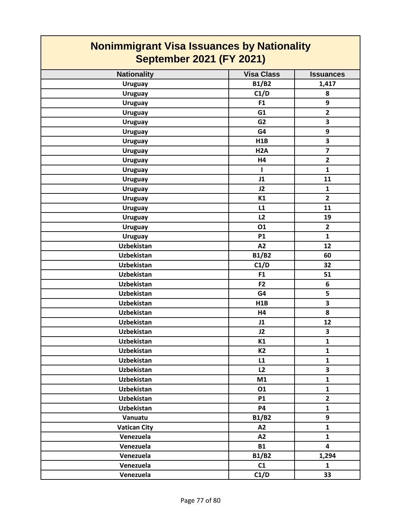| <b>Nonimmigrant Visa Issuances by Nationality</b><br><b>September 2021 (FY 2021)</b> |                   |                         |
|--------------------------------------------------------------------------------------|-------------------|-------------------------|
| <b>Nationality</b>                                                                   | <b>Visa Class</b> | <b>Issuances</b>        |
| <b>Uruguay</b>                                                                       | <b>B1/B2</b>      | 1,417                   |
| <b>Uruguay</b>                                                                       | C1/D              | 8                       |
| <b>Uruguay</b>                                                                       | F <sub>1</sub>    | 9                       |
| <b>Uruguay</b>                                                                       | G1                | $\overline{2}$          |
| <b>Uruguay</b>                                                                       | G <sub>2</sub>    | 3                       |
| <b>Uruguay</b>                                                                       | G4                | 9                       |
| <b>Uruguay</b>                                                                       | H1B               | $\overline{\mathbf{3}}$ |
| <b>Uruguay</b>                                                                       | H <sub>2</sub> A  | $\overline{\mathbf{z}}$ |
| <b>Uruguay</b>                                                                       | H4                | $\overline{2}$          |
| <b>Uruguay</b>                                                                       | -1                | $\mathbf{1}$            |
| <b>Uruguay</b>                                                                       | J1                | 11                      |
| <b>Uruguay</b>                                                                       | J2                | $\mathbf{1}$            |
| <b>Uruguay</b>                                                                       | K1                | $\overline{2}$          |
| <b>Uruguay</b>                                                                       | L1                | 11                      |
| <b>Uruguay</b>                                                                       | L2                | 19                      |
| <b>Uruguay</b>                                                                       | 01                | $\overline{2}$          |
| <b>Uruguay</b>                                                                       | <b>P1</b>         | $\mathbf{1}$            |
| <b>Uzbekistan</b>                                                                    | A2                | 12                      |
| <b>Uzbekistan</b>                                                                    | <b>B1/B2</b>      | 60                      |
| <b>Uzbekistan</b>                                                                    | C1/D              | 32                      |
| <b>Uzbekistan</b>                                                                    | F1                | 51                      |
| <b>Uzbekistan</b>                                                                    | F <sub>2</sub>    | 6                       |
| <b>Uzbekistan</b>                                                                    | G4                | 5                       |
| <b>Uzbekistan</b>                                                                    | H <sub>1</sub> B  | 3                       |
| Uzbekistan                                                                           | H4                | 8                       |
| <b>Uzbekistan</b>                                                                    | J1                | 12                      |
| <b>Uzbekistan</b>                                                                    | J2                | 3                       |
| Uzbekistan                                                                           | K1                | $\mathbf{1}$            |
| Uzbekistan                                                                           | K <sub>2</sub>    | $\mathbf{1}$            |
| <b>Uzbekistan</b>                                                                    | L1                | $\mathbf{1}$            |
| <b>Uzbekistan</b>                                                                    | L2                | 3                       |
| <b>Uzbekistan</b>                                                                    | M1                | $\mathbf{1}$            |
| Uzbekistan                                                                           | 01                | $\mathbf{1}$            |
| Uzbekistan                                                                           | <b>P1</b>         | $\overline{2}$          |
| <b>Uzbekistan</b>                                                                    | <b>P4</b>         | $\mathbf{1}$            |
| Vanuatu                                                                              | <b>B1/B2</b>      | 9                       |
| <b>Vatican City</b>                                                                  | A2                | $\mathbf{1}$            |
| Venezuela                                                                            | A2                | $\mathbf{1}$            |
| Venezuela                                                                            | <b>B1</b>         | $\overline{\mathbf{4}}$ |
| Venezuela                                                                            | <b>B1/B2</b>      | 1,294                   |
| Venezuela                                                                            | C1                | $\mathbf{1}$            |
| Venezuela                                                                            | C1/D              | 33                      |

┑

Г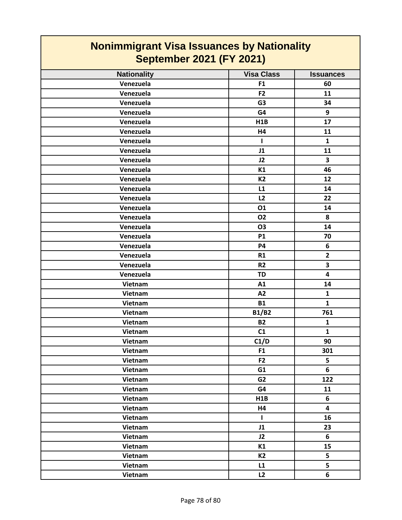## **Nonimmigrant Visa Issuances by Nationality September 2021 (FY 2021)**

| <b>Nationality</b> | <b>Visa Class</b> | <b>Issuances</b>        |
|--------------------|-------------------|-------------------------|
| Venezuela          | F1                | 60                      |
| Venezuela          | F <sub>2</sub>    | 11                      |
| Venezuela          | G <sub>3</sub>    | 34                      |
| Venezuela          | G4                | 9                       |
| Venezuela          | H1B               | 17                      |
| Venezuela          | <b>H4</b>         | 11                      |
| Venezuela          | J.                | $\mathbf{1}$            |
| Venezuela          | J1                | 11                      |
| Venezuela          | J2                | $\overline{\mathbf{3}}$ |
| Venezuela          | K1                | 46                      |
| Venezuela          | <b>K2</b>         | 12                      |
| Venezuela          | L1                | 14                      |
| Venezuela          | L2                | 22                      |
| Venezuela          | 01                | 14                      |
| Venezuela          | <b>O2</b>         | 8                       |
| Venezuela          | O3                | 14                      |
| Venezuela          | <b>P1</b>         | 70                      |
| Venezuela          | <b>P4</b>         | 6                       |
| Venezuela          | R1                | $\overline{\mathbf{2}}$ |
| Venezuela          | R <sub>2</sub>    | $\overline{\mathbf{3}}$ |
| Venezuela          | <b>TD</b>         | $\overline{\mathbf{4}}$ |
| Vietnam            | A1                | 14                      |
| Vietnam            | A2                | $\mathbf{1}$            |
| Vietnam            | <b>B1</b>         | $\mathbf{1}$            |
| Vietnam            | <b>B1/B2</b>      | 761                     |
| Vietnam            | <b>B2</b>         | $\mathbf{1}$            |
| Vietnam            | C1                | $\mathbf{1}$            |
| Vietnam            | C1/D              | 90                      |
| Vietnam            | F1                | 301                     |
| Vietnam            | F2                | 5                       |
| Vietnam            | G1                | 6                       |
| Vietnam            | G <sub>2</sub>    | 122                     |
| Vietnam            | G4                | 11                      |
| Vietnam            | H1B               | 6                       |
| Vietnam            | H4                | $\overline{\mathbf{4}}$ |
| Vietnam            | $\mathbf{I}$      | 16                      |
| Vietnam            | J1                | 23                      |
| Vietnam            | J2                | $6\phantom{a}$          |
| Vietnam            | K1                | 15                      |
| Vietnam            | <b>K2</b>         | 5                       |
| Vietnam            | L1                | 5                       |
| Vietnam            | L2                | 6                       |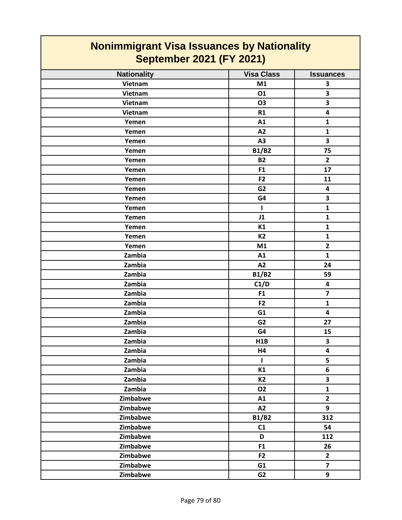## **Nonimmigrant Visa Issuances by Nationality September 2021 (FY 2021)**

| <b>Nationality</b> | <b>Visa Class</b> | <b>Issuances</b>        |
|--------------------|-------------------|-------------------------|
| Vietnam            | M1                | $\overline{\mathbf{3}}$ |
| Vietnam            | 01                | $\overline{\mathbf{3}}$ |
| Vietnam            | <b>O3</b>         | $\overline{\mathbf{3}}$ |
| Vietnam            | R1                | $\overline{\mathbf{4}}$ |
| Yemen              | A1                | $\mathbf{1}$            |
| Yemen              | A2                | $\mathbf{1}$            |
| Yemen              | A3                | $\overline{\mathbf{3}}$ |
| Yemen              | <b>B1/B2</b>      | 75                      |
| Yemen              | <b>B2</b>         | $\overline{2}$          |
| Yemen              | F1                | 17                      |
| Yemen              | F <sub>2</sub>    | 11                      |
| Yemen              | G <sub>2</sub>    | $\overline{\mathbf{4}}$ |
| Yemen              | G4                | $\overline{\mathbf{3}}$ |
| Yemen              | $\mathbf{I}$      | $\mathbf{1}$            |
| Yemen              | J1                | $\mathbf{1}$            |
| Yemen              | K1                | $\mathbf{1}$            |
| Yemen              | K <sub>2</sub>    | $\mathbf{1}$            |
| Yemen              | M1                | $\overline{2}$          |
| Zambia             | A1                | $\mathbf{1}$            |
| Zambia             | A2                | 24                      |
| Zambia             | <b>B1/B2</b>      | 59                      |
| Zambia             | C1/D              | 4                       |
| Zambia             | F1                | $\overline{\mathbf{z}}$ |
| Zambia             | F <sub>2</sub>    | $\mathbf{1}$            |
| Zambia             | G1                | $\overline{\mathbf{4}}$ |
| Zambia             | G <sub>2</sub>    | 27                      |
| Zambia             | G4                | 15                      |
| Zambia             | H1B               | $\overline{\mathbf{3}}$ |
| Zambia             | H4                | $\overline{\mathbf{4}}$ |
| Zambia             | $\mathbf I$       | 5                       |
| Zambia             | K1                | $\overline{\mathbf{6}}$ |
| Zambia             | <b>K2</b>         | $\overline{\mathbf{3}}$ |
| Zambia             | <b>O2</b>         | $\mathbf{1}$            |
| Zimbabwe           | A1                | $\overline{2}$          |
| Zimbabwe           | A2                | 9                       |
| Zimbabwe           | <b>B1/B2</b>      | 312                     |
| Zimbabwe           | C1                | 54                      |
| Zimbabwe           | D                 | 112                     |
| Zimbabwe           | F1                | 26                      |
| Zimbabwe           | F <sub>2</sub>    | $\mathbf{2}$            |
| Zimbabwe           | G1                | $\overline{\mathbf{z}}$ |
| Zimbabwe           | G <sub>2</sub>    | 9                       |